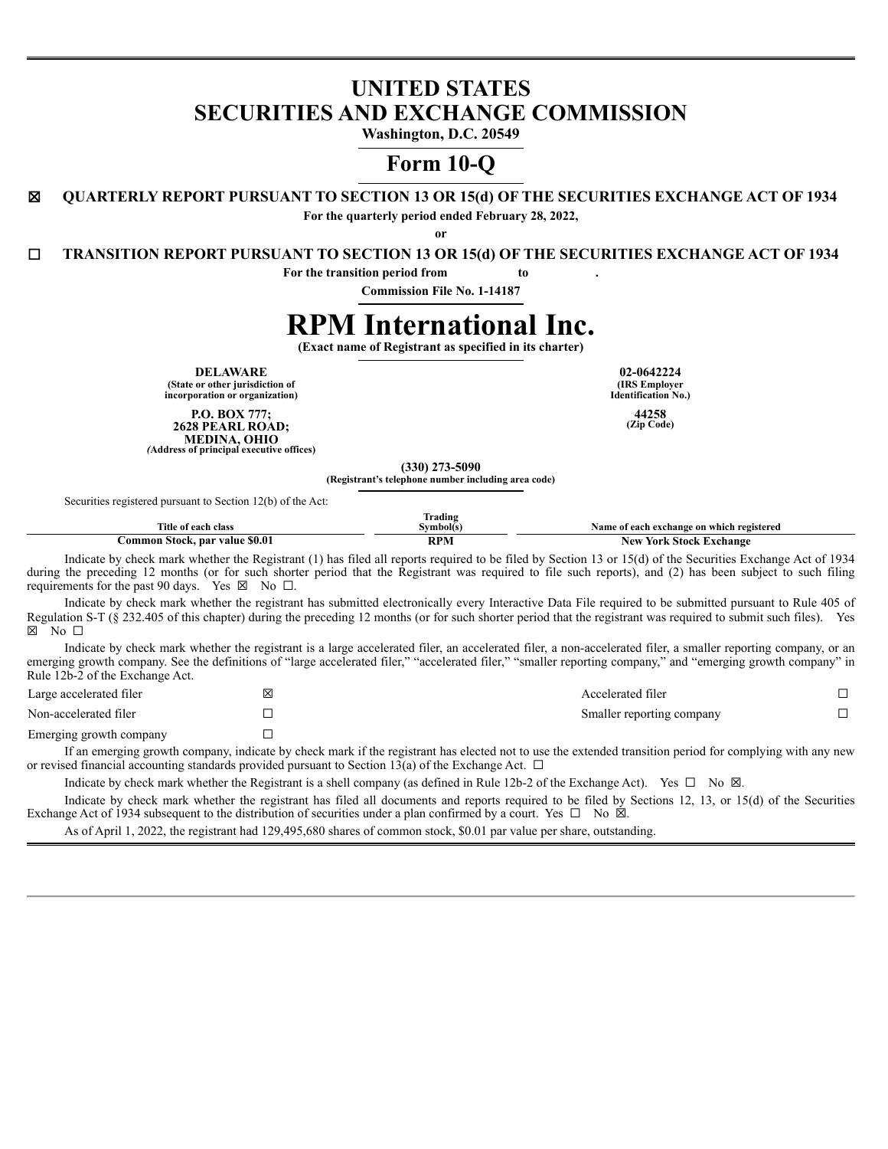# **UNITED STATES SECURITIES AND EXCHANGE COMMISSION**

**Washington, D.C. 20549**

## **Form 10-Q**

## ☒ **QUARTERLY REPORT PURSUANT TO SECTION 13 OR 15(d) OF THE SECURITIES EXCHANGE ACT OF 1934**

**For the quarterly period ended February 28, 2022,**

**or**

☐ **TRANSITION REPORT PURSUANT TO SECTION 13 OR 15(d) OF THE SECURITIES EXCHANGE ACT OF 1934**

**For the transition period from to .**

**Commission File No. 1-14187**

# **RPM International Inc.**

**(Exact name of Registrant as specified in its charter)**

**(State or other jurisdiction of incorporation or organization)**

**P.O. BOX 777; 2628 PEARL ROAD;**

**MEDINA, OHIO** *(***Address of principal executive offices)**

**DELAWARE 02-0642224**

**(IRS Employer Identification No.)**

**44258 (Zip Code)**

**(330) 273-5090**

**(Registrant's telephone number including area code)**

Securities registered pursuant to Section 12(b) of the Act:

|                                | frading       |                                           |
|--------------------------------|---------------|-------------------------------------------|
| Title of each class            | svmbol(s      | Name of each exchange on which registered |
| Common Stock, par value \$0.01 | DDN<br>KF IV. | <b>New York Stock Exchange</b>            |

Indicate by check mark whether the Registrant (1) has filed all reports required to be filed by Section 13 or 15(d) of the Securities Exchange Act of 1934 during the preceding 12 months (or for such shorter period that the Registrant was required to file such reports), and (2) has been subject to such filing requirements for the past 90 days. Yes  $\boxtimes$  No  $\Box$ .

Indicate by check mark whether the registrant has submitted electronically every Interactive Data File required to be submitted pursuant to Rule 405 of Regulation S-T (§ 232.405 of this chapter) during the preceding 12 months (or for such shorter period that the registrant was required to submit such files). Yes ☒ No ☐

Indicate by check mark whether the registrant is a large accelerated filer, an accelerated filer, a non-accelerated filer, a smaller reporting company, or an emerging growth company. See the definitions of "large accelerated filer," "accelerated filer," "smaller reporting company," and "emerging growth company" in Rule 12b-2 of the Exchange Act.

| Large accelerated filer | ⋈ | Accelerated filer         |  |
|-------------------------|---|---------------------------|--|
| Non-accelerated filer   |   | Smaller reporting company |  |
| Emerging growth company |   |                           |  |

If an emerging growth company, indicate by check mark if the registrant has elected not to use the extended transition period for complying with any new or revised financial accounting standards provided pursuant to Section 13(a) of the Exchange Act.  $\Box$ 

Indicate by check mark whether the Registrant is a shell company (as defined in Rule 12b-2 of the Exchange Act). Yes  $\Box$  No  $\boxtimes$ .

Indicate by check mark whether the registrant has filed all documents and reports required to be filed by Sections 12, 13, or 15(d) of the Securities Exchange Act of 1934 subsequent to the distribution of securities under a plan confirmed by a court. Yes  $\Box$  No  $\boxtimes$ .

As of April 1, 2022, the registrant had 129,495,680 shares of common stock, \$0.01 par value per share, outstanding.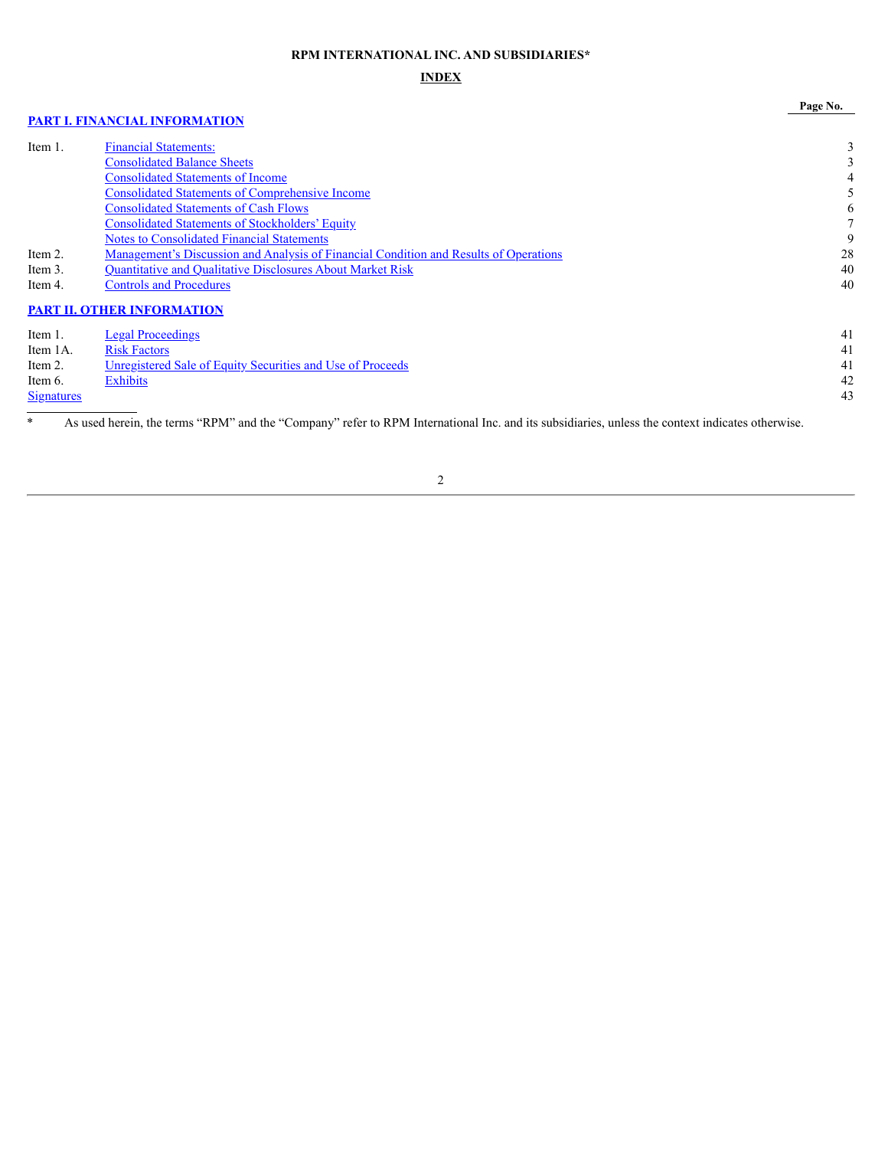## **RPM INTERNATIONAL INC. AND SUBSIDIARIES\***

## **INDEX**

**Page No.**

## **PART I. FINANCIAL [INFORMATION](#page-2-0)**

| Item 1.           | <b>Financial Statements:</b>                                                                 | 3  |
|-------------------|----------------------------------------------------------------------------------------------|----|
|                   | <b>Consolidated Balance Sheets</b>                                                           | 3  |
|                   | <b>Consolidated Statements of Income</b>                                                     |    |
|                   | <b>Consolidated Statements of Comprehensive Income</b>                                       |    |
|                   | <b>Consolidated Statements of Cash Flows</b>                                                 | 6  |
|                   | <b>Consolidated Statements of Stockholders' Equity</b>                                       |    |
|                   | <b>Notes to Consolidated Financial Statements</b>                                            | 9  |
| Item 2.           | <u>Management's Discussion and Analysis of Financial Condition and Results of Operations</u> | 28 |
| Item 3.           | <b>Quantitative and Qualitative Disclosures About Market Risk</b>                            | 40 |
| Item 4.           | <b>Controls and Procedures</b>                                                               | 40 |
|                   | <b>PART II. OTHER INFORMATION</b>                                                            |    |
| Item 1.           | <b>Legal Proceedings</b>                                                                     | 41 |
| Item 1A.          | <b>Risk Factors</b>                                                                          | 41 |
| Item 2.           | Unregistered Sale of Equity Securities and Use of Proceeds                                   | 41 |
| Item 6.           | <b>Exhibits</b>                                                                              | 42 |
| <b>Signatures</b> |                                                                                              | 43 |
|                   |                                                                                              |    |

\* As used herein, the terms "RPM" and the "Company" refer to RPM International Inc. and its subsidiaries, unless the context indicates otherwise.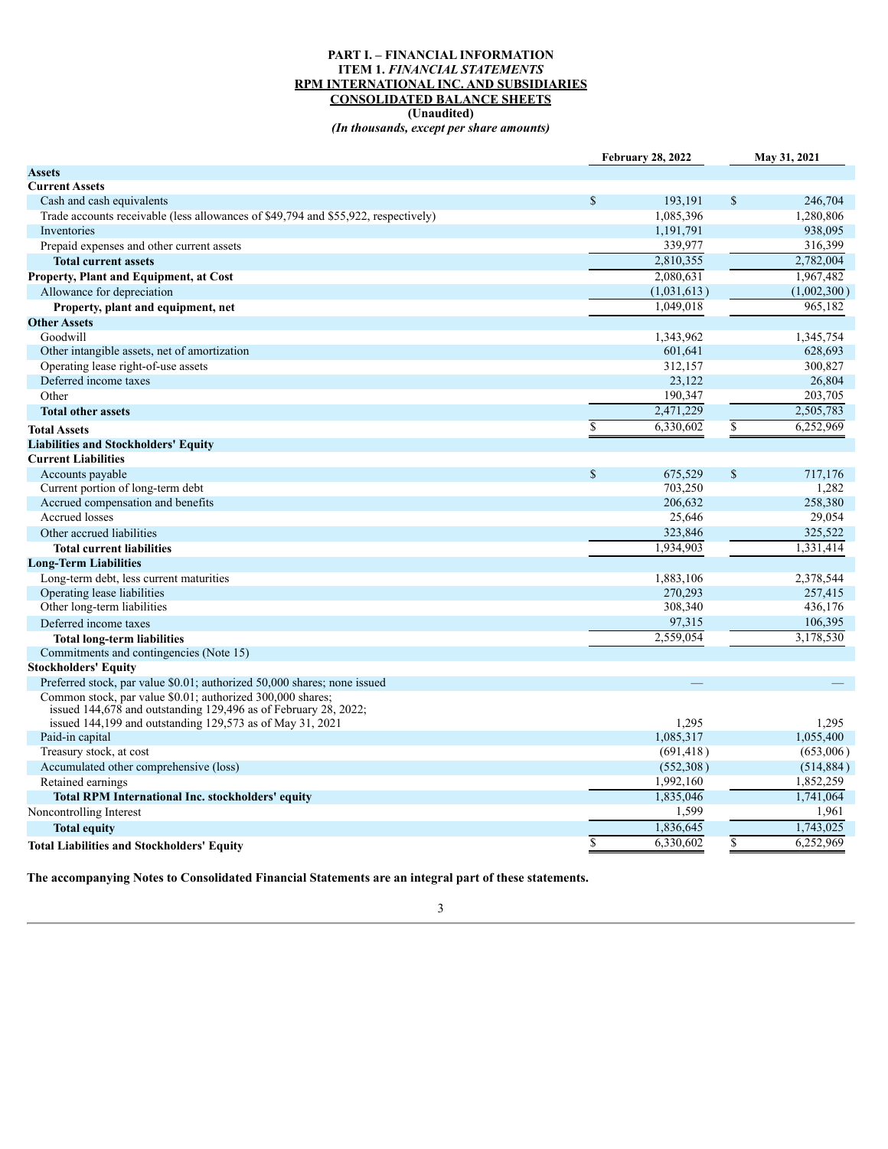#### **PART I. – FINANCIAL INFORMATION ITEM 1.** *FINANCIAL STATEMENTS* **RPM INTERNATIONAL INC. AND SUBSIDIARIES CONSOLIDATED BALANCE SHEETS (Unaudited)** *(In thousands, except per share amounts)*

<span id="page-2-2"></span><span id="page-2-1"></span><span id="page-2-0"></span>

|                                                                                    |               | <b>February 28, 2022</b> |    |             |  |  |
|------------------------------------------------------------------------------------|---------------|--------------------------|----|-------------|--|--|
| <b>Assets</b>                                                                      |               |                          |    |             |  |  |
| <b>Current Assets</b>                                                              |               |                          |    |             |  |  |
| Cash and cash equivalents                                                          | $\mathsf{\$}$ | 193,191                  | \$ | 246.704     |  |  |
| Trade accounts receivable (less allowances of \$49,794 and \$55,922, respectively) |               | 1,085,396                |    | 1,280,806   |  |  |
| Inventories                                                                        |               | 1,191,791                |    | 938,095     |  |  |
| Prepaid expenses and other current assets                                          |               | 339,977                  |    | 316,399     |  |  |
| <b>Total current assets</b>                                                        |               | 2,810,355                |    | 2,782,004   |  |  |
| Property, Plant and Equipment, at Cost                                             |               | 2,080,631                |    | 1.967.482   |  |  |
| Allowance for depreciation                                                         |               | (1,031,613)              |    | (1,002,300) |  |  |
| Property, plant and equipment, net                                                 |               | 1.049.018                |    | 965.182     |  |  |
| <b>Other Assets</b>                                                                |               |                          |    |             |  |  |
| Goodwill                                                                           |               | 1,343,962                |    | 1,345,754   |  |  |
| Other intangible assets, net of amortization                                       |               | 601,641                  |    | 628,693     |  |  |
| Operating lease right-of-use assets                                                |               | 312,157                  |    | 300,827     |  |  |
| Deferred income taxes                                                              |               | 23,122                   |    | 26,804      |  |  |
| Other                                                                              |               | 190,347                  |    | 203,705     |  |  |
| <b>Total other assets</b>                                                          |               | 2,471,229                |    | 2,505,783   |  |  |
| <b>Total Assets</b>                                                                | \$            | 6,330,602                | \$ | 6,252,969   |  |  |
| <b>Liabilities and Stockholders' Equity</b>                                        |               |                          |    |             |  |  |
| <b>Current Liabilities</b>                                                         |               |                          |    |             |  |  |
| Accounts payable                                                                   | $\mathbb S$   | 675,529                  | \$ | 717,176     |  |  |
| Current portion of long-term debt                                                  |               | 703,250                  |    | 1,282       |  |  |
| Accrued compensation and benefits                                                  |               | 206,632                  |    | 258,380     |  |  |
| <b>Accrued losses</b>                                                              |               | 25,646                   |    | 29,054      |  |  |
| Other accrued liabilities                                                          |               | 323,846                  |    | 325,522     |  |  |
| <b>Total current liabilities</b>                                                   |               | 1,934,903                |    | 1,331,414   |  |  |
| <b>Long-Term Liabilities</b>                                                       |               |                          |    |             |  |  |
| Long-term debt, less current maturities                                            |               | 1,883,106                |    | 2,378,544   |  |  |
| Operating lease liabilities                                                        |               | 270,293                  |    | 257,415     |  |  |
| Other long-term liabilities                                                        |               | 308,340                  |    | 436,176     |  |  |
| Deferred income taxes                                                              |               | 97,315                   |    | 106,395     |  |  |
|                                                                                    |               | 2,559,054                |    | 3,178,530   |  |  |
| <b>Total long-term liabilities</b>                                                 |               |                          |    |             |  |  |
| Commitments and contingencies (Note 15)<br><b>Stockholders' Equity</b>             |               |                          |    |             |  |  |
| Preferred stock, par value \$0.01; authorized 50,000 shares; none issued           |               |                          |    |             |  |  |
| Common stock, par value \$0.01; authorized 300,000 shares;                         |               |                          |    |             |  |  |
| issued $144,678$ and outstanding $129,496$ as of February 28, 2022;                |               |                          |    |             |  |  |
| issued 144,199 and outstanding 129,573 as of May 31, 2021                          |               | 1,295                    |    | 1,295       |  |  |
| Paid-in capital                                                                    |               | 1,085,317                |    | 1,055,400   |  |  |
| Treasury stock, at cost                                                            |               | (691, 418)               |    | (653,006)   |  |  |
| Accumulated other comprehensive (loss)                                             |               | (552,308)                |    | (514, 884)  |  |  |
| Retained earnings                                                                  |               | 1,992,160                |    | 1,852,259   |  |  |
| <b>Total RPM International Inc. stockholders' equity</b>                           |               | 1,835,046                |    | 1,741,064   |  |  |
| Noncontrolling Interest                                                            |               | 1,599                    |    | 1,961       |  |  |
| <b>Total equity</b>                                                                |               | 1,836,645                |    | 1,743,025   |  |  |
|                                                                                    | \$            | 6,330,602                | \$ | 6,252,969   |  |  |
| <b>Total Liabilities and Stockholders' Equity</b>                                  |               |                          |    |             |  |  |

**The accompanying Notes to Consolidated Financial Statements are an integral part of these statements.**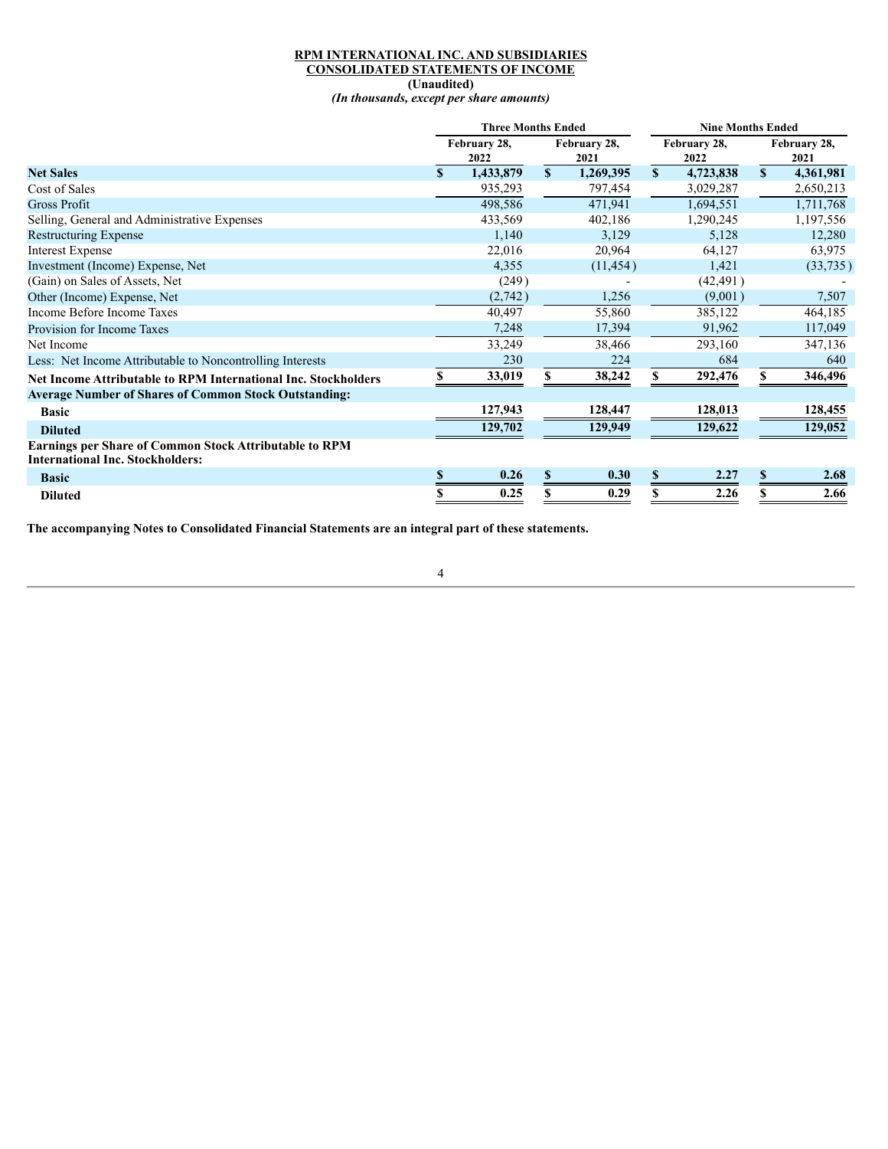#### **RPM INTERNATIONAL INC. AND SUBSIDIARIES CONSOLIDATED STATEMENTS OF INCOME (Unaudited)** *(In thousands, except per share amounts)*

<span id="page-3-0"></span>

|                                                                                                          |    | <b>Three Months Ended</b> |   |                      | <b>Nine Months Ended</b> |                      |     |                      |  |  |
|----------------------------------------------------------------------------------------------------------|----|---------------------------|---|----------------------|--------------------------|----------------------|-----|----------------------|--|--|
|                                                                                                          |    | February 28,<br>2022      |   | February 28,<br>2021 |                          | February 28,<br>2022 |     | February 28,<br>2021 |  |  |
| <b>Net Sales</b>                                                                                         | S  | 1,433,879                 | S | 1,269,395            | S                        | 4,723,838            | S   | 4,361,981            |  |  |
| Cost of Sales                                                                                            |    | 935,293                   |   | 797,454              |                          | 3,029,287            |     | 2,650,213            |  |  |
| <b>Gross Profit</b>                                                                                      |    | 498,586                   |   | 471,941              |                          | 1,694,551            |     | 1,711,768            |  |  |
| Selling, General and Administrative Expenses                                                             |    | 433,569                   |   | 402,186              |                          | 1,290,245            |     | 1,197,556            |  |  |
| <b>Restructuring Expense</b>                                                                             |    | 1,140                     |   | 3,129                |                          | 5,128                |     | 12,280               |  |  |
| <b>Interest Expense</b>                                                                                  |    | 22,016                    |   | 20,964               |                          | 64,127               |     | 63,975               |  |  |
| Investment (Income) Expense, Net                                                                         |    | 4,355                     |   | (11, 454)            |                          | 1,421                |     | (33, 735)            |  |  |
| (Gain) on Sales of Assets, Net                                                                           |    | (249)                     |   |                      |                          | (42, 491)            |     |                      |  |  |
| Other (Income) Expense, Net                                                                              |    | (2,742)                   |   | 1,256                |                          | (9,001)              |     | 7,507                |  |  |
| Income Before Income Taxes                                                                               |    | 40,497                    |   | 55,860               |                          | 385,122              |     | 464,185              |  |  |
| Provision for Income Taxes                                                                               |    | 7,248                     |   | 17,394               |                          | 91,962               |     | 117,049              |  |  |
| Net Income                                                                                               |    | 33,249                    |   | 38,466               |                          | 293,160              |     | 347,136              |  |  |
| Less: Net Income Attributable to Noncontrolling Interests                                                |    | 230                       |   | 224                  |                          | 684                  |     | 640                  |  |  |
| Net Income Attributable to RPM International Inc. Stockholders                                           | S. | 33,019                    | S | 38,242               |                          | 292,476              | S   | 346,496              |  |  |
| <b>Average Number of Shares of Common Stock Outstanding:</b>                                             |    |                           |   |                      |                          |                      |     |                      |  |  |
| <b>Basic</b>                                                                                             |    | 127,943                   |   | 128,447              |                          | 128,013              |     | 128,455              |  |  |
| <b>Diluted</b>                                                                                           |    | 129,702                   |   | 129,949              |                          | 129,622              |     | 129,052              |  |  |
| <b>Earnings per Share of Common Stock Attributable to RPM</b><br><b>International Inc. Stockholders:</b> |    |                           |   |                      |                          |                      |     |                      |  |  |
| <b>Basic</b>                                                                                             |    | 0.26                      | S | 0.30                 | \$                       | 2.27                 | \$. | 2.68                 |  |  |
| <b>Diluted</b>                                                                                           |    | 0.25                      |   | 0.29                 |                          | 2.26                 |     | 2.66                 |  |  |

**The accompanying Notes to Consolidated Financial Statements are an integral part of these statements.**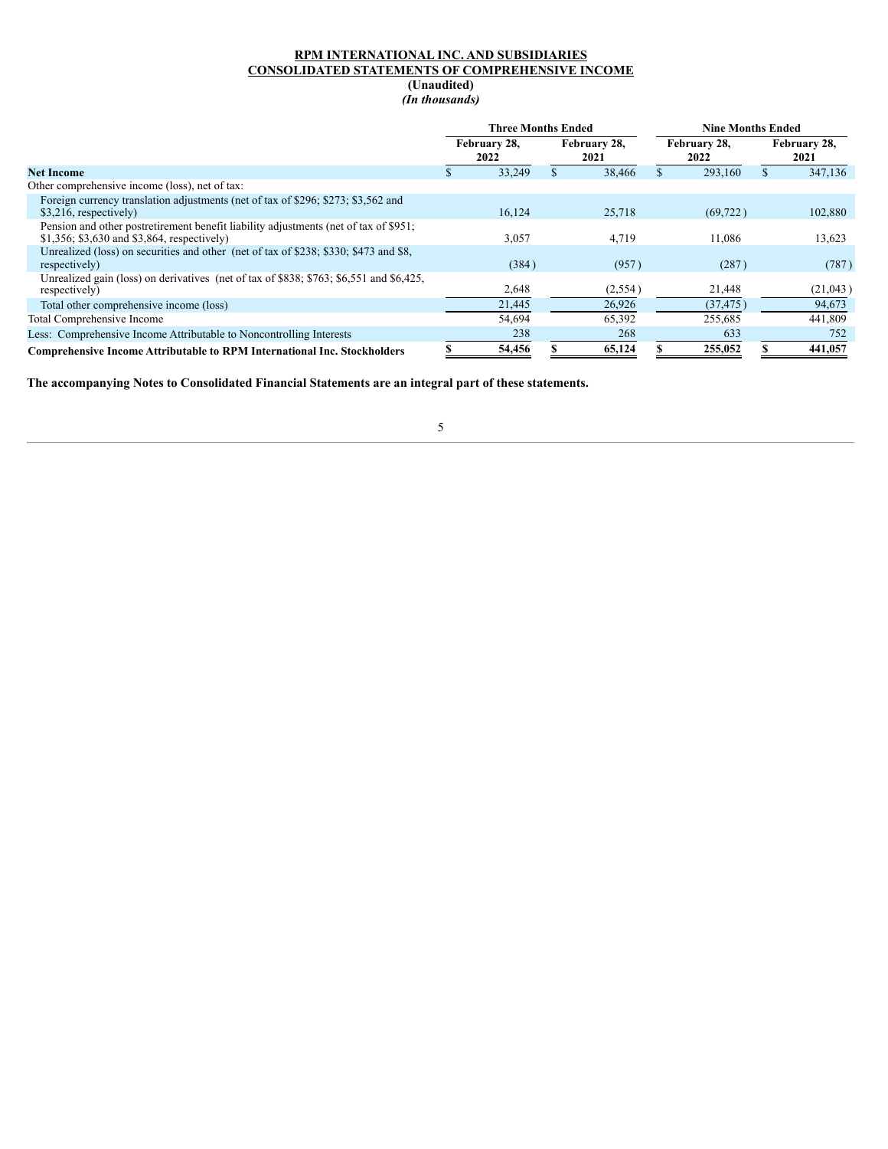#### **RPM INTERNATIONAL INC. AND SUBSIDIARIES CONSOLIDATED STATEMENTS OF COMPREHENSIVE INCOME (Unaudited)** *(In thousands)*

<span id="page-4-0"></span>

|                                                                                                                                     | <b>Three Months Ended</b> |                      | <b>Nine Months Ended</b> |  |                      |  |                      |  |
|-------------------------------------------------------------------------------------------------------------------------------------|---------------------------|----------------------|--------------------------|--|----------------------|--|----------------------|--|
|                                                                                                                                     | February 28,<br>2022      | February 28,<br>2021 |                          |  | February 28,<br>2022 |  | February 28,<br>2021 |  |
| <b>Net Income</b>                                                                                                                   | 33,249                    |                      | 38,466                   |  | 293,160              |  | 347,136              |  |
| Other comprehensive income (loss), net of tax:                                                                                      |                           |                      |                          |  |                      |  |                      |  |
| Foreign currency translation adjustments (net of tax of \$296; \$273; \$3,562 and<br>$$3,216$ , respectively)                       | 16.124                    |                      | 25,718                   |  | (69, 722)            |  | 102,880              |  |
| Pension and other postretirement benefit liability adjustments (net of tax of \$951;<br>\$1,356; \$3,630 and \$3,864, respectively) | 3,057                     |                      | 4,719                    |  | 11,086               |  | 13,623               |  |
| Unrealized (loss) on securities and other (net of tax of \$238; \$330; \$473 and \$8.<br>respectively)                              | (384)                     |                      | (957)                    |  | (287)                |  | (787)                |  |
| Unrealized gain (loss) on derivatives (net of tax of \$838; \$763; \$6,551 and \$6,425,<br>respectively)                            | 2,648                     |                      | (2,554)                  |  | 21,448               |  | (21,043)             |  |
| Total other comprehensive income (loss)                                                                                             | 21,445                    |                      | 26,926                   |  | (37, 475)            |  | 94,673               |  |
| Total Comprehensive Income                                                                                                          | 54,694                    |                      | 65,392                   |  | 255,685              |  | 441,809              |  |
| Less: Comprehensive Income Attributable to Noncontrolling Interests                                                                 | 238                       |                      | 268                      |  | 633                  |  | 752                  |  |
| <b>Comprehensive Income Attributable to RPM International Inc. Stockholders</b>                                                     | 54,456                    |                      | 65,124                   |  | 255,052              |  | 441,057              |  |

**The accompanying Notes to Consolidated Financial Statements are an integral part of these statements.**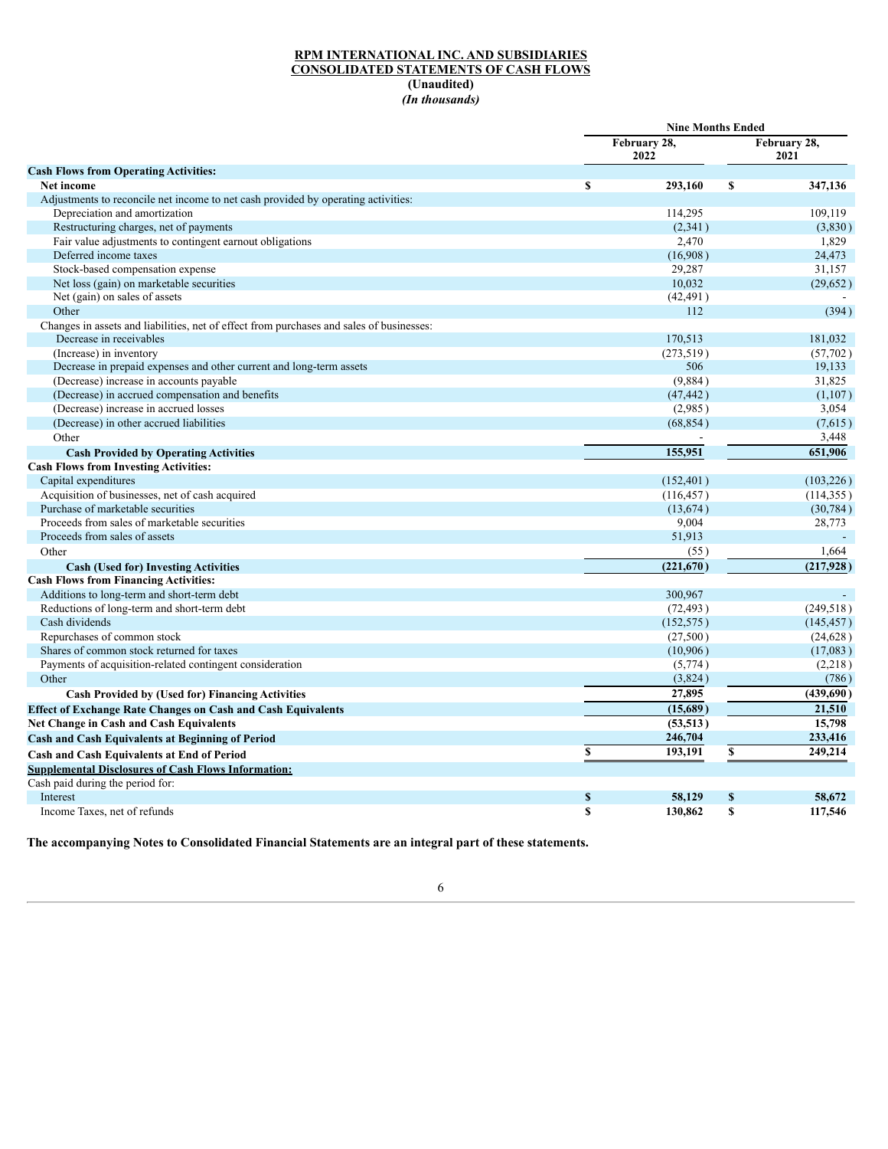#### **RPM INTERNATIONAL INC. AND SUBSIDIARIES CONSOLIDATED STATEMENTS OF CASH FLOWS (Unaudited)** *(In thousands)*

<span id="page-5-0"></span>

|                                                                                          | <b>Nine Months Ended</b> |                      |    |                      |  |  |
|------------------------------------------------------------------------------------------|--------------------------|----------------------|----|----------------------|--|--|
|                                                                                          |                          | February 28,<br>2022 |    | February 28,<br>2021 |  |  |
| <b>Cash Flows from Operating Activities:</b>                                             |                          |                      |    |                      |  |  |
| Net income                                                                               | S                        | 293,160              | S  | 347,136              |  |  |
| Adjustments to reconcile net income to net cash provided by operating activities:        |                          |                      |    |                      |  |  |
| Depreciation and amortization                                                            |                          | 114,295              |    | 109.119              |  |  |
| Restructuring charges, net of payments                                                   |                          | (2,341)              |    | (3,830)              |  |  |
| Fair value adjustments to contingent earnout obligations                                 |                          | 2,470                |    | 1,829                |  |  |
| Deferred income taxes                                                                    |                          | (16,908)             |    | 24,473               |  |  |
| Stock-based compensation expense                                                         |                          | 29,287               |    | 31,157               |  |  |
| Net loss (gain) on marketable securities                                                 |                          | 10,032               |    | (29, 652)            |  |  |
| Net (gain) on sales of assets                                                            |                          | (42, 491)            |    |                      |  |  |
| Other                                                                                    |                          | 112                  |    | (394)                |  |  |
| Changes in assets and liabilities, net of effect from purchases and sales of businesses: |                          |                      |    |                      |  |  |
| Decrease in receivables                                                                  |                          | 170,513              |    | 181,032              |  |  |
| (Increase) in inventory                                                                  |                          | (273, 519)           |    | (57,702)             |  |  |
| Decrease in prepaid expenses and other current and long-term assets                      |                          | 506                  |    | 19,133               |  |  |
| (Decrease) increase in accounts payable                                                  |                          | (9,884)              |    | 31.825               |  |  |
| (Decrease) in accrued compensation and benefits                                          |                          | (47, 442)            |    | (1,107)              |  |  |
| (Decrease) increase in accrued losses                                                    |                          | (2,985)              |    | 3,054                |  |  |
| (Decrease) in other accrued liabilities                                                  |                          | (68, 854)            |    | (7,615)              |  |  |
| Other                                                                                    |                          |                      |    | 3,448                |  |  |
| <b>Cash Provided by Operating Activities</b>                                             |                          | 155,951              |    | 651,906              |  |  |
| <b>Cash Flows from Investing Activities:</b>                                             |                          |                      |    |                      |  |  |
| Capital expenditures                                                                     |                          | (152, 401)           |    | (103, 226)           |  |  |
| Acquisition of businesses, net of cash acquired                                          |                          | (116, 457)           |    | (114, 355)           |  |  |
| Purchase of marketable securities                                                        |                          | (13,674)             |    | (30, 784)            |  |  |
| Proceeds from sales of marketable securities                                             |                          | 9,004                |    | 28,773               |  |  |
| Proceeds from sales of assets                                                            |                          | 51,913               |    |                      |  |  |
| Other                                                                                    |                          | (55)                 |    | 1,664                |  |  |
| <b>Cash (Used for) Investing Activities</b>                                              |                          | (221,670)            |    | (217,928)            |  |  |
| <b>Cash Flows from Financing Activities:</b>                                             |                          |                      |    |                      |  |  |
| Additions to long-term and short-term debt                                               |                          | 300,967              |    |                      |  |  |
| Reductions of long-term and short-term debt                                              |                          | (72, 493)            |    | (249, 518)           |  |  |
| Cash dividends                                                                           |                          | (152, 575)           |    | (145, 457)           |  |  |
| Repurchases of common stock                                                              |                          | (27,500)             |    | (24, 628)            |  |  |
| Shares of common stock returned for taxes                                                |                          | (10,906)             |    | (17,083)             |  |  |
| Payments of acquisition-related contingent consideration                                 |                          | (5,774)              |    | (2,218)              |  |  |
| Other                                                                                    |                          | (3,824)              |    | (786)                |  |  |
| <b>Cash Provided by (Used for) Financing Activities</b>                                  |                          | 27,895               |    | (439,690)            |  |  |
| <b>Effect of Exchange Rate Changes on Cash and Cash Equivalents</b>                      |                          | (15,689)             |    | 21,510               |  |  |
| <b>Net Change in Cash and Cash Equivalents</b>                                           |                          | (53, 513)            |    | 15,798               |  |  |
| <b>Cash and Cash Equivalents at Beginning of Period</b>                                  |                          | 246,704              |    | 233,416              |  |  |
| <b>Cash and Cash Equivalents at End of Period</b>                                        | \$                       | 193,191              | \$ | 249,214              |  |  |
| <b>Supplemental Disclosures of Cash Flows Information:</b>                               |                          |                      |    |                      |  |  |
| Cash paid during the period for:                                                         |                          |                      |    |                      |  |  |
| Interest                                                                                 | $\mathbf{s}$             | 58.129               | \$ | 58,672               |  |  |
| Income Taxes, net of refunds                                                             | \$                       | 130.862              | S  | 117,546              |  |  |
|                                                                                          |                          |                      |    |                      |  |  |

**The accompanying Notes to Consolidated Financial Statements are an integral part of these statements.**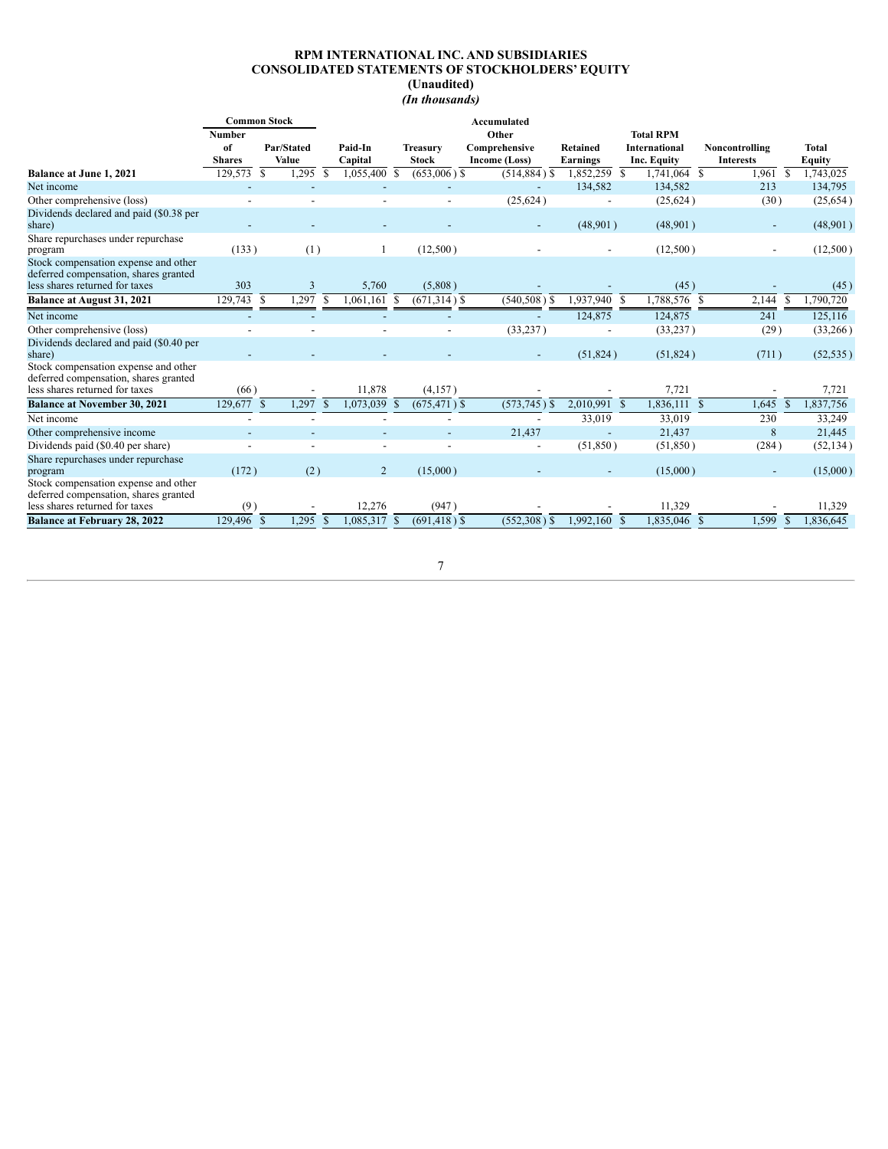#### **RPM INTERNATIONAL INC. AND SUBSIDIARIES CONSOLIDATED STATEMENTS OF STOCKHOLDERS' EQUITY (Unaudited)** *(In thousands)*

<span id="page-6-0"></span>

|                                                                                                                 |               | <b>Common Stock</b>    |               |                |      |                 | Accumulated     |                 |              |                      |             |                        |    |              |
|-----------------------------------------------------------------------------------------------------------------|---------------|------------------------|---------------|----------------|------|-----------------|-----------------|-----------------|--------------|----------------------|-------------|------------------------|----|--------------|
|                                                                                                                 | Number        |                        |               |                |      |                 | Other           |                 |              | <b>Total RPM</b>     |             |                        |    |              |
|                                                                                                                 | of            | Par/Stated             |               | Paid-In        |      | <b>Treasury</b> | Comprehensive   | <b>Retained</b> |              | <b>International</b> |             | Noncontrolling         |    | <b>Total</b> |
|                                                                                                                 | <b>Shares</b> | Value                  |               | Capital        |      | <b>Stock</b>    | Income (Loss)   | Earnings        |              | Inc. Equity          |             | <b>Interests</b>       |    | Equity       |
| <b>Balance at June 1, 2021</b>                                                                                  | 129,573       | 1,295<br><sup>\$</sup> | <sup>\$</sup> | 1,055,400 \$   |      | $(653,006)$ \$  | $(514,884)$ \$  | 1,852,259       | $\mathbb{S}$ | 1,741,064 \$         |             | $1,961$ \$             |    | 1,743,025    |
| Net income                                                                                                      |               |                        |               |                |      |                 |                 | 134,582         |              | 134,582              |             | 213                    |    | 134,795      |
| Other comprehensive (loss)                                                                                      |               |                        |               |                |      |                 | (25, 624)       |                 |              | (25, 624)            |             | (30)                   |    | (25, 654)    |
| Dividends declared and paid (\$0.38 per<br>share)                                                               |               |                        |               |                |      |                 |                 | (48,901)        |              | (48,901)             |             |                        |    | (48,901)     |
| Share repurchases under repurchase<br>program                                                                   | (133)         | (1)                    |               |                |      | (12,500)        |                 |                 |              | (12,500)             |             |                        |    | (12,500)     |
| Stock compensation expense and other<br>deferred compensation, shares granted                                   |               |                        |               |                |      |                 |                 |                 |              |                      |             |                        |    |              |
| less shares returned for taxes                                                                                  | 303           | 3                      |               | 5,760          |      | (5,808)         |                 |                 |              | (45)                 |             |                        |    | (45)         |
| Balance at August 31, 2021                                                                                      | 129,743       | <sup>\$</sup><br>1,297 | -S            | $1,061,161$ \$ |      | $(671, 314)$ \$ | $(540, 508)$ \$ | .937.940 S      |              | 1,788,576 \$         |             | 2,144                  | -S | 1,790,720    |
| Net income                                                                                                      |               |                        |               |                |      |                 |                 | 124,875         |              | 124,875              |             | 241                    |    | 125,116      |
| Other comprehensive (loss)                                                                                      |               |                        |               |                |      |                 | (33, 237)       |                 |              | (33, 237)            |             | (29)                   |    | (33,266)     |
| Dividends declared and paid (\$0.40 per<br>share)                                                               |               |                        |               |                |      |                 |                 | (51, 824)       |              | (51, 824)            |             | (711)                  |    | (52, 535)    |
| Stock compensation expense and other<br>deferred compensation, shares granted<br>less shares returned for taxes | (66)          |                        |               | 11,878         |      | (4,157)         |                 |                 |              | 7,721                |             |                        |    | 7,721        |
| <b>Balance at November 30, 2021</b>                                                                             | 129,677       | 1,297<br><sup>S</sup>  | $\mathbf{s}$  | 1,073,039      | - \$ | $(675, 471)$ \$ | $(573,745)$ \$  | $2,010,991$ \$  |              | 1,836,111            | $\mathbf S$ | 1,645<br><sup>\$</sup> |    | 1,837,756    |
| Net income                                                                                                      |               |                        |               |                |      |                 |                 | 33,019          |              | 33,019               |             | 230                    |    | 33,249       |
| Other comprehensive income                                                                                      |               |                        |               |                |      |                 | 21,437          |                 |              | 21,437               |             | 8                      |    | 21,445       |
| Dividends paid (\$0.40 per share)                                                                               |               |                        |               |                |      |                 |                 | (51, 850)       |              | (51, 850)            |             | (284)                  |    | (52, 134)    |
| Share repurchases under repurchase                                                                              |               |                        |               |                |      |                 |                 |                 |              |                      |             |                        |    |              |
| program                                                                                                         | (172)         | (2)                    |               | $\overline{2}$ |      | (15,000)        |                 |                 |              | (15,000)             |             |                        |    | (15,000)     |
| Stock compensation expense and other<br>deferred compensation, shares granted<br>less shares returned for taxes | (9)           |                        |               | 12,276         |      | (947)           |                 |                 |              | 11,329               |             |                        |    | 11,329       |
| <b>Balance at February 28, 2022</b>                                                                             | 129,496       | 1,295<br><sup>S</sup>  | <sup>\$</sup> | 1,085,317 \$   |      | $(691, 418)$ \$ | $(552,308)$ \$  | 1,992,160 \$    |              | 1,835,046            | -S          | 1,599<br>-S            |    | 1,836,645    |
|                                                                                                                 |               |                        |               |                |      |                 |                 |                 |              |                      |             |                        |    |              |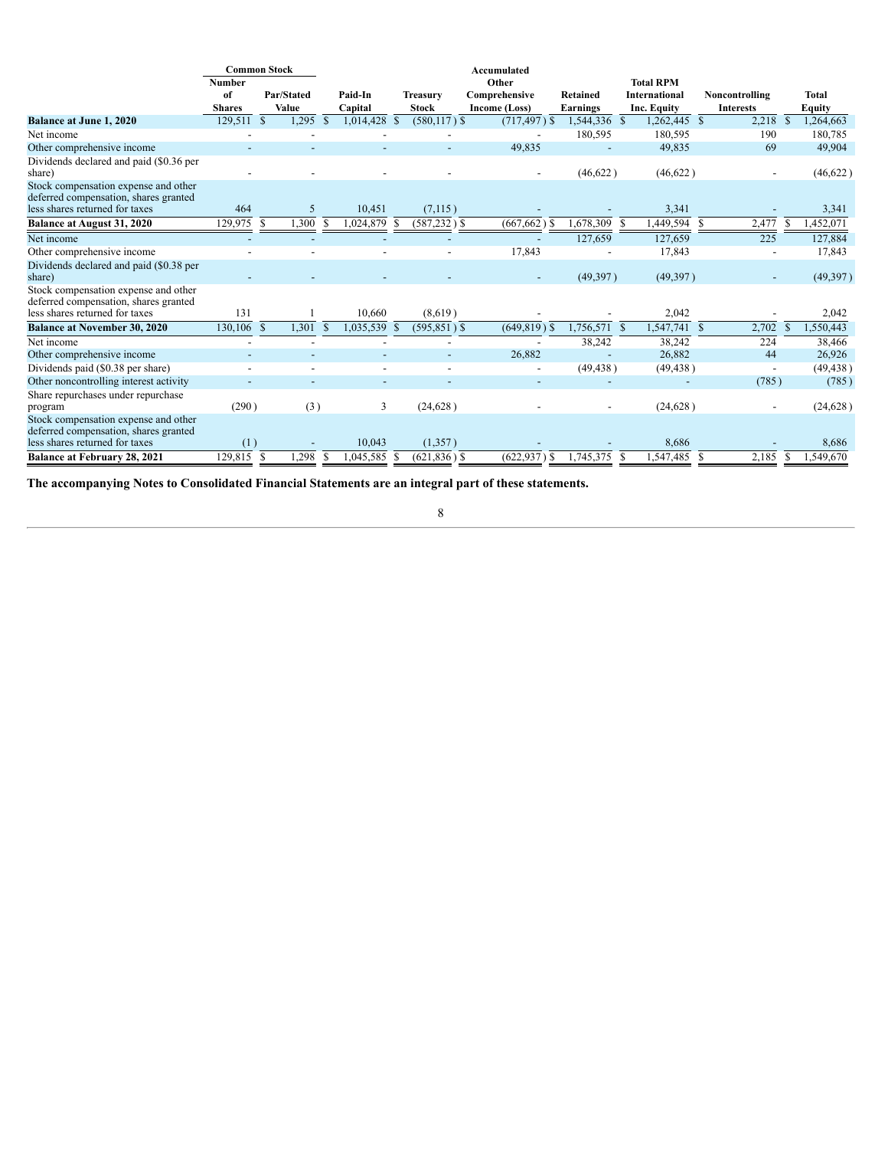|                                                                                                                 |               | <b>Common Stock</b>   |               |           |               |                          | <b>Accumulated</b>       |                 |      |                      |             |                  |    |               |
|-----------------------------------------------------------------------------------------------------------------|---------------|-----------------------|---------------|-----------|---------------|--------------------------|--------------------------|-----------------|------|----------------------|-------------|------------------|----|---------------|
|                                                                                                                 | Number        |                       |               |           |               |                          | Other                    |                 |      | <b>Total RPM</b>     |             |                  |    |               |
|                                                                                                                 | of            | Par/Stated            |               | Paid-In   |               | <b>Treasury</b>          | Comprehensive            | <b>Retained</b> |      | <b>International</b> |             | Noncontrolling   |    | Total         |
|                                                                                                                 | <b>Shares</b> | Value                 |               | Capital   |               | <b>Stock</b>             | Income (Loss)            | <b>Earnings</b> |      | Inc. Equity          |             | <b>Interests</b> |    | <b>Equity</b> |
| <b>Balance at June 1, 2020</b>                                                                                  | 129,511       | 1,295<br>$\mathbb{S}$ | $\mathbf{s}$  | 1,014,428 | <sup>S</sup>  | $(580, 117)$ \$          | $(717, 497)$ \$          | 1,544,336 \$    |      | 1,262,445 \$         |             | 2,218 \$         |    | 1,264,663     |
| Net income                                                                                                      |               |                       |               |           |               |                          |                          | 180,595         |      | 180,595              |             | 190              |    | 180,785       |
| Other comprehensive income                                                                                      |               |                       |               |           |               |                          | 49,835                   |                 |      | 49,835               |             | 69               |    | 49,904        |
| Dividends declared and paid (\$0.36 per<br>share)                                                               |               |                       |               |           |               |                          |                          | (46, 622)       |      | (46, 622)            |             |                  |    | (46, 622)     |
| Stock compensation expense and other<br>deferred compensation, shares granted<br>less shares returned for taxes | 464           | 5                     |               | 10,451    |               | (7,115)                  |                          |                 |      | 3,341                |             |                  |    | 3,341         |
|                                                                                                                 |               |                       |               |           |               |                          |                          |                 |      |                      |             |                  |    |               |
| Balance at August 31, 2020                                                                                      | 129,975       | 1,300<br>-S           | S             | .024.879  |               | $(587, 232)$ \$          | $(667, 662)$ \$          | .678,309        | - \$ | ,449,594             | \$.         | 2,477            | -S | ,452,071      |
| Net income                                                                                                      |               |                       |               |           |               |                          |                          | 127,659         |      | 127,659              |             | 225              |    | 127,884       |
| Other comprehensive income                                                                                      |               |                       |               |           |               |                          | 17,843                   |                 |      | 17,843               |             |                  |    | 17,843        |
| Dividends declared and paid (\$0.38 per<br>share)                                                               |               |                       |               |           |               |                          |                          | (49,397)        |      | (49,397)             |             |                  |    | (49,397)      |
| Stock compensation expense and other<br>deferred compensation, shares granted<br>less shares returned for taxes | 131           |                       |               | 10,660    |               | (8,619)                  |                          |                 |      | 2,042                |             |                  |    | 2,042         |
| <b>Balance at November 30, 2020</b>                                                                             | 130,106       | 1,301<br><sup>S</sup> | <sup>\$</sup> | 1,035,539 | $\mathcal{S}$ | $(595, 851)$ \$          | $(649, 819)$ \$          | $,756,571$ \$   |      | 1,547,741            | $\mathbf S$ | 2,702            | -S | 1,550,443     |
| Net income                                                                                                      |               |                       |               |           |               |                          |                          | 38,242          |      | 38,242               |             | 224              |    | 38,466        |
| Other comprehensive income                                                                                      |               |                       |               |           |               | $\overline{\phantom{0}}$ | 26,882                   |                 |      | 26,882               |             | 44               |    | 26,926        |
| Dividends paid (\$0.38 per share)                                                                               |               |                       |               |           |               |                          | $\overline{\phantom{a}}$ | (49, 438)       |      | (49, 438)            |             |                  |    | (49, 438)     |
| Other noncontrolling interest activity                                                                          |               |                       |               |           |               |                          |                          |                 |      |                      |             | (785)            |    | (785)         |
| Share repurchases under repurchase                                                                              |               |                       |               |           |               |                          |                          |                 |      |                      |             |                  |    |               |
| program                                                                                                         | (290)         | (3)                   |               | 3         |               | (24, 628)                |                          |                 |      | (24, 628)            |             |                  |    | (24, 628)     |
| Stock compensation expense and other<br>deferred compensation, shares granted                                   |               |                       |               |           |               |                          |                          |                 |      |                      |             |                  |    |               |
| less shares returned for taxes                                                                                  | (1)           |                       |               | 10,043    |               | (1,357)                  |                          |                 |      | 8,686                |             |                  |    | 8,686         |
| <b>Balance at February 28, 2021</b>                                                                             | 129,815       | 1,298<br>-S           | S             | 1,045,585 | -S            | $(621, 836)$ \$          | $(622, 937)$ \$          | 1,745,375       |      | 1,547,485            | S           | 2,185            | -S | ,549,670      |

**The accompanying Notes to Consolidated Financial Statements are an integral part of these statements.**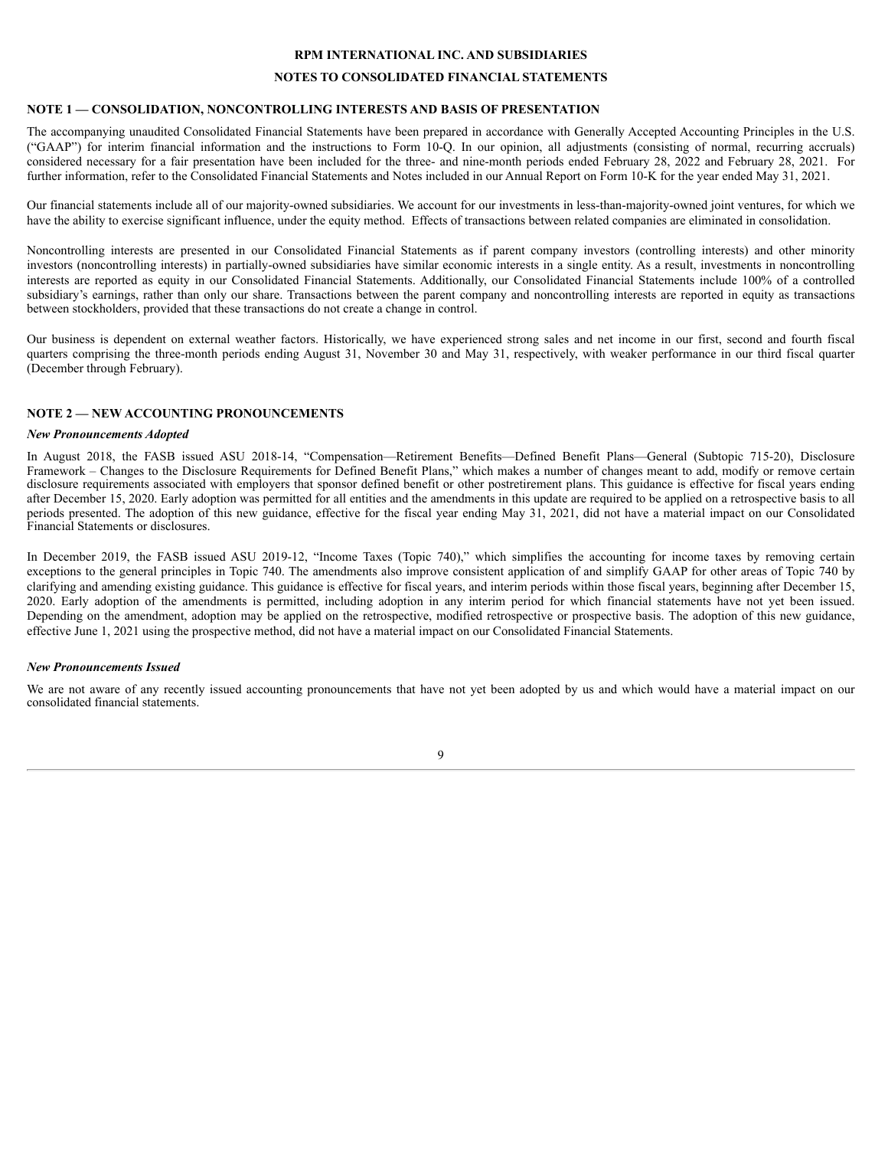## **RPM INTERNATIONAL INC. AND SUBSIDIARIES**

## **NOTES TO CONSOLIDATED FINANCIAL STATEMENTS**

#### <span id="page-8-0"></span>**NOTE 1 — CONSOLIDATION, NONCONTROLLING INTERESTS AND BASIS OF PRESENTATION**

The accompanying unaudited Consolidated Financial Statements have been prepared in accordance with Generally Accepted Accounting Principles in the U.S. ("GAAP") for interim financial information and the instructions to Form 10-Q. In our opinion, all adjustments (consisting of normal, recurring accruals) considered necessary for a fair presentation have been included for the three- and nine-month periods ended February 28, 2022 and February 28, 2021. For further information, refer to the Consolidated Financial Statements and Notes included in our Annual Report on Form 10-K for the year ended May 31, 2021.

Our financial statements include all of our majority-owned subsidiaries. We account for our investments in less-than-majority-owned joint ventures, for which we have the ability to exercise significant influence, under the equity method. Effects of transactions between related companies are eliminated in consolidation.

Noncontrolling interests are presented in our Consolidated Financial Statements as if parent company investors (controlling interests) and other minority investors (noncontrolling interests) in partially-owned subsidiaries have similar economic interests in a single entity. As a result, investments in noncontrolling interests are reported as equity in our Consolidated Financial Statements. Additionally, our Consolidated Financial Statements include 100% of a controlled subsidiary's earnings, rather than only our share. Transactions between the parent company and noncontrolling interests are reported in equity as transactions between stockholders, provided that these transactions do not create a change in control.

Our business is dependent on external weather factors. Historically, we have experienced strong sales and net income in our first, second and fourth fiscal quarters comprising the three-month periods ending August 31, November 30 and May 31, respectively, with weaker performance in our third fiscal quarter (December through February).

#### **NOTE 2 — NEW ACCOUNTING PRONOUNCEMENTS**

#### *New Pronouncements Adopted*

In August 2018, the FASB issued ASU 2018-14, "Compensation—Retirement Benefits—Defined Benefit Plans—General (Subtopic 715-20), Disclosure Framework – Changes to the Disclosure Requirements for Defined Benefit Plans," which makes a number of changes meant to add, modify or remove certain disclosure requirements associated with employers that sponsor defined benefit or other postretirement plans. This guidance is effective for fiscal years ending after December 15, 2020. Early adoption was permitted for all entities and the amendments in this update are required to be applied on a retrospective basis to all periods presented. The adoption of this new guidance, effective for the fiscal year ending May 31, 2021, did not have a material impact on our Consolidated Financial Statements or disclosures.

In December 2019, the FASB issued ASU 2019-12, "Income Taxes (Topic 740)," which simplifies the accounting for income taxes by removing certain exceptions to the general principles in Topic 740. The amendments also improve consistent application of and simplify GAAP for other areas of Topic 740 by clarifying and amending existing guidance. This guidance is effective for fiscal years, and interim periods within those fiscal years, beginning after December 15, 2020. Early adoption of the amendments is permitted, including adoption in any interim period for which financial statements have not yet been issued. Depending on the amendment, adoption may be applied on the retrospective, modified retrospective or prospective basis. The adoption of this new guidance, effective June 1, 2021 using the prospective method, did not have a material impact on our Consolidated Financial Statements.

#### *New Pronouncements Issued*

We are not aware of any recently issued accounting pronouncements that have not yet been adopted by us and which would have a material impact on our consolidated financial statements.

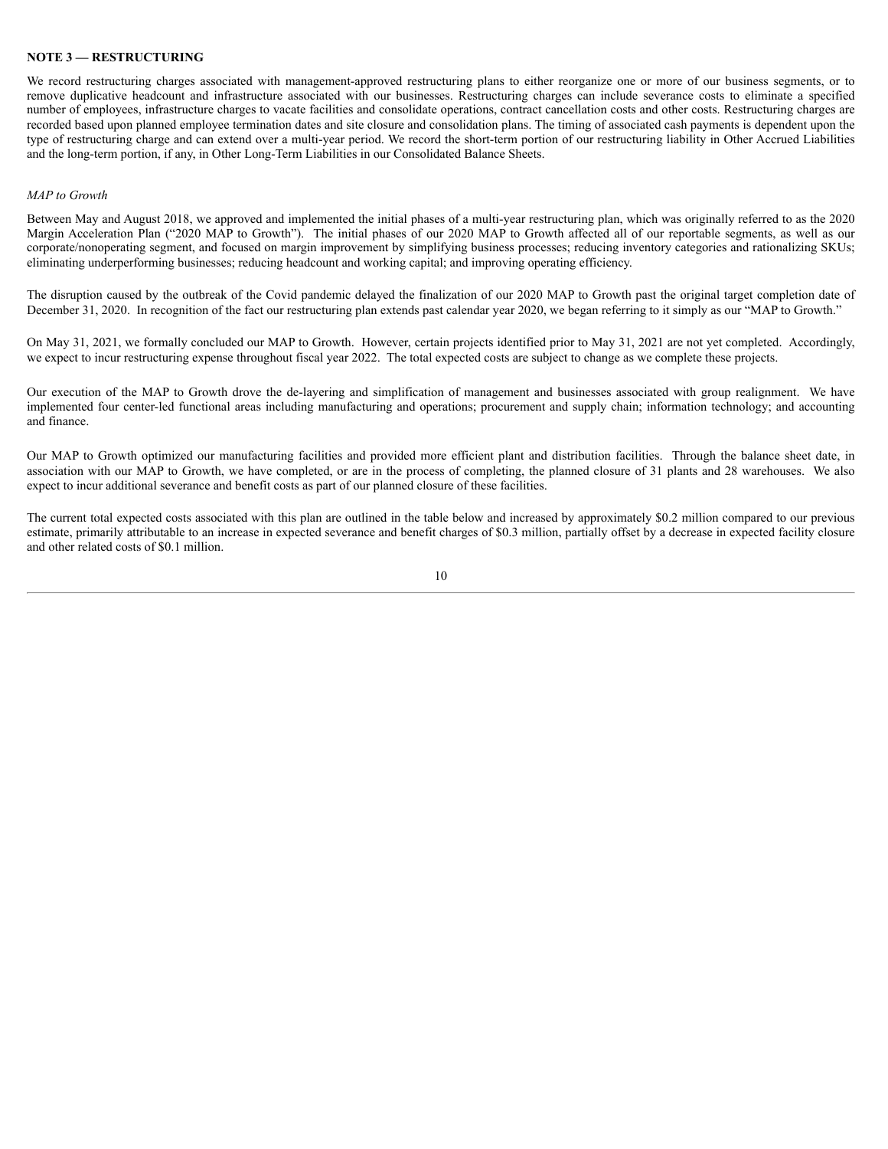#### **NOTE 3 — RESTRUCTURING**

We record restructuring charges associated with management-approved restructuring plans to either reorganize one or more of our business segments, or to remove duplicative headcount and infrastructure associated with our businesses. Restructuring charges can include severance costs to eliminate a specified number of employees, infrastructure charges to vacate facilities and consolidate operations, contract cancellation costs and other costs. Restructuring charges are recorded based upon planned employee termination dates and site closure and consolidation plans. The timing of associated cash payments is dependent upon the type of restructuring charge and can extend over a multi-year period. We record the short-term portion of our restructuring liability in Other Accrued Liabilities and the long-term portion, if any, in Other Long-Term Liabilities in our Consolidated Balance Sheets.

#### *MAP to Growth*

Between May and August 2018, we approved and implemented the initial phases of a multi-year restructuring plan, which was originally referred to as the 2020 Margin Acceleration Plan ("2020 MAP to Growth"). The initial phases of our 2020 MAP to Growth affected all of our reportable segments, as well as our corporate/nonoperating segment, and focused on margin improvement by simplifying business processes; reducing inventory categories and rationalizing SKUs; eliminating underperforming businesses; reducing headcount and working capital; and improving operating efficiency.

The disruption caused by the outbreak of the Covid pandemic delayed the finalization of our 2020 MAP to Growth past the original target completion date of December 31, 2020. In recognition of the fact our restructuring plan extends past calendar year 2020, we began referring to it simply as our "MAP to Growth."

On May 31, 2021, we formally concluded our MAP to Growth. However, certain projects identified prior to May 31, 2021 are not yet completed. Accordingly, we expect to incur restructuring expense throughout fiscal year 2022. The total expected costs are subject to change as we complete these projects.

Our execution of the MAP to Growth drove the de-layering and simplification of management and businesses associated with group realignment. We have implemented four center-led functional areas including manufacturing and operations; procurement and supply chain; information technology; and accounting and finance.

Our MAP to Growth optimized our manufacturing facilities and provided more efficient plant and distribution facilities. Through the balance sheet date, in association with our MAP to Growth, we have completed, or are in the process of completing, the planned closure of 31 plants and 28 warehouses. We also expect to incur additional severance and benefit costs as part of our planned closure of these facilities.

The current total expected costs associated with this plan are outlined in the table below and increased by approximately \$0.2 million compared to our previous estimate, primarily attributable to an increase in expected severance and benefit charges of \$0.3 million, partially offset by a decrease in expected facility closure and other related costs of \$0.1 million.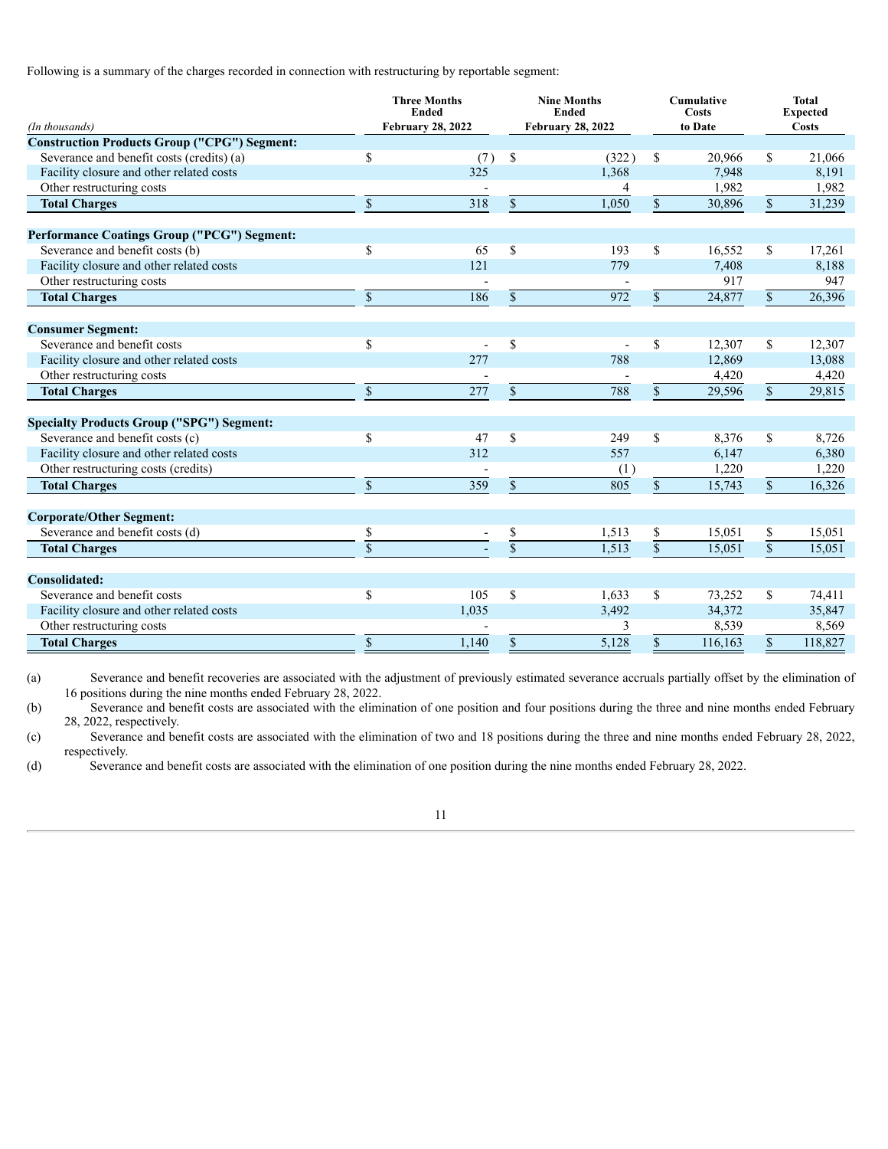Following is a summary of the charges recorded in connection with restructuring by reportable segment:

| (In thousands)                                      |                         | <b>Three Months</b><br>Ended<br><b>February 28, 2022</b> |                           | <b>Nine Months</b><br>Ended<br><b>February 28, 2022</b> |                           | <b>Cumulative</b><br>Costs<br>to Date |                         | <b>Total</b><br><b>Expected</b><br>Costs |
|-----------------------------------------------------|-------------------------|----------------------------------------------------------|---------------------------|---------------------------------------------------------|---------------------------|---------------------------------------|-------------------------|------------------------------------------|
| <b>Construction Products Group ("CPG") Segment:</b> |                         |                                                          |                           |                                                         |                           |                                       |                         |                                          |
| Severance and benefit costs (credits) (a)           | \$                      | (7)                                                      | \$                        | (322)                                                   | \$                        | 20,966                                | \$                      | 21,066                                   |
| Facility closure and other related costs            |                         | 325                                                      |                           | 1,368                                                   |                           | 7,948                                 |                         | 8,191                                    |
| Other restructuring costs                           |                         |                                                          |                           | 4                                                       |                           | 1,982                                 |                         | 1,982                                    |
| <b>Total Charges</b>                                | \$                      | 318                                                      | \$                        | 1,050                                                   | $\mathbb{S}$              | 30,896                                | $\mathbb{S}$            | 31,239                                   |
| <b>Performance Coatings Group ("PCG") Segment:</b>  |                         |                                                          |                           |                                                         |                           |                                       |                         |                                          |
| Severance and benefit costs (b)                     | \$                      | 65                                                       | \$                        | 193                                                     | \$                        | 16,552                                | \$                      | 17,261                                   |
| Facility closure and other related costs            |                         | 121                                                      |                           | 779                                                     |                           | 7,408                                 |                         | 8,188                                    |
| Other restructuring costs                           |                         |                                                          |                           |                                                         |                           | 917                                   |                         | 947                                      |
| <b>Total Charges</b>                                | \$                      | 186                                                      | $\mathbb{S}$              | 972                                                     | $\boldsymbol{\mathsf{S}}$ | 24,877                                | $\mathbb{S}$            | 26,396                                   |
| <b>Consumer Segment:</b>                            |                         |                                                          |                           |                                                         |                           |                                       |                         |                                          |
| Severance and benefit costs                         | \$                      |                                                          | \$                        |                                                         | \$                        | 12,307                                | \$                      | 12,307                                   |
| Facility closure and other related costs            |                         | 277                                                      |                           | 788                                                     |                           | 12,869                                |                         | 13,088                                   |
| Other restructuring costs                           |                         |                                                          |                           |                                                         |                           | 4,420                                 |                         | 4,420                                    |
| <b>Total Charges</b>                                | \$                      | 277                                                      | $\boldsymbol{\mathsf{S}}$ | 788                                                     | $\mathbb{S}$              | 29,596                                | $\mathbb{S}$            | 29,815                                   |
| <b>Specialty Products Group ("SPG") Segment:</b>    |                         |                                                          |                           |                                                         |                           |                                       |                         |                                          |
| Severance and benefit costs (c)                     | \$                      | 47                                                       | \$                        | 249                                                     | \$                        | 8,376                                 | \$                      | 8,726                                    |
| Facility closure and other related costs            |                         | 312                                                      |                           | 557                                                     |                           | 6,147                                 |                         | 6,380                                    |
| Other restructuring costs (credits)                 |                         |                                                          |                           | (1)                                                     |                           | 1,220                                 |                         | 1,220                                    |
| <b>Total Charges</b>                                | $\mathbf S$             | 359                                                      | $\overline{\$}$           | 805                                                     | $\overline{\$}$           | 15,743                                | $\overline{\$}$         | 16,326                                   |
| <b>Corporate/Other Segment:</b>                     |                         |                                                          |                           |                                                         |                           |                                       |                         |                                          |
| Severance and benefit costs (d)                     | \$                      |                                                          | \$                        | 1,513                                                   | \$                        | 15,051                                | \$                      | 15,051                                   |
| <b>Total Charges</b>                                | $\overline{\mathbb{S}}$ |                                                          | $\overline{\mathbb{S}}$   | 1,513                                                   | $\overline{\mathbb{S}}$   | 15,051                                | $\overline{\mathbb{S}}$ | 15,051                                   |
| <b>Consolidated:</b>                                |                         |                                                          |                           |                                                         |                           |                                       |                         |                                          |
| Severance and benefit costs                         | $\overline{\mathbb{S}}$ | 105                                                      | \$                        | 1,633                                                   | \$                        | 73,252                                | \$                      | 74,411                                   |
| Facility closure and other related costs            |                         | 1,035                                                    |                           | 3,492                                                   |                           | 34,372                                |                         | 35,847                                   |
| Other restructuring costs                           |                         |                                                          |                           | 3                                                       |                           | 8,539                                 |                         | 8,569                                    |
| <b>Total Charges</b>                                | \$                      | 1.140                                                    | \$                        | 5.128                                                   | $\mathsf{\$}$             | 116,163                               | $\mathbf S$             | 118,827                                  |

(a) Severance and benefit recoveries are associated with the adjustment of previously estimated severance accruals partially offset by the elimination of 16 positions during the nine months ended February 28, 2022.

(b) Severance and benefit costs are associated with the elimination of one position and four positions during the three and nine months ended February 28, 2022, respectively.

(c) Severance and benefit costs are associated with the elimination of two and 18 positions during the three and nine months ended February 28, 2022, respectively.

(d) Severance and benefit costs are associated with the elimination of one position during the nine months ended February 28, 2022.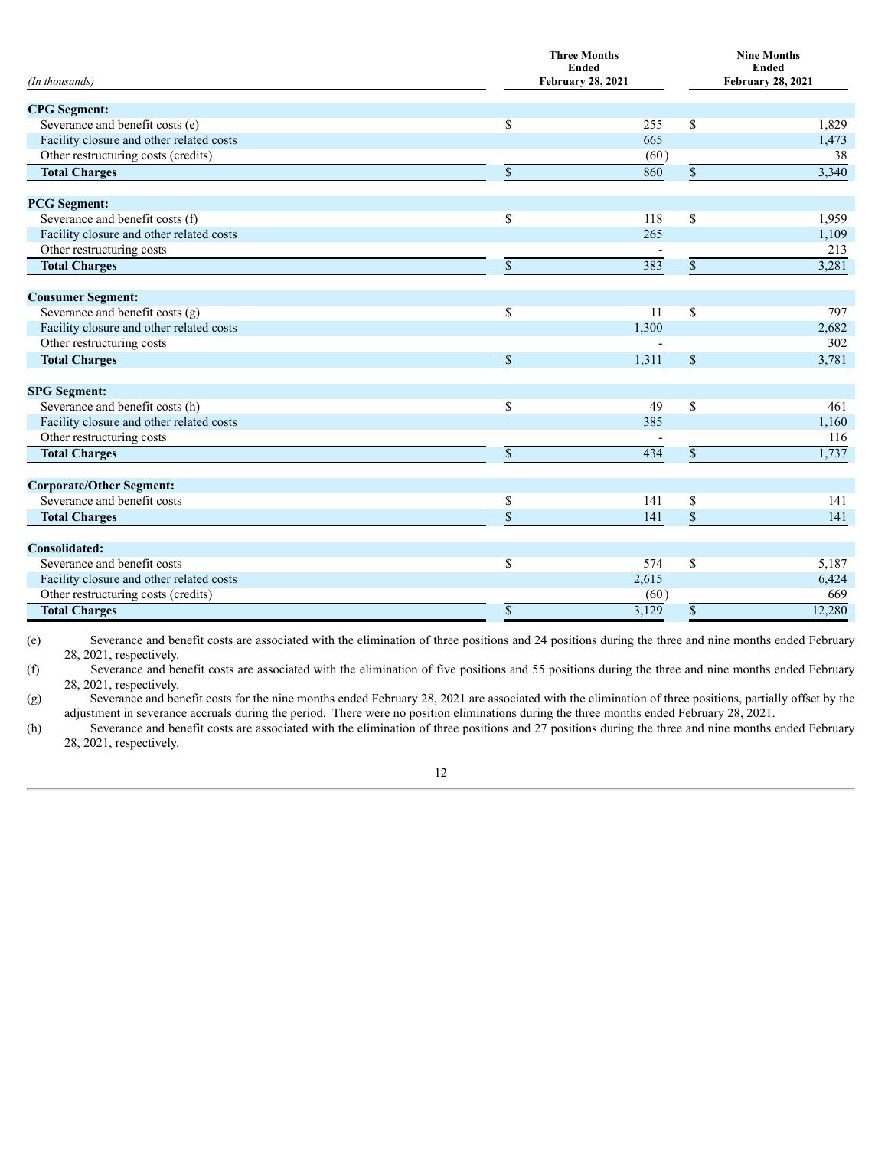| (In thousands)                           |                         | <b>Three Months</b><br><b>Ended</b><br><b>February 28, 2021</b> |                           |        |  |  |  |
|------------------------------------------|-------------------------|-----------------------------------------------------------------|---------------------------|--------|--|--|--|
| <b>CPG</b> Segment:                      |                         |                                                                 |                           |        |  |  |  |
| Severance and benefit costs (e)          | \$                      | 255                                                             | $\mathbb S$               | 1,829  |  |  |  |
| Facility closure and other related costs |                         | 665                                                             |                           | 1,473  |  |  |  |
| Other restructuring costs (credits)      |                         | (60)                                                            |                           | 38     |  |  |  |
| <b>Total Charges</b>                     | \$                      | 860                                                             | $\boldsymbol{\mathsf{S}}$ | 3,340  |  |  |  |
|                                          |                         |                                                                 |                           |        |  |  |  |
| <b>PCG</b> Segment:                      |                         |                                                                 |                           |        |  |  |  |
| Severance and benefit costs (f)          | <sup>\$</sup>           | 118                                                             | \$                        | 1,959  |  |  |  |
| Facility closure and other related costs |                         | 265                                                             |                           | 1,109  |  |  |  |
| Other restructuring costs                |                         |                                                                 |                           | 213    |  |  |  |
| <b>Total Charges</b>                     | \$                      | 383                                                             | $\mathbb{S}$              | 3,281  |  |  |  |
| <b>Consumer Segment:</b>                 |                         |                                                                 |                           |        |  |  |  |
| Severance and benefit costs (g)          | \$                      | 11                                                              | \$                        | 797    |  |  |  |
| Facility closure and other related costs |                         | 1,300                                                           |                           | 2,682  |  |  |  |
| Other restructuring costs                |                         |                                                                 |                           | 302    |  |  |  |
| <b>Total Charges</b>                     | \$                      | 1,311                                                           | $\overline{\$}$           | 3,781  |  |  |  |
| <b>SPG</b> Segment:                      |                         |                                                                 |                           |        |  |  |  |
| Severance and benefit costs (h)          | \$                      | 49                                                              | \$                        | 461    |  |  |  |
| Facility closure and other related costs |                         | 385                                                             |                           | 1,160  |  |  |  |
| Other restructuring costs                |                         |                                                                 |                           | 116    |  |  |  |
| <b>Total Charges</b>                     | $\mathbf S$             | 434                                                             | $\mathbf S$               | 1,737  |  |  |  |
|                                          |                         |                                                                 |                           |        |  |  |  |
| <b>Corporate/Other Segment:</b>          |                         |                                                                 |                           |        |  |  |  |
| Severance and benefit costs              | \$                      | 141                                                             | $\mathbb S$               | 141    |  |  |  |
| <b>Total Charges</b>                     | $\overline{\mathbf{s}}$ | 141                                                             | $\overline{\mathbb{S}}$   | 141    |  |  |  |
| <b>Consolidated:</b>                     |                         |                                                                 |                           |        |  |  |  |
| Severance and benefit costs              | \$                      | 574                                                             | \$                        | 5,187  |  |  |  |
| Facility closure and other related costs |                         | 2,615                                                           |                           | 6,424  |  |  |  |
| Other restructuring costs (credits)      |                         | (60)                                                            |                           | 669    |  |  |  |
| <b>Total Charges</b>                     | $\mathbb S$             | 3,129                                                           | \$                        | 12,280 |  |  |  |

(e) Severance and benefit costs are associated with the elimination of three positions and 24 positions during the three and nine months ended February 28, 2021, respectively.

(f) Severance and benefit costs are associated with the elimination of five positions and 55 positions during the three and nine months ended February 28, 2021, respectively.

(g) Severance and benefit costs for the nine months ended February 28, 2021 are associated with the elimination of three positions, partially offset by the adjustment in severance accruals during the period. There were no position eliminations during the three months ended February 28, 2021.

(h) Severance and benefit costs are associated with the elimination of three positions and 27 positions during the three and nine months ended February 28, 2021, respectively.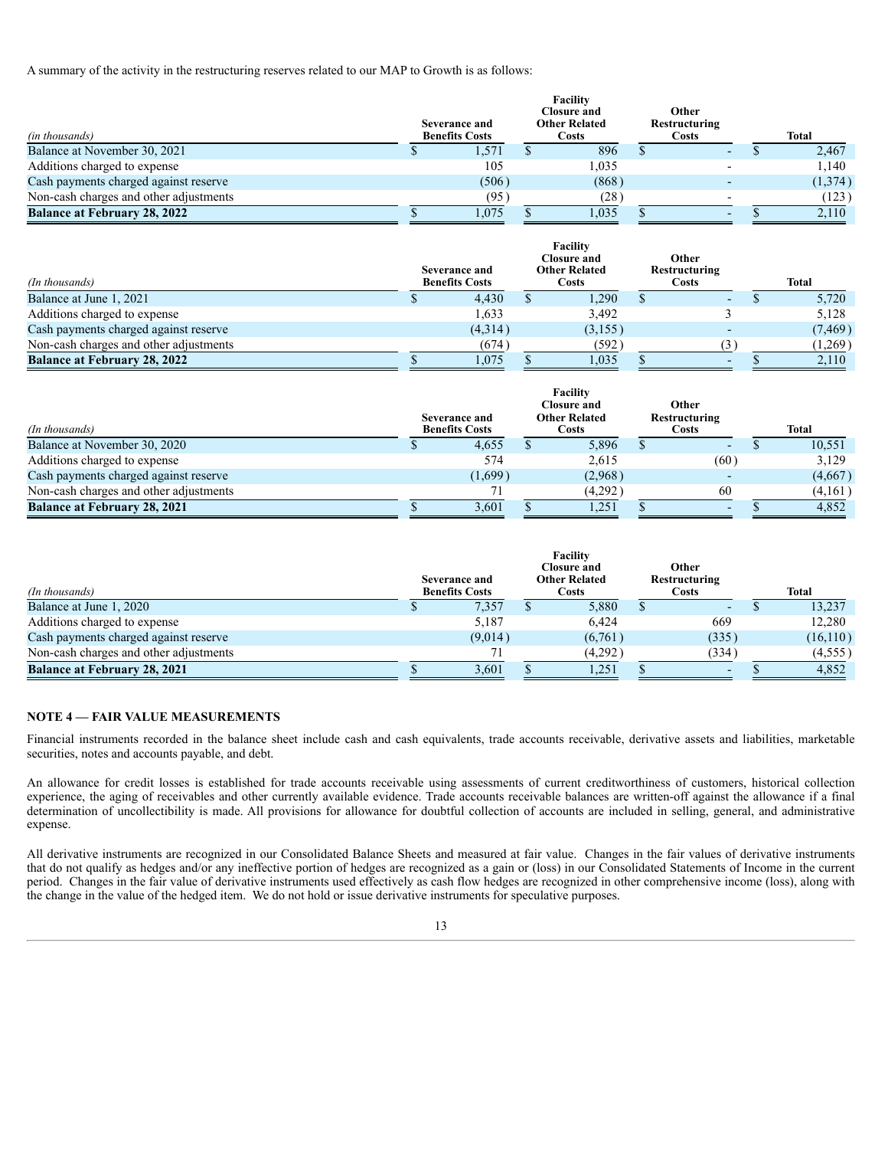A summary of the activity in the restructuring reserves related to our MAP to Growth is as follows:

| (in thousands)                         | <b>Severance and</b><br><b>Benefits Costs</b> | Facility<br>Closure and<br><b>Other Related</b><br>Costs | Other<br>Restructuring<br><b>Costs</b> | Total   |
|----------------------------------------|-----------------------------------------------|----------------------------------------------------------|----------------------------------------|---------|
| Balance at November 30, 2021           | 1.571                                         | 896                                                      |                                        | 2,467   |
| Additions charged to expense           | 105                                           | 1,035                                                    |                                        | 1,140   |
| Cash payments charged against reserve  | (506)                                         | (868)                                                    |                                        | (1,374) |
| Non-cash charges and other adjustments | (95)                                          | (28)                                                     |                                        | (123)   |
| <b>Balance at February 28, 2022</b>    | 1,075                                         | 1,035                                                    | $\overline{\phantom{0}}$               | 2,110   |

| (In thousands)                         | Severance and<br><b>Benefits Costs</b> |         | Facility<br><b>Closure and</b><br><b>Other Related</b><br>Costs | Other<br>Restructuring<br>Costs | <b>Total</b> |
|----------------------------------------|----------------------------------------|---------|-----------------------------------------------------------------|---------------------------------|--------------|
| Balance at June 1, 2021                |                                        | 4,430   | 1,290                                                           | $\overline{\phantom{0}}$        | 5,720        |
| Additions charged to expense           |                                        | 1,633   | 3,492                                                           |                                 | 5,128        |
| Cash payments charged against reserve  |                                        | (4,314) | (3,155)                                                         | $\overline{\phantom{0}}$        | (7, 469)     |
| Non-cash charges and other adjustments |                                        | (674)   | (592)                                                           |                                 | (1,269)      |
| <b>Balance at February 28, 2022</b>    |                                        | 1,075   | 1,035                                                           | $\overline{\phantom{0}}$        | 2.110        |

| (In thousands)                         | <b>Severance and</b><br><b>Benefits Costs</b> | Facility<br><b>Closure and</b><br><b>Other Related</b><br>Costs | Other<br>Restructuring<br>Costs | <b>Total</b> |
|----------------------------------------|-----------------------------------------------|-----------------------------------------------------------------|---------------------------------|--------------|
| Balance at November 30, 2020           | 4,655                                         | 5,896                                                           | $\overline{\phantom{0}}$        | 10,551       |
| Additions charged to expense           | 574                                           | 2,615                                                           | (60)                            | 3,129        |
| Cash payments charged against reserve  | (1,699)                                       | (2,968)                                                         |                                 | (4,667)      |
| Non-cash charges and other adjustments |                                               | (4,292)                                                         | 60                              | (4,161)      |
| <b>Balance at February 28, 2021</b>    | 3,601                                         | 1,251                                                           |                                 | 4,852        |

| (In thousands)                         | <b>Severance and</b><br><b>Benefits Costs</b> |         | Facility<br>Closure and<br><b>Other Related</b><br>Costs | Other<br>Restructuring<br><b>Costs</b> | Total    |
|----------------------------------------|-----------------------------------------------|---------|----------------------------------------------------------|----------------------------------------|----------|
| Balance at June 1, 2020                |                                               | 7,357   | 5,880                                                    | $\overline{\phantom{0}}$               | 13,237   |
| Additions charged to expense           |                                               | 5,187   | 6.424                                                    | 669                                    | 12,280   |
| Cash payments charged against reserve  |                                               | (9,014) | (6,761)                                                  | (335)                                  | (16,110) |
| Non-cash charges and other adjustments |                                               | 71      | (4,292)                                                  | (334)                                  | (4, 555) |
| <b>Balance at February 28, 2021</b>    |                                               | 3,601   | 1,251                                                    | $\overline{\phantom{0}}$               | 4,852    |

## **NOTE 4 — FAIR VALUE MEASUREMENTS**

Financial instruments recorded in the balance sheet include cash and cash equivalents, trade accounts receivable, derivative assets and liabilities, marketable securities, notes and accounts payable, and debt.

An allowance for credit losses is established for trade accounts receivable using assessments of current creditworthiness of customers, historical collection experience, the aging of receivables and other currently available evidence. Trade accounts receivable balances are written-off against the allowance if a final determination of uncollectibility is made. All provisions for allowance for doubtful collection of accounts are included in selling, general, and administrative expense.

All derivative instruments are recognized in our Consolidated Balance Sheets and measured at fair value. Changes in the fair values of derivative instruments that do not qualify as hedges and/or any ineffective portion of hedges are recognized as a gain or (loss) in our Consolidated Statements of Income in the current period. Changes in the fair value of derivative instruments used effectively as cash flow hedges are recognized in other comprehensive income (loss), along with the change in the value of the hedged item. We do not hold or issue derivative instruments for speculative purposes.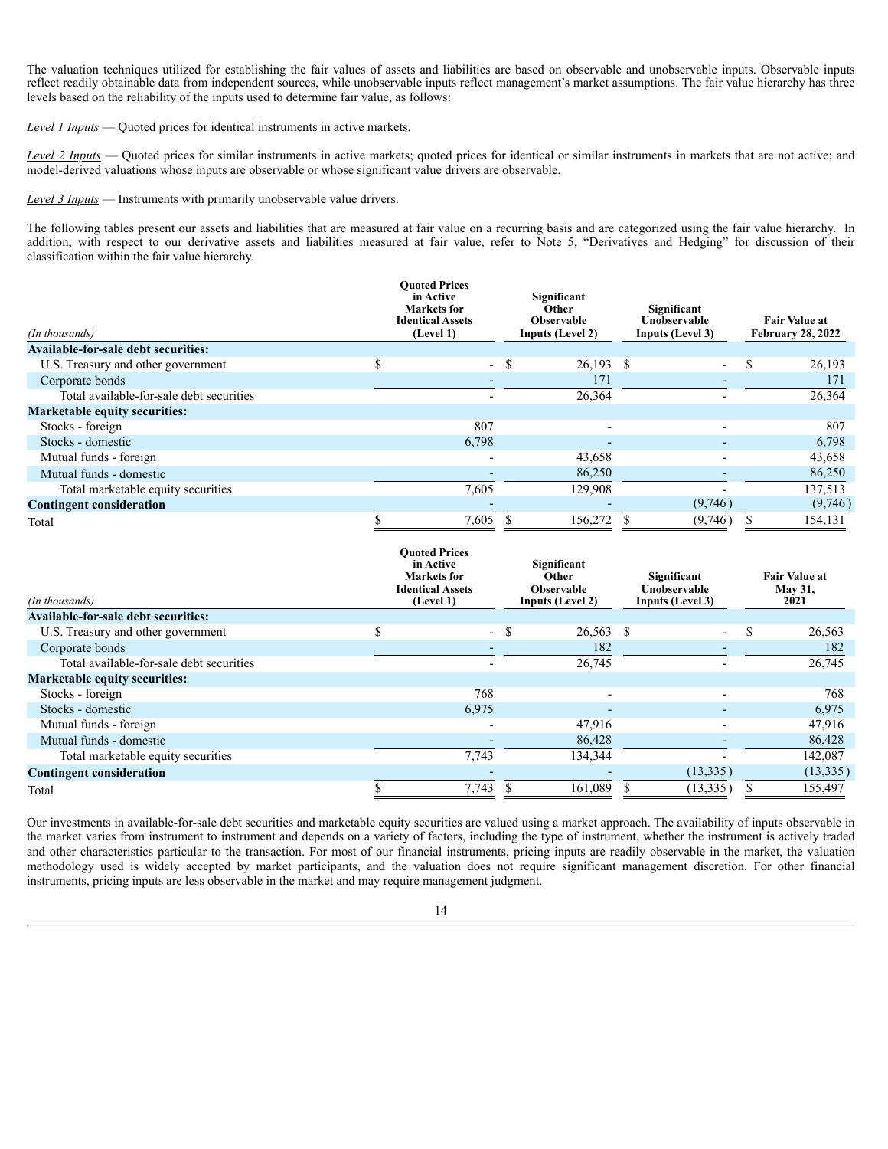The valuation techniques utilized for establishing the fair values of assets and liabilities are based on observable and unobservable inputs. Observable inputs reflect readily obtainable data from independent sources, while unobservable inputs reflect management's market assumptions. The fair value hierarchy has three levels based on the reliability of the inputs used to determine fair value, as follows:

*Level 1 Inputs* — Quoted prices for identical instruments in active markets.

*Level 2 Inputs* — Quoted prices for similar instruments in active markets; quoted prices for identical or similar instruments in markets that are not active; and model-derived valuations whose inputs are observable or whose significant value drivers are observable.

*Level 3 Inputs* — Instruments with primarily unobservable value drivers.

The following tables present our assets and liabilities that are measured at fair value on a recurring basis and are categorized using the fair value hierarchy. In addition, with respect to our derivative assets and liabilities measured at fair value, refer to Note 5, "Derivatives and Hedging" for discussion of their classification within the fair value hierarchy.

| <b>Ouoted Prices</b><br>in Active<br>Markets for<br><b>Identical Assets</b><br>(Level 1) | Significant<br>Other<br><b>Observable</b><br>Inputs (Level 2) | Significant<br>Unobservable<br>Inputs (Level 3) | <b>Fair Value at</b><br><b>February 28, 2022</b> |
|------------------------------------------------------------------------------------------|---------------------------------------------------------------|-------------------------------------------------|--------------------------------------------------|
|                                                                                          |                                                               |                                                 |                                                  |
|                                                                                          |                                                               | $\overline{\phantom{a}}$                        | 26,193                                           |
|                                                                                          | 171                                                           |                                                 | 171                                              |
|                                                                                          | 26,364                                                        |                                                 | 26,364                                           |
|                                                                                          |                                                               |                                                 |                                                  |
| 807                                                                                      |                                                               |                                                 | 807                                              |
| 6,798                                                                                    |                                                               |                                                 | 6,798                                            |
|                                                                                          | 43,658                                                        |                                                 | 43,658                                           |
|                                                                                          | 86,250                                                        |                                                 | 86,250                                           |
| 7,605                                                                                    | 129,908                                                       |                                                 | 137,513                                          |
|                                                                                          |                                                               | (9,746)                                         | (9,746)                                          |
| 7,605                                                                                    | 156,272                                                       | (9,746)                                         | 154,131                                          |
|                                                                                          | $\sim$                                                        | $26,193$ \$                                     | S                                                |

| (In thousands)                             | <b>Ouoted Prices</b><br>in Active<br>Markets for<br><b>Identical Assets</b><br>(Level 1) | Significant<br>Other<br><b>Observable</b><br>Inputs (Level 2) | Significant<br>Unobservable<br>Inputs (Level 3) | <b>Fair Value at</b><br><b>May 31,</b><br>2021 |
|--------------------------------------------|------------------------------------------------------------------------------------------|---------------------------------------------------------------|-------------------------------------------------|------------------------------------------------|
| <b>Available-for-sale debt securities:</b> |                                                                                          |                                                               |                                                 |                                                |
| U.S. Treasury and other government         | $\sim$                                                                                   | 26,563 \$<br>- \$                                             | $\overline{\phantom{0}}$                        | S<br>26,563                                    |
| Corporate bonds                            |                                                                                          | 182                                                           |                                                 | 182                                            |
| Total available-for-sale debt securities   |                                                                                          | 26,745                                                        |                                                 | 26,745                                         |
| <b>Marketable equity securities:</b>       |                                                                                          |                                                               |                                                 |                                                |
| Stocks - foreign                           | 768                                                                                      |                                                               |                                                 | 768                                            |
| Stocks - domestic                          | 6,975                                                                                    |                                                               |                                                 | 6,975                                          |
| Mutual funds - foreign                     |                                                                                          | 47,916                                                        |                                                 | 47,916                                         |
| Mutual funds - domestic                    |                                                                                          | 86,428                                                        |                                                 | 86,428                                         |
| Total marketable equity securities         | 7,743                                                                                    | 134,344                                                       |                                                 | 142,087                                        |
| <b>Contingent consideration</b>            |                                                                                          |                                                               | (13,335)                                        | (13, 335)                                      |
| Total                                      | 7,743                                                                                    | 161,089                                                       | (13, 335)                                       | 155,497                                        |

Our investments in available-for-sale debt securities and marketable equity securities are valued using a market approach. The availability of inputs observable in the market varies from instrument to instrument and depends on a variety of factors, including the type of instrument, whether the instrument is actively traded and other characteristics particular to the transaction. For most of our financial instruments, pricing inputs are readily observable in the market, the valuation methodology used is widely accepted by market participants, and the valuation does not require significant management discretion. For other financial instruments, pricing inputs are less observable in the market and may require management judgment.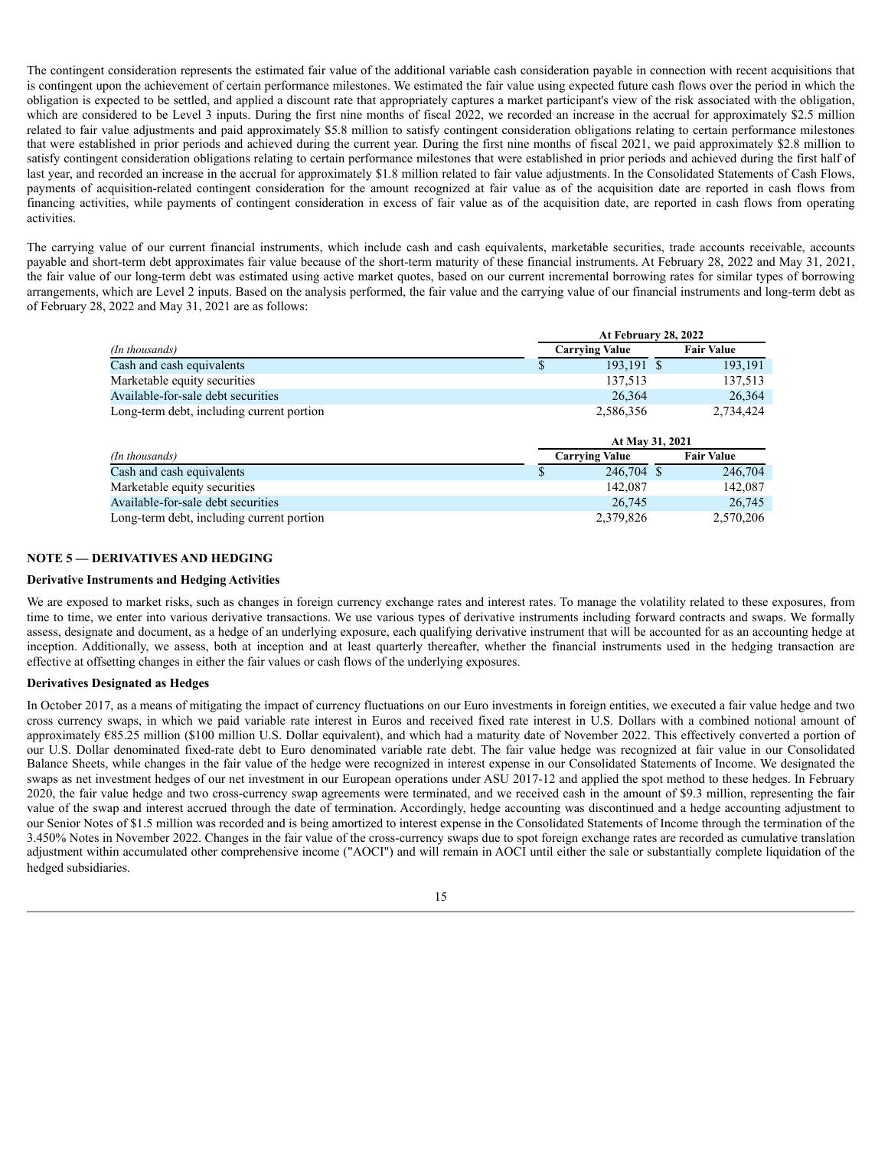The contingent consideration represents the estimated fair value of the additional variable cash consideration payable in connection with recent acquisitions that is contingent upon the achievement of certain performance milestones. We estimated the fair value using expected future cash flows over the period in which the obligation is expected to be settled, and applied a discount rate that appropriately captures a market participant's view of the risk associated with the obligation, which are considered to be Level 3 inputs. During the first nine months of fiscal 2022, we recorded an increase in the accrual for approximately \$2.5 million related to fair value adjustments and paid approximately \$5.8 million to satisfy contingent consideration obligations relating to certain performance milestones that were established in prior periods and achieved during the current year. During the first nine months of fiscal 2021, we paid approximately \$2.8 million to satisfy contingent consideration obligations relating to certain performance milestones that were established in prior periods and achieved during the first half of last year, and recorded an increase in the accrual for approximately \$1.8 million related to fair value adjustments. In the Consolidated Statements of Cash Flows, payments of acquisition-related contingent consideration for the amount recognized at fair value as of the acquisition date are reported in cash flows from financing activities, while payments of contingent consideration in excess of fair value as of the acquisition date, are reported in cash flows from operating activities.

The carrying value of our current financial instruments, which include cash and cash equivalents, marketable securities, trade accounts receivable, accounts payable and short-term debt approximates fair value because of the short-term maturity of these financial instruments. At February 28, 2022 and May 31, 2021, the fair value of our long-term debt was estimated using active market quotes, based on our current incremental borrowing rates for similar types of borrowing arrangements, which are Level 2 inputs. Based on the analysis performed, the fair value and the carrying value of our financial instruments and long-term debt as of February 28, 2022 and May 31, 2021 are as follows:

|                                           | At February 28, 2022 |                       |  |                   |  |  |  |  |  |
|-------------------------------------------|----------------------|-----------------------|--|-------------------|--|--|--|--|--|
| (In thousands)                            |                      | <b>Carrying Value</b> |  | <b>Fair Value</b> |  |  |  |  |  |
| Cash and cash equivalents                 |                      | 193.191 \$            |  | 193,191           |  |  |  |  |  |
| Marketable equity securities              |                      | 137,513               |  | 137,513           |  |  |  |  |  |
| Available-for-sale debt securities        |                      | 26,364                |  | 26.364            |  |  |  |  |  |
| Long-term debt, including current portion |                      | 2,586,356             |  | 2,734,424         |  |  |  |  |  |

|                                           | At May 31, 2021       |  |                   |  |  |  |  |  |
|-------------------------------------------|-----------------------|--|-------------------|--|--|--|--|--|
| (In thousands)                            | <b>Carrying Value</b> |  | <b>Fair Value</b> |  |  |  |  |  |
| Cash and cash equivalents                 | 246,704 \$            |  | 246,704           |  |  |  |  |  |
| Marketable equity securities              | 142.087               |  | 142.087           |  |  |  |  |  |
| Available-for-sale debt securities        | 26,745                |  | 26.745            |  |  |  |  |  |
| Long-term debt, including current portion | 2,379,826             |  | 2,570,206         |  |  |  |  |  |

#### **NOTE 5 — DERIVATIVES AND HEDGING**

#### **Derivative Instruments and Hedging Activities**

We are exposed to market risks, such as changes in foreign currency exchange rates and interest rates. To manage the volatility related to these exposures, from time to time, we enter into various derivative transactions. We use various types of derivative instruments including forward contracts and swaps. We formally assess, designate and document, as a hedge of an underlying exposure, each qualifying derivative instrument that will be accounted for as an accounting hedge at inception. Additionally, we assess, both at inception and at least quarterly thereafter, whether the financial instruments used in the hedging transaction are effective at offsetting changes in either the fair values or cash flows of the underlying exposures.

#### **Derivatives Designated as Hedges**

In October 2017, as a means of mitigating the impact of currency fluctuations on our Euro investments in foreign entities, we executed a fair value hedge and two cross currency swaps, in which we paid variable rate interest in Euros and received fixed rate interest in U.S. Dollars with a combined notional amount of approximately €85.25 million (\$100 million U.S. Dollar equivalent), and which had a maturity date of November 2022. This effectively converted a portion of our U.S. Dollar denominated fixed-rate debt to Euro denominated variable rate debt. The fair value hedge was recognized at fair value in our Consolidated Balance Sheets, while changes in the fair value of the hedge were recognized in interest expense in our Consolidated Statements of Income. We designated the swaps as net investment hedges of our net investment in our European operations under ASU 2017-12 and applied the spot method to these hedges. In February 2020, the fair value hedge and two cross-currency swap agreements were terminated, and we received cash in the amount of \$9.3 million, representing the fair value of the swap and interest accrued through the date of termination. Accordingly, hedge accounting was discontinued and a hedge accounting adjustment to our Senior Notes of \$1.5 million was recorded and is being amortized to interest expense in the Consolidated Statements of Income through the termination of the 3.450% Notes in November 2022. Changes in the fair value of the cross-currency swaps due to spot foreign exchange rates are recorded as cumulative translation adjustment within accumulated other comprehensive income ("AOCI") and will remain in AOCI until either the sale or substantially complete liquidation of the hedged subsidiaries.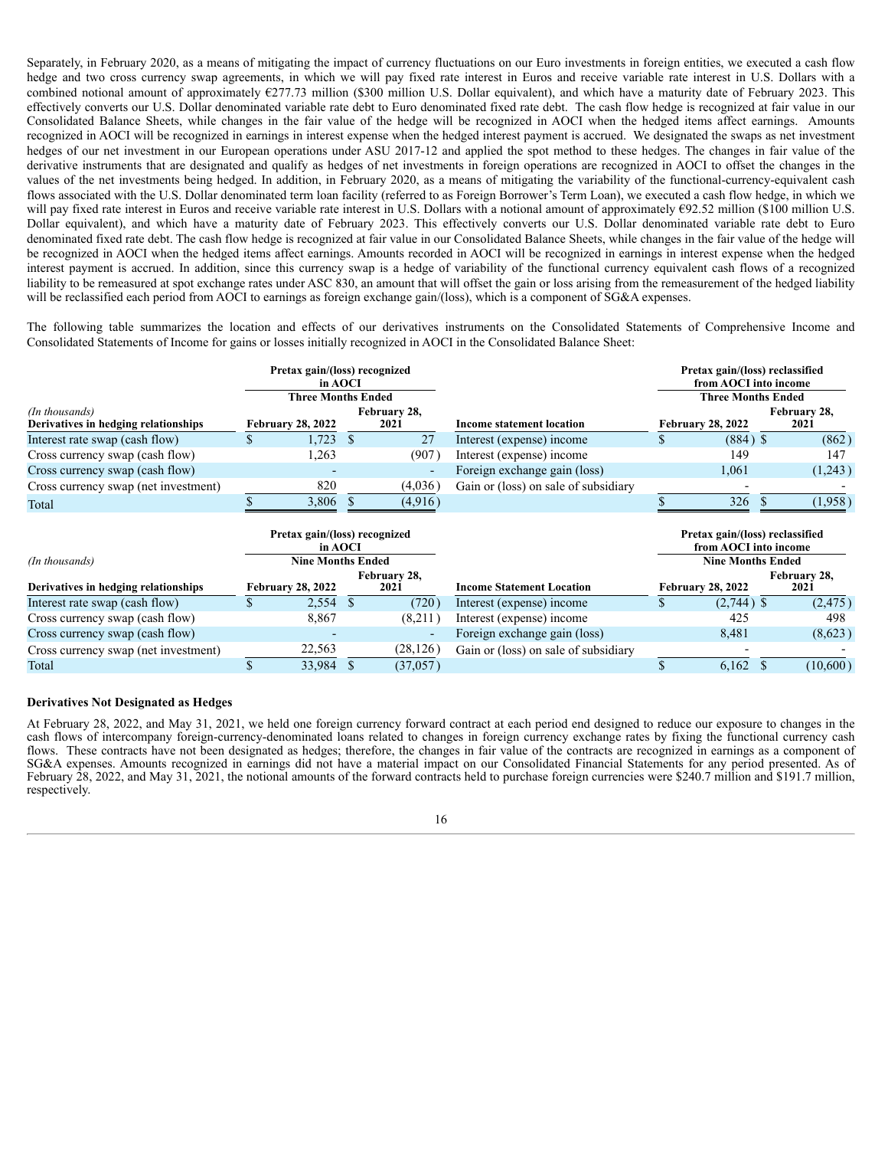Separately, in February 2020, as a means of mitigating the impact of currency fluctuations on our Euro investments in foreign entities, we executed a cash flow hedge and two cross currency swap agreements, in which we will pay fixed rate interest in Euros and receive variable rate interest in U.S. Dollars with a combined notional amount of approximately €277.73 million (\$300 million U.S. Dollar equivalent), and which have a maturity date of February 2023. This effectively converts our U.S. Dollar denominated variable rate debt to Euro denominated fixed rate debt. The cash flow hedge is recognized at fair value in our Consolidated Balance Sheets, while changes in the fair value of the hedge will be recognized in AOCI when the hedged items affect earnings. Amounts recognized in AOCI will be recognized in earnings in interest expense when the hedged interest payment is accrued. We designated the swaps as net investment hedges of our net investment in our European operations under ASU 2017-12 and applied the spot method to these hedges. The changes in fair value of the derivative instruments that are designated and qualify as hedges of net investments in foreign operations are recognized in AOCI to offset the changes in the values of the net investments being hedged. In addition, in February 2020, as a means of mitigating the variability of the functional-currency-equivalent cash flows associated with the U.S. Dollar denominated term loan facility (referred to as Foreign Borrower's Term Loan), we executed a cash flow hedge, in which we will pay fixed rate interest in Euros and receive variable rate interest in U.S. Dollars with a notional amount of approximately €92.52 million (\$100 million U.S. Dollar equivalent), and which have a maturity date of February 2023. This effectively converts our U.S. Dollar denominated variable rate debt to Euro denominated fixed rate debt. The cash flow hedge is recognized at fair value in our Consolidated Balance Sheets, while changes in the fair value of the hedge will be recognized in AOCI when the hedged items affect earnings. Amounts recorded in AOCI will be recognized in earnings in interest expense when the hedged interest payment is accrued. In addition, since this currency swap is a hedge of variability of the functional currency equivalent cash flows of a recognized liability to be remeasured at spot exchange rates under ASC 830, an amount that will offset the gain or loss arising from the remeasurement of the hedged liability will be reclassified each period from AOCI to earnings as foreign exchange gain/(loss), which is a component of SG&A expenses.

The following table summarizes the location and effects of our derivatives instruments on the Consolidated Statements of Comprehensive Income and Consolidated Statements of Income for gains or losses initially recognized in AOCI in the Consolidated Balance Sheet:

|                                      |  | Pretax gain/(loss) recognized<br>in AOCI |  |                |                                      | Pretax gain/(loss) reclassified<br>from AOCI into income |              |
|--------------------------------------|--|------------------------------------------|--|----------------|--------------------------------------|----------------------------------------------------------|--------------|
| <b>Three Months Ended</b>            |  |                                          |  |                |                                      | <b>Three Months Ended</b>                                |              |
| (In thousands)                       |  |                                          |  | February 28,   |                                      |                                                          | February 28, |
| Derivatives in hedging relationships |  | <b>February 28, 2022</b>                 |  | 2021           | <b>Income statement location</b>     | <b>February 28, 2022</b>                                 | 2021         |
| Interest rate swap (cash flow)       |  | 1,723                                    |  | 27             | Interest (expense) income            | $(884)$ \$                                               | (862)        |
| Cross currency swap (cash flow)      |  | 1,263                                    |  | (907)          | Interest (expense) income            | 149                                                      | 147          |
| Cross currency swap (cash flow)      |  |                                          |  | $\overline{a}$ | Foreign exchange gain (loss)         | 1.061                                                    | (1,243)      |
| Cross currency swap (net investment) |  | 820                                      |  | (4,036)        | Gain or (loss) on sale of subsidiary |                                                          |              |
| Total                                |  | 3,806                                    |  | (4,916)        |                                      | 326 <sub>5</sub>                                         | (1,958)      |

|                                      | Pretax gain/(loss) recognized<br>in AOCI |    |                          |                                      | Pretax gain/(loss) reclassified<br>from AOCI into income |                      |
|--------------------------------------|------------------------------------------|----|--------------------------|--------------------------------------|----------------------------------------------------------|----------------------|
| (In thousands)                       | <b>Nine Months Ended</b>                 |    |                          |                                      | <b>Nine Months Ended</b>                                 |                      |
| Derivatives in hedging relationships | <b>February 28, 2022</b>                 |    | February 28.<br>2021     | <b>Income Statement Location</b>     | <b>February 28, 2022</b>                                 | February 28,<br>2021 |
| Interest rate swap (cash flow)       | 2,554                                    | -S | (720)                    | Interest (expense) income            | $(2,744)$ \$                                             | (2, 475)             |
| Cross currency swap (cash flow)      | 8,867                                    |    | (8,211)                  | Interest (expense) income            | 425                                                      | 498                  |
| Cross currency swap (cash flow)      |                                          |    | $\overline{\phantom{0}}$ | Foreign exchange gain (loss)         | 8,481                                                    | (8,623)              |
| Cross currency swap (net investment) | 22,563                                   |    | (28, 126)                | Gain or (loss) on sale of subsidiary |                                                          |                      |
| Total                                | 33,984                                   |    | (37,057)                 |                                      | $6,162$ \$                                               | (10,600)             |

#### **Derivatives Not Designated as Hedges**

At February 28, 2022, and May 31, 2021, we held one foreign currency forward contract at each period end designed to reduce our exposure to changes in the cash flows of intercompany foreign-currency-denominated loans related to changes in foreign currency exchange rates by fixing the functional currency cash flows. These contracts have not been designated as hedges; therefore, the changes in fair value of the contracts are recognized in earnings as a component of SG&A expenses. Amounts recognized in earnings did not have a material impact on our Consolidated Financial Statements for any period presented. As of February 28, 2022, and May 31, 2021, the notional amounts of the forward contracts held to purchase foreign currencies were \$240.7 million and \$191.7 million, respectively.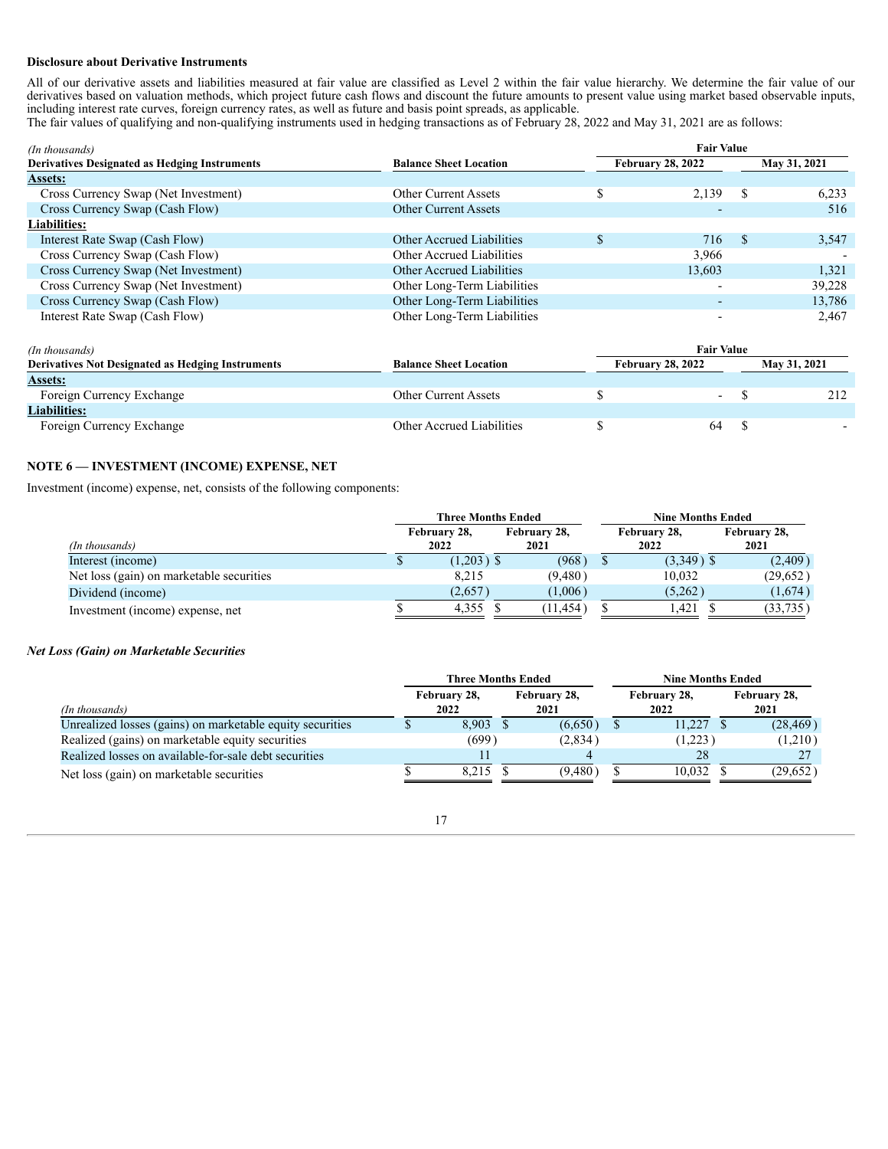#### **Disclosure about Derivative Instruments**

All of our derivative assets and liabilities measured at fair value are classified as Level 2 within the fair value hierarchy. We determine the fair value of our derivatives based on valuation methods, which project future cash flows and discount the future amounts to present value using market based observable inputs, including interest rate curves, foreign currency rates, as well as future and basis point spreads, as applicable.

The fair values of qualifying and non-qualifying instruments used in hedging transactions as of February 28, 2022 and May 31, 2021 are as follows:

| (In thousands)                                       |                                  |    | <b>Fair Value</b>        |     |              |  |  |  |
|------------------------------------------------------|----------------------------------|----|--------------------------|-----|--------------|--|--|--|
| <b>Derivatives Designated as Hedging Instruments</b> | <b>Balance Sheet Location</b>    |    | <b>February 28, 2022</b> |     | May 31, 2021 |  |  |  |
| <b>Assets:</b>                                       |                                  |    |                          |     |              |  |  |  |
| Cross Currency Swap (Net Investment)                 | <b>Other Current Assets</b>      |    | 2.139                    |     | 6,233        |  |  |  |
| Cross Currency Swap (Cash Flow)                      | <b>Other Current Assets</b>      |    |                          |     | 516          |  |  |  |
| <b>Liabilities:</b>                                  |                                  |    |                          |     |              |  |  |  |
| Interest Rate Swap (Cash Flow)                       | <b>Other Accrued Liabilities</b> | \$ | 716                      | - S | 3,547        |  |  |  |
| Cross Currency Swap (Cash Flow)                      | <b>Other Accrued Liabilities</b> |    | 3.966                    |     |              |  |  |  |
| Cross Currency Swap (Net Investment)                 | <b>Other Accrued Liabilities</b> |    | 13,603                   |     | 1,321        |  |  |  |
| Cross Currency Swap (Net Investment)                 | Other Long-Term Liabilities      |    |                          |     | 39.228       |  |  |  |
| Cross Currency Swap (Cash Flow)                      | Other Long-Term Liabilities      |    | $\overline{\phantom{0}}$ |     | 13,786       |  |  |  |
| Interest Rate Swap (Cash Flow)                       | Other Long-Term Liabilities      |    |                          |     | 2,467        |  |  |  |
|                                                      |                                  |    |                          |     |              |  |  |  |

| (In thousands)                                           | <b>Fair Value</b>             |                          |  |              |  |
|----------------------------------------------------------|-------------------------------|--------------------------|--|--------------|--|
| <b>Derivatives Not Designated as Hedging Instruments</b> | <b>Balance Sheet Location</b> | <b>February 28, 2022</b> |  | May 31, 2021 |  |
| <b>Assets:</b>                                           |                               |                          |  |              |  |
| Foreign Currency Exchange                                | Other Current Assets          | $\sim$                   |  |              |  |
| <b>Liabilities:</b>                                      |                               |                          |  |              |  |
| Foreign Currency Exchange                                | Other Accrued Liabilities     | 64                       |  |              |  |

## **NOTE 6 — INVESTMENT (INCOME) EXPENSE, NET**

Investment (income) expense, net, consists of the following components:

|                                          |  | <b>Three Months Ended</b> |              |  | <b>Nine Months Ended</b> |  |              |
|------------------------------------------|--|---------------------------|--------------|--|--------------------------|--|--------------|
|                                          |  | February 28,              | February 28, |  | February 28,             |  | February 28, |
| (In thousands)                           |  | 2022                      | 2021         |  | 2022                     |  | 2021         |
| Interest (income)                        |  | $(1,203)$ \$              | (968)        |  | $(3,349)$ \$             |  | (2,409)      |
| Net loss (gain) on marketable securities |  | 8.215                     | (9,480)      |  | 10,032                   |  | (29,652)     |
| Dividend (income)                        |  | (2,657)                   | (1,006)      |  | (5,262)                  |  | (1,674)      |
| Investment (income) expense, net         |  | 4,355                     | (11,454)     |  | 1,421                    |  | (33, 735)    |

#### *Net Loss (Gain) on Marketable Securities*

|                                                           | <b>Three Months Ended</b> |                      |  |                      |  | <b>Nine Months Ended</b> |                      |           |  |
|-----------------------------------------------------------|---------------------------|----------------------|--|----------------------|--|--------------------------|----------------------|-----------|--|
| (In thousands)                                            |                           | February 28,<br>2022 |  | February 28,<br>2021 |  | February 28,<br>2022     | February 28,<br>2021 |           |  |
| Unrealized losses (gains) on marketable equity securities |                           | 8,903                |  | (6,650)              |  | 11,227                   |                      | (28, 469) |  |
| Realized (gains) on marketable equity securities          |                           | (699)                |  | (2,834)              |  | (1,223)                  |                      | (1,210)   |  |
| Realized losses on available-for-sale debt securities     |                           |                      |  |                      |  | 28                       |                      |           |  |
| Net loss (gain) on marketable securities                  |                           | 8.215                |  | (9.480)              |  | 10.032                   |                      | (29,652)  |  |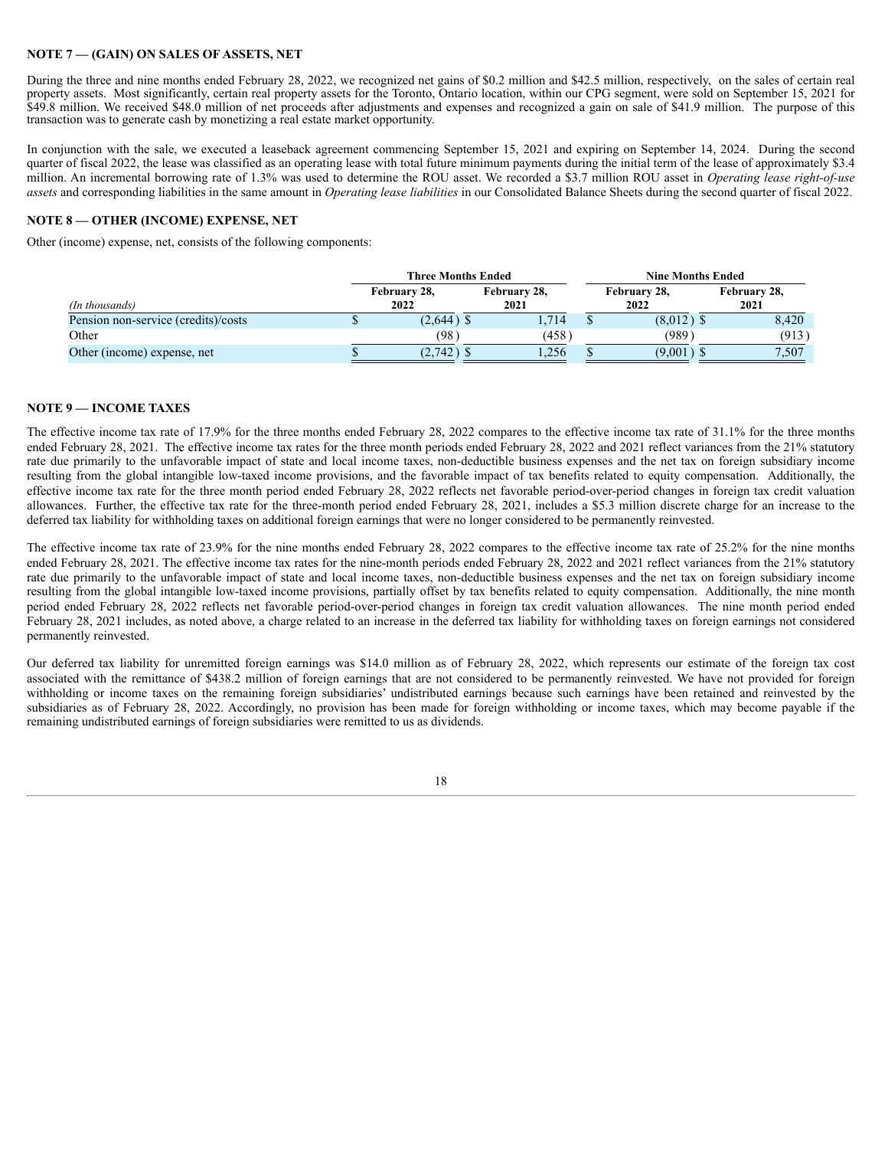#### **NOTE 7 — (GAIN) ON SALES OF ASSETS, NET**

During the three and nine months ended February 28, 2022, we recognized net gains of \$0.2 million and \$42.5 million, respectively, on the sales of certain real property assets. Most significantly, certain real property assets for the Toronto, Ontario location, within our CPG segment, were sold on September 15, 2021 for \$49.8 million. We received \$48.0 million of net proceeds after adjustments and expenses and recognized a gain on sale of \$41.9 million. The purpose of this transaction was to generate cash by monetizing a real estate market opportunity.

In conjunction with the sale, we executed a leaseback agreement commencing September 15, 2021 and expiring on September 14, 2024. During the second quarter of fiscal 2022, the lease was classified as an operating lease with total future minimum payments during the initial term of the lease of approximately \$3.4 million. An incremental borrowing rate of 1.3% was used to determine the ROU asset. We recorded a \$3.7 million ROU asset in *Operating lease right-of-use assets* and corresponding liabilities in the same amount in *Operating lease liabilities* in our Consolidated Balance Sheets during the second quarter of fiscal 2022.

#### **NOTE 8 — OTHER (INCOME) EXPENSE, NET**

Other (income) expense, net, consists of the following components:

|                                     | <b>Three Months Ended</b> |              | <b>Nine Months Ended</b> |              |              |  |  |
|-------------------------------------|---------------------------|--------------|--------------------------|--------------|--------------|--|--|
|                                     | February 28,              | February 28, |                          | February 28, | February 28, |  |  |
| (In thousands)                      | 2022                      | 2021         |                          | 2022         | 2021         |  |  |
| Pension non-service (credits)/costs | $(2,644)$ \$              | l.714        |                          | $(8.012)$ \$ | 8,420        |  |  |
| Other                               | (98)                      | (458)        |                          | (989)        | (913)        |  |  |
| Other (income) expense, net         | $(2,742)$ \$              | .256         |                          | $(9,001)$ \$ | 7,507        |  |  |

## **NOTE 9 — INCOME TAXES**

The effective income tax rate of 17.9% for the three months ended February 28, 2022 compares to the effective income tax rate of 31.1% for the three months ended February 28, 2021. The effective income tax rates for the three month periods ended February 28, 2022 and 2021 reflect variances from the 21% statutory rate due primarily to the unfavorable impact of state and local income taxes, non-deductible business expenses and the net tax on foreign subsidiary income resulting from the global intangible low-taxed income provisions, and the favorable impact of tax benefits related to equity compensation. Additionally, the effective income tax rate for the three month period ended February 28, 2022 reflects net favorable period-over-period changes in foreign tax credit valuation allowances. Further, the effective tax rate for the three-month period ended February 28, 2021, includes a \$5.3 million discrete charge for an increase to the deferred tax liability for withholding taxes on additional foreign earnings that were no longer considered to be permanently reinvested.

The effective income tax rate of 23.9% for the nine months ended February 28, 2022 compares to the effective income tax rate of 25.2% for the nine months ended February 28, 2021. The effective income tax rates for the nine-month periods ended February 28, 2022 and 2021 reflect variances from the 21% statutory rate due primarily to the unfavorable impact of state and local income taxes, non-deductible business expenses and the net tax on foreign subsidiary income resulting from the global intangible low-taxed income provisions, partially offset by tax benefits related to equity compensation. Additionally, the nine month period ended February 28, 2022 reflects net favorable period-over-period changes in foreign tax credit valuation allowances. The nine month period ended February 28, 2021 includes, as noted above, a charge related to an increase in the deferred tax liability for withholding taxes on foreign earnings not considered permanently reinvested.

Our deferred tax liability for unremitted foreign earnings was \$14.0 million as of February 28, 2022, which represents our estimate of the foreign tax cost associated with the remittance of \$438.2 million of foreign earnings that are not considered to be permanently reinvested. We have not provided for foreign withholding or income taxes on the remaining foreign subsidiaries' undistributed earnings because such earnings have been retained and reinvested by the subsidiaries as of February 28, 2022. Accordingly, no provision has been made for foreign withholding or income taxes, which may become payable if the remaining undistributed earnings of foreign subsidiaries were remitted to us as dividends.

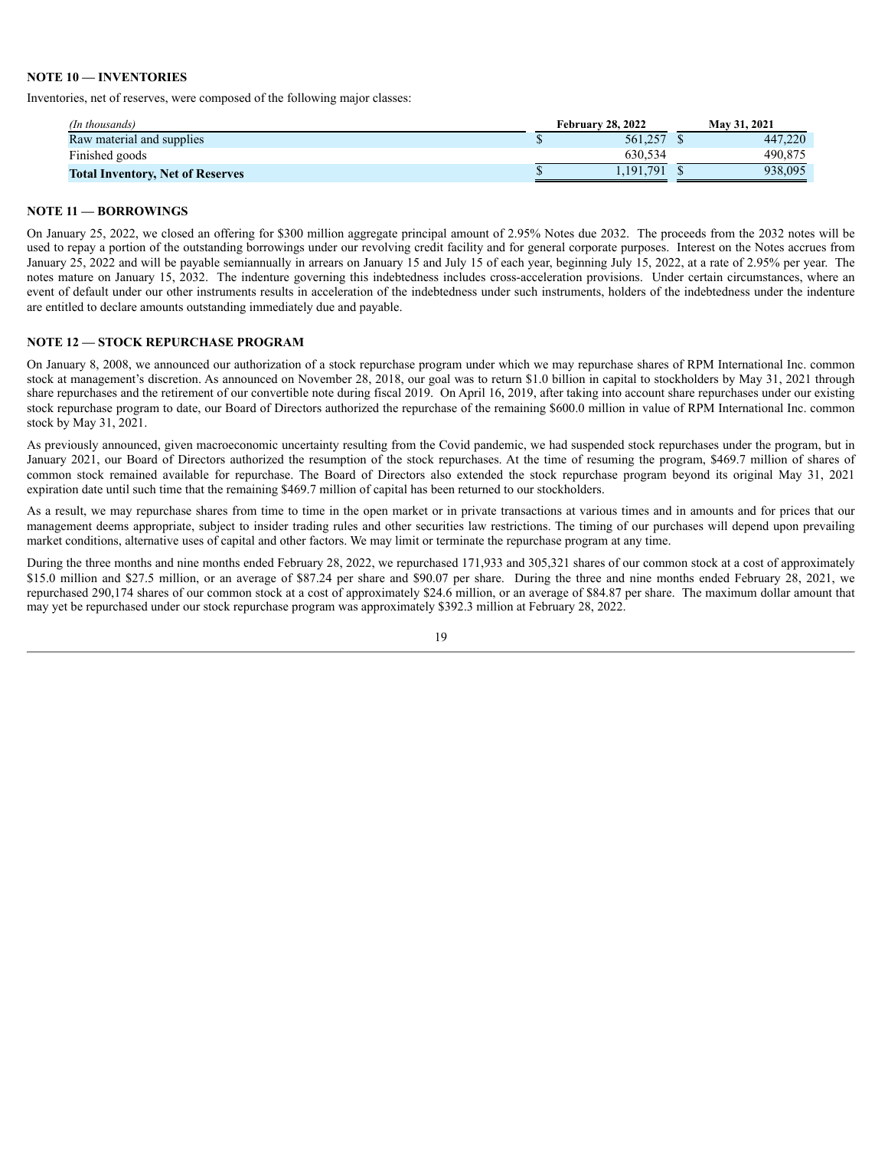## **NOTE 10 — INVENTORIES**

Inventories, net of reserves, were composed of the following major classes:

| (In thousands)                          | <b>February 28, 2022</b> |          | May 31, 2021 |
|-----------------------------------------|--------------------------|----------|--------------|
| Raw material and supplies               |                          | 561.257  | 447.220      |
| Finished goods                          |                          | 630.534  | 490.875      |
| <b>Total Inventory, Net of Reserves</b> |                          | .191.791 | 938.095      |

#### **NOTE 11 — BORROWINGS**

On January 25, 2022, we closed an offering for \$300 million aggregate principal amount of 2.95% Notes due 2032. The proceeds from the 2032 notes will be used to repay a portion of the outstanding borrowings under our revolving credit facility and for general corporate purposes. Interest on the Notes accrues from January 25, 2022 and will be payable semiannually in arrears on January 15 and July 15 of each year, beginning July 15, 2022, at a rate of 2.95% per year. The notes mature on January 15, 2032. The indenture governing this indebtedness includes cross-acceleration provisions. Under certain circumstances, where an event of default under our other instruments results in acceleration of the indebtedness under such instruments, holders of the indebtedness under the indenture are entitled to declare amounts outstanding immediately due and payable.

## **NOTE 12 — STOCK REPURCHASE PROGRAM**

On January 8, 2008, we announced our authorization of a stock repurchase program under which we may repurchase shares of RPM International Inc. common stock at management's discretion. As announced on November 28, 2018, our goal was to return \$1.0 billion in capital to stockholders by May 31, 2021 through share repurchases and the retirement of our convertible note during fiscal 2019. On April 16, 2019, after taking into account share repurchases under our existing stock repurchase program to date, our Board of Directors authorized the repurchase of the remaining \$600.0 million in value of RPM International Inc. common stock by May 31, 2021.

As previously announced, given macroeconomic uncertainty resulting from the Covid pandemic, we had suspended stock repurchases under the program, but in January 2021, our Board of Directors authorized the resumption of the stock repurchases. At the time of resuming the program, \$469.7 million of shares of common stock remained available for repurchase. The Board of Directors also extended the stock repurchase program beyond its original May 31, 2021 expiration date until such time that the remaining \$469.7 million of capital has been returned to our stockholders.

As a result, we may repurchase shares from time to time in the open market or in private transactions at various times and in amounts and for prices that our management deems appropriate, subject to insider trading rules and other securities law restrictions. The timing of our purchases will depend upon prevailing market conditions, alternative uses of capital and other factors. We may limit or terminate the repurchase program at any time.

During the three months and nine months ended February 28, 2022, we repurchased 171,933 and 305,321 shares of our common stock at a cost of approximately \$15.0 million and \$27.5 million, or an average of \$87.24 per share and \$90.07 per share. During the three and nine months ended February 28, 2021, we repurchased 290,174 shares of our common stock at a cost of approximately \$24.6 million, or an average of \$84.87 per share. The maximum dollar amount that may yet be repurchased under our stock repurchase program was approximately \$392.3 million at February 28, 2022.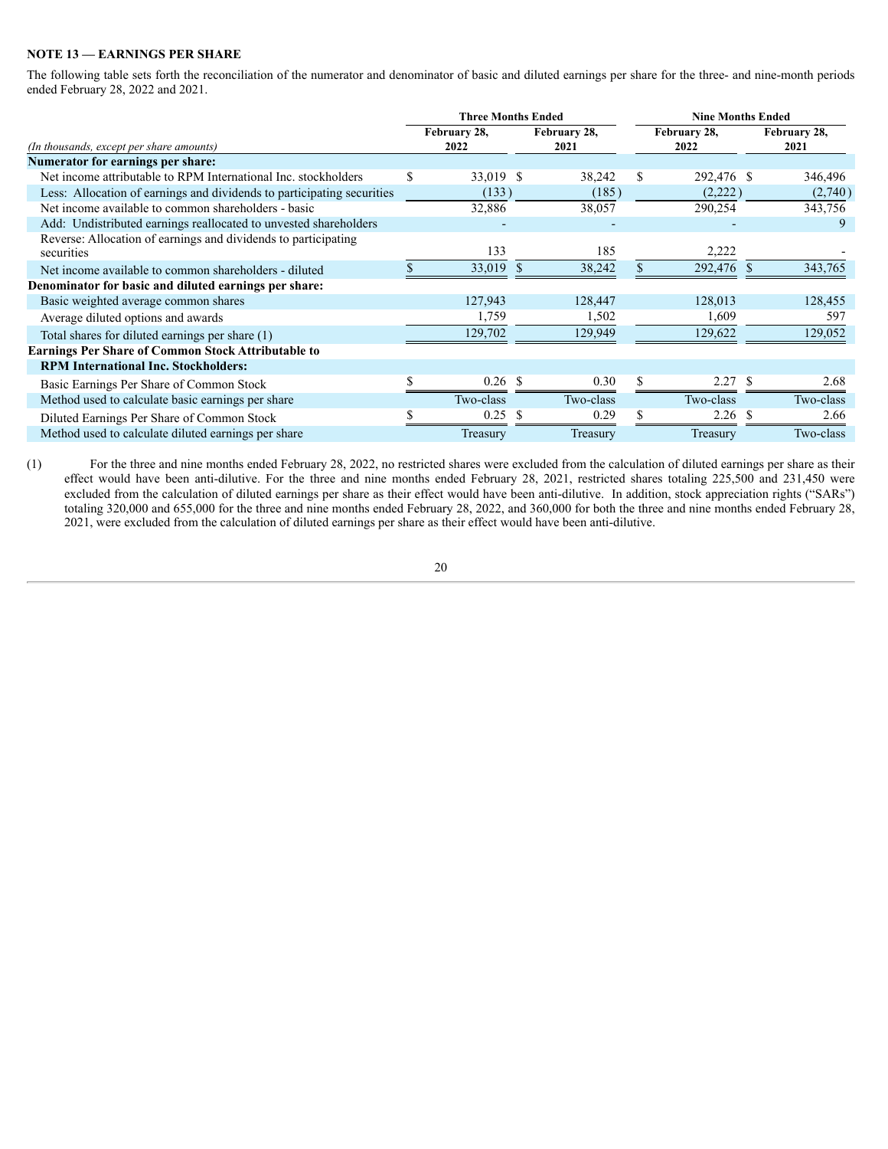#### **NOTE 13 — EARNINGS PER SHARE**

The following table sets forth the reconciliation of the numerator and denominator of basic and diluted earnings per share for the three- and nine-month periods ended February 28, 2022 and 2021.

|                                                                              | <b>Three Months Ended</b> |    |                      | <b>Nine Months Ended</b> |            |     |                      |
|------------------------------------------------------------------------------|---------------------------|----|----------------------|--------------------------|------------|-----|----------------------|
| (In thousands, except per share amounts)                                     | February 28,<br>2022      |    | February 28,<br>2021 | February 28,<br>2022     |            |     | February 28,<br>2021 |
| <b>Numerator for earnings per share:</b>                                     |                           |    |                      |                          |            |     |                      |
| Net income attributable to RPM International Inc. stockholders               | 33,019 \$                 |    | 38,242               | S                        | 292,476 \$ |     | 346,496              |
| Less: Allocation of earnings and dividends to participating securities       | (133)                     |    | (185)                |                          | (2,222)    |     | (2,740)              |
| Net income available to common shareholders - basic                          | 32,886                    |    | 38,057               |                          | 290,254    |     | 343,756              |
| Add: Undistributed earnings reallocated to unvested shareholders             |                           |    |                      |                          |            |     |                      |
| Reverse: Allocation of earnings and dividends to participating<br>securities | 133                       |    | 185                  |                          | 2,222      |     |                      |
| Net income available to common shareholders - diluted                        | 33,019 \$                 |    | 38,242               | \$                       | 292,476 \$ |     | 343,765              |
| Denominator for basic and diluted earnings per share:                        |                           |    |                      |                          |            |     |                      |
| Basic weighted average common shares                                         | 127,943                   |    | 128,447              |                          | 128,013    |     | 128,455              |
| Average diluted options and awards                                           | 1,759                     |    | 1,502                |                          | 1,609      |     | 597                  |
| Total shares for diluted earnings per share (1)                              | 129,702                   |    | 129,949              |                          | 129,622    |     | 129,052              |
| <b>Earnings Per Share of Common Stock Attributable to</b>                    |                           |    |                      |                          |            |     |                      |
| <b>RPM International Inc. Stockholders:</b>                                  |                           |    |                      |                          |            |     |                      |
| Basic Earnings Per Share of Common Stock                                     | $0.26$ \$                 |    | 0.30                 | \$                       | 2.27       |     | 2.68                 |
| Method used to calculate basic earnings per share                            | Two-class                 |    | Two-class            |                          | Two-class  |     | Two-class            |
| Diluted Earnings Per Share of Common Stock                                   | 0.25                      | -S | 0.29                 | \$                       | 2.26       | - S | 2.66                 |
| Method used to calculate diluted earnings per share                          | Treasury                  |    | Treasury             |                          | Treasury   |     | Two-class            |

(1) For the three and nine months ended February 28, 2022, no restricted shares were excluded from the calculation of diluted earnings per share as their effect would have been anti-dilutive. For the three and nine months ended February 28, 2021, restricted shares totaling 225,500 and 231,450 were excluded from the calculation of diluted earnings per share as their effect would have been anti-dilutive. In addition, stock appreciation rights ("SARs") totaling 320,000 and 655,000 for the three and nine months ended February 28, 2022, and 360,000 for both the three and nine months ended February 28, 2021, were excluded from the calculation of diluted earnings per share as their effect would have been anti-dilutive.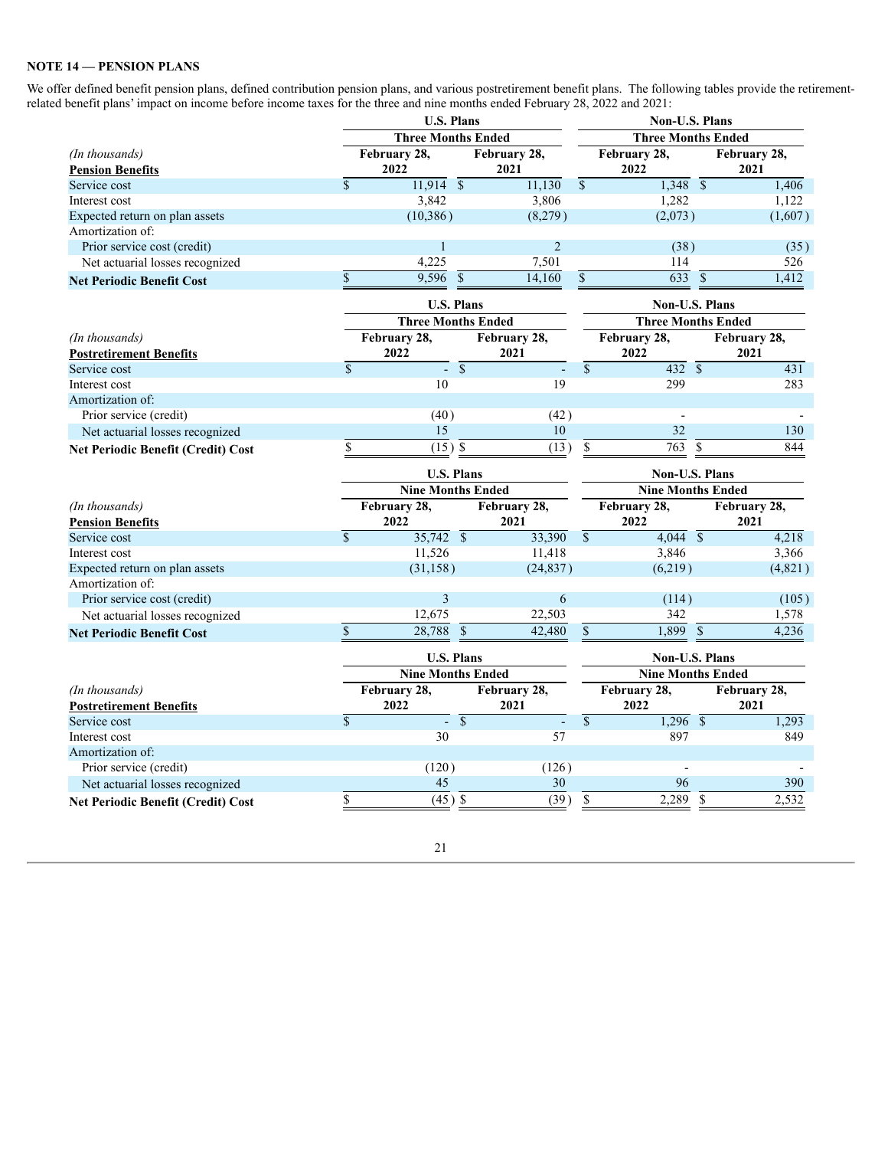## **NOTE 14 — PENSION PLANS**

We offer defined benefit pension plans, defined contribution pension plans, and various postretirement benefit plans. The following tables provide the retirementrelated benefit plans' impact on income before income taxes for the three and nine months ended February 28, 2022 and 2021:

|                                           |                         | <b>U.S. Plans</b><br><b>Three Months Ended</b> |                   |                      | Non-U.S. Plans<br><b>Three Months Ended</b> |                                                   |                 |                      |  |  |
|-------------------------------------------|-------------------------|------------------------------------------------|-------------------|----------------------|---------------------------------------------|---------------------------------------------------|-----------------|----------------------|--|--|
| (In thousands)<br><b>Pension Benefits</b> |                         | February 28,<br>2022                           |                   | February 28,<br>2021 |                                             | February 28,<br>2022                              |                 | February 28,<br>2021 |  |  |
| Service cost                              | $\mathbf S$             | $11,914$ \$                                    |                   | 11,130               | $\sqrt{\ }$                                 | $1,348$ \$                                        |                 | 1,406                |  |  |
| Interest cost                             |                         | 3,842                                          |                   | 3,806                |                                             | 1,282                                             |                 | 1,122                |  |  |
| Expected return on plan assets            |                         | (10, 386)                                      |                   | (8,279)              |                                             | (2,073)                                           |                 | (1,607)              |  |  |
| Amortization of:                          |                         |                                                |                   |                      |                                             |                                                   |                 |                      |  |  |
| Prior service cost (credit)               |                         | $\mathbf{1}$                                   |                   | $\overline{2}$       |                                             | (38)                                              |                 | (35)                 |  |  |
| Net actuarial losses recognized           |                         | 4,225                                          |                   | 7,501                |                                             | 114                                               |                 | 526                  |  |  |
| <b>Net Periodic Benefit Cost</b>          | $\overline{\mathbb{S}}$ | 9,596 \$                                       |                   | 14,160               | $\boldsymbol{\mathsf{S}}$                   | $\overline{633}$ \$                               |                 | 1,412                |  |  |
|                                           |                         | <b>U.S. Plans</b>                              |                   |                      |                                             | Non-U.S. Plans                                    |                 |                      |  |  |
|                                           |                         | <b>Three Months Ended</b>                      |                   |                      |                                             | <b>Three Months Ended</b>                         |                 |                      |  |  |
| (In thousands)                            |                         | February 28,                                   |                   | February 28,         |                                             | February 28,                                      |                 | February 28,         |  |  |
| <b>Postretirement Benefits</b>            |                         | 2022                                           |                   | 2021                 |                                             | 2022                                              |                 | 2021                 |  |  |
| Service cost                              | $\mathbb{S}$            |                                                | $\overline{-}$ \$ | $\blacksquare$       | $\mathbf S$                                 | $\overline{432}$ \$                               |                 | 431                  |  |  |
| Interest cost                             |                         | 10                                             |                   | 19                   |                                             | 299                                               |                 | 283                  |  |  |
| Amortization of:                          |                         |                                                |                   |                      |                                             |                                                   |                 |                      |  |  |
| Prior service (credit)                    |                         | (40)                                           |                   | (42)                 |                                             | $\overline{a}$                                    |                 |                      |  |  |
| Net actuarial losses recognized           |                         | 15                                             |                   | 10                   |                                             | 32                                                |                 | 130                  |  |  |
| <b>Net Periodic Benefit (Credit) Cost</b> | \$                      | $\overline{(15)}$ \$                           |                   | $\overline{(13)}$    | \$                                          | $\overline{763}$                                  | \$              | 844                  |  |  |
|                                           |                         | <b>U.S. Plans</b>                              |                   |                      | Non-U.S. Plans                              |                                                   |                 |                      |  |  |
|                                           |                         | <b>Nine Months Ended</b>                       |                   |                      |                                             | <b>Nine Months Ended</b>                          |                 |                      |  |  |
| (In thousands)                            |                         | February 28,                                   |                   | February 28,         |                                             | February 28,                                      |                 | February 28,         |  |  |
| <b>Pension Benefits</b>                   |                         | 2022                                           |                   | 2021                 |                                             | 2022                                              |                 | 2021                 |  |  |
| Service cost                              | $\mathbb{S}$            | 35,742 \$                                      |                   | 33,390               | $\mathbf S$                                 | $4,044$ \$                                        |                 | 4,218                |  |  |
| Interest cost                             |                         | 11,526                                         |                   | 11,418               |                                             | 3,846                                             |                 | 3,366                |  |  |
| Expected return on plan assets            |                         | (31, 158)                                      |                   | (24, 837)            |                                             | (6,219)                                           |                 | (4,821)              |  |  |
| Amortization of:                          |                         |                                                |                   |                      |                                             |                                                   |                 |                      |  |  |
| Prior service cost (credit)               |                         | $\overline{\mathbf{3}}$<br>12,675              |                   | 6<br>22,503          |                                             | (114)<br>342                                      |                 | (105)                |  |  |
| Net actuarial losses recognized           | $\mathbb{S}$            | 28,788                                         | $\mathsf{\$}$     | 42,480               | $\overline{\mathbb{S}}$                     | 1,899                                             | $\overline{\$}$ | 1,578<br>4,236       |  |  |
| <b>Net Periodic Benefit Cost</b>          |                         |                                                |                   |                      |                                             |                                                   |                 |                      |  |  |
|                                           |                         | <b>U.S. Plans</b><br><b>Nine Months Ended</b>  |                   |                      |                                             | <b>Non-U.S. Plans</b><br><b>Nine Months Ended</b> |                 |                      |  |  |
| (In thousands)                            |                         | February 28,                                   |                   | February 28,         |                                             | February 28,                                      |                 | February 28,         |  |  |
| <b>Postretirement Benefits</b>            |                         | 2022                                           |                   | 2021                 |                                             | 2022                                              |                 | 2021                 |  |  |
| Service cost                              | $\overline{\mathbb{S}}$ |                                                | $\overline{-}$ s  | $\Box$               | $\overline{\$}$                             | $\overline{1,296}$ \$                             |                 | 1,293                |  |  |
| Interest cost                             |                         | 30                                             |                   | 57                   |                                             | 897                                               |                 | 849                  |  |  |
| Amortization of:                          |                         |                                                |                   |                      |                                             |                                                   |                 |                      |  |  |
| Prior service (credit)                    |                         | (120)                                          |                   | (126)                |                                             |                                                   |                 |                      |  |  |
| Net actuarial losses recognized           |                         | 45                                             |                   | 30                   |                                             | 96                                                |                 | 390                  |  |  |
| <b>Net Periodic Benefit (Credit) Cost</b> | \$                      | $\overline{(45)}$ \$                           |                   | (39)                 | <sup>\$</sup>                               | 2,289                                             | \$              | 2,532                |  |  |
|                                           |                         |                                                |                   |                      |                                             |                                                   |                 |                      |  |  |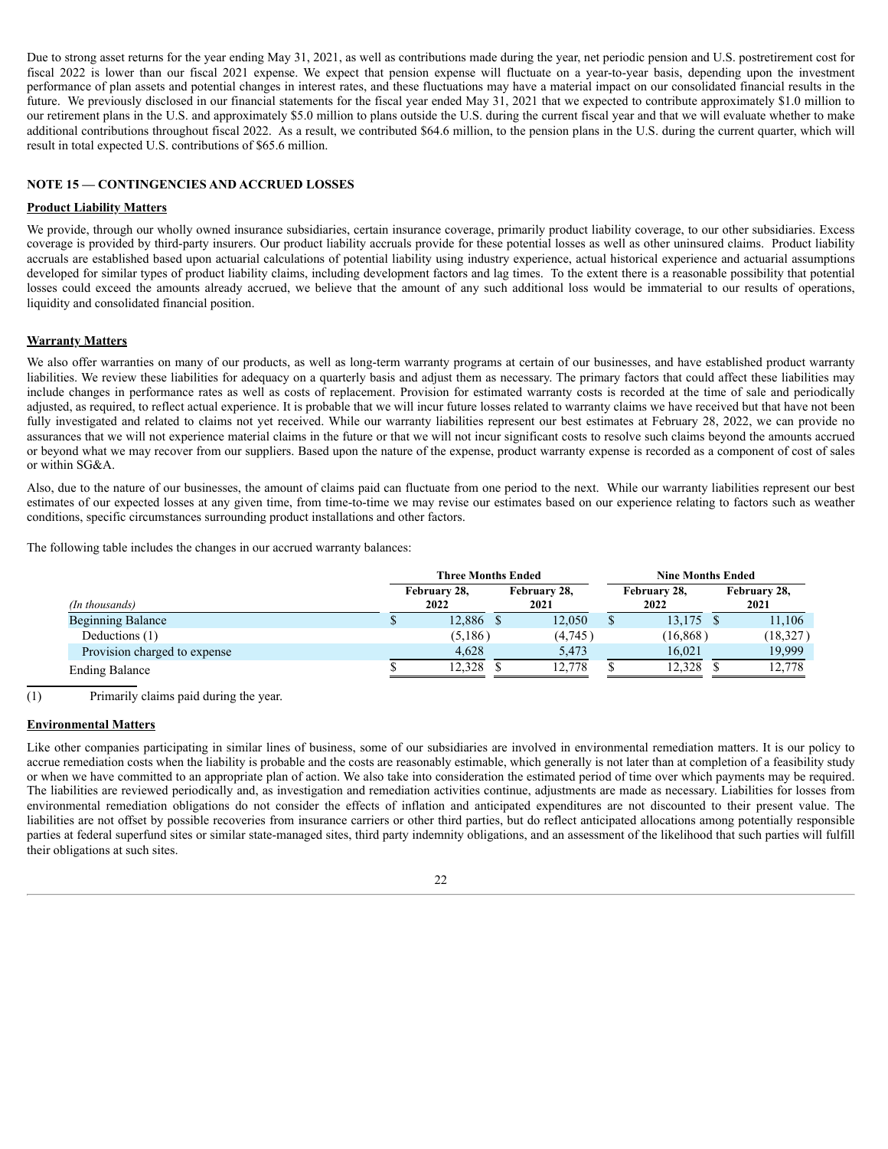Due to strong asset returns for the year ending May 31, 2021, as well as contributions made during the year, net periodic pension and U.S. postretirement cost for fiscal 2022 is lower than our fiscal 2021 expense. We expect that pension expense will fluctuate on a year-to-year basis, depending upon the investment performance of plan assets and potential changes in interest rates, and these fluctuations may have a material impact on our consolidated financial results in the future. We previously disclosed in our financial statements for the fiscal year ended May 31, 2021 that we expected to contribute approximately \$1.0 million to our retirement plans in the U.S. and approximately \$5.0 million to plans outside the U.S. during the current fiscal year and that we will evaluate whether to make additional contributions throughout fiscal 2022. As a result, we contributed \$64.6 million, to the pension plans in the U.S. during the current quarter, which will result in total expected U.S. contributions of \$65.6 million.

#### **NOTE 15 — CONTINGENCIES AND ACCRUED LOSSES**

#### **Product Liability Matters**

We provide, through our wholly owned insurance subsidiaries, certain insurance coverage, primarily product liability coverage, to our other subsidiaries. Excess coverage is provided by third-party insurers. Our product liability accruals provide for these potential losses as well as other uninsured claims. Product liability accruals are established based upon actuarial calculations of potential liability using industry experience, actual historical experience and actuarial assumptions developed for similar types of product liability claims, including development factors and lag times. To the extent there is a reasonable possibility that potential losses could exceed the amounts already accrued, we believe that the amount of any such additional loss would be immaterial to our results of operations, liquidity and consolidated financial position.

#### **Warranty Matters**

We also offer warranties on many of our products, as well as long-term warranty programs at certain of our businesses, and have established product warranty liabilities. We review these liabilities for adequacy on a quarterly basis and adjust them as necessary. The primary factors that could affect these liabilities may include changes in performance rates as well as costs of replacement. Provision for estimated warranty costs is recorded at the time of sale and periodically adjusted, as required, to reflect actual experience. It is probable that we will incur future losses related to warranty claims we have received but that have not been fully investigated and related to claims not yet received. While our warranty liabilities represent our best estimates at February 28, 2022, we can provide no assurances that we will not experience material claims in the future or that we will not incur significant costs to resolve such claims beyond the amounts accrued or beyond what we may recover from our suppliers. Based upon the nature of the expense, product warranty expense is recorded as a component of cost of sales or within SG&A.

Also, due to the nature of our businesses, the amount of claims paid can fluctuate from one period to the next. While our warranty liabilities represent our best estimates of our expected losses at any given time, from time-to-time we may revise our estimates based on our experience relating to factors such as weather conditions, specific circumstances surrounding product installations and other factors.

The following table includes the changes in our accrued warranty balances:

|                              | <b>Three Months Ended</b> | <b>Nine Months Ended</b> |         |                      |           |                      |           |
|------------------------------|---------------------------|--------------------------|---------|----------------------|-----------|----------------------|-----------|
| (In thousands)               | February 28,<br>2022      | February 28,<br>2021     |         | February 28,<br>2022 |           | February 28,<br>2021 |           |
| <b>Beginning Balance</b>     | 12,886 \$                 |                          | 12,050  |                      | 13,175    |                      | 11,106    |
| Deductions (1)               | (5.186)                   |                          | (4,745) |                      | (16, 868) |                      | (18, 327) |
| Provision charged to expense | 4.628                     |                          | 5,473   |                      | 16.021    |                      | 19,999    |
| <b>Ending Balance</b>        | 12,328                    |                          | 12.778  |                      | 12.328    |                      | 12,778    |

(1) Primarily claims paid during the year.

#### **Environmental Matters**

Like other companies participating in similar lines of business, some of our subsidiaries are involved in environmental remediation matters. It is our policy to accrue remediation costs when the liability is probable and the costs are reasonably estimable, which generally is not later than at completion of a feasibility study or when we have committed to an appropriate plan of action. We also take into consideration the estimated period of time over which payments may be required. The liabilities are reviewed periodically and, as investigation and remediation activities continue, adjustments are made as necessary. Liabilities for losses from environmental remediation obligations do not consider the effects of inflation and anticipated expenditures are not discounted to their present value. The liabilities are not offset by possible recoveries from insurance carriers or other third parties, but do reflect anticipated allocations among potentially responsible parties at federal superfund sites or similar state-managed sites, third party indemnity obligations, and an assessment of the likelihood that such parties will fulfill their obligations at such sites.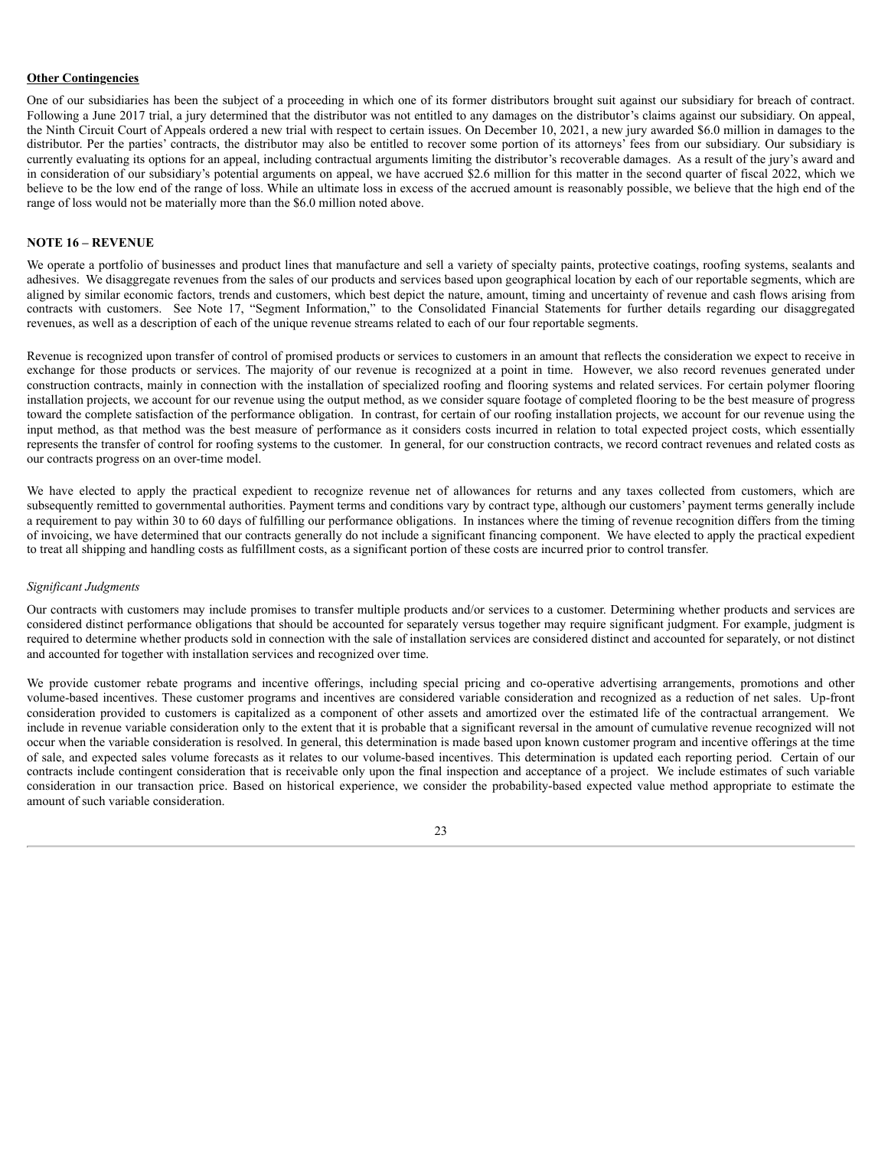## **Other Contingencies**

One of our subsidiaries has been the subject of a proceeding in which one of its former distributors brought suit against our subsidiary for breach of contract. Following a June 2017 trial, a jury determined that the distributor was not entitled to any damages on the distributor's claims against our subsidiary. On appeal, the Ninth Circuit Court of Appeals ordered a new trial with respect to certain issues. On December 10, 2021, a new jury awarded \$6.0 million in damages to the distributor. Per the parties' contracts, the distributor may also be entitled to recover some portion of its attorneys' fees from our subsidiary. Our subsidiary is currently evaluating its options for an appeal, including contractual arguments limiting the distributor's recoverable damages. As a result of the jury's award and in consideration of our subsidiary's potential arguments on appeal, we have accrued \$2.6 million for this matter in the second quarter of fiscal 2022, which we believe to be the low end of the range of loss. While an ultimate loss in excess of the accrued amount is reasonably possible, we believe that the high end of the range of loss would not be materially more than the \$6.0 million noted above.

#### **NOTE 16 – REVENUE**

We operate a portfolio of businesses and product lines that manufacture and sell a variety of specialty paints, protective coatings, roofing systems, sealants and adhesives. We disaggregate revenues from the sales of our products and services based upon geographical location by each of our reportable segments, which are aligned by similar economic factors, trends and customers, which best depict the nature, amount, timing and uncertainty of revenue and cash flows arising from contracts with customers. See Note 17, "Segment Information," to the Consolidated Financial Statements for further details regarding our disaggregated revenues, as well as a description of each of the unique revenue streams related to each of our four reportable segments.

Revenue is recognized upon transfer of control of promised products or services to customers in an amount that reflects the consideration we expect to receive in exchange for those products or services. The majority of our revenue is recognized at a point in time. However, we also record revenues generated under construction contracts, mainly in connection with the installation of specialized roofing and flooring systems and related services. For certain polymer flooring installation projects, we account for our revenue using the output method, as we consider square footage of completed flooring to be the best measure of progress toward the complete satisfaction of the performance obligation. In contrast, for certain of our roofing installation projects, we account for our revenue using the input method, as that method was the best measure of performance as it considers costs incurred in relation to total expected project costs, which essentially represents the transfer of control for roofing systems to the customer. In general, for our construction contracts, we record contract revenues and related costs as our contracts progress on an over-time model.

We have elected to apply the practical expedient to recognize revenue net of allowances for returns and any taxes collected from customers, which are subsequently remitted to governmental authorities. Payment terms and conditions vary by contract type, although our customers' payment terms generally include a requirement to pay within 30 to 60 days of fulfilling our performance obligations. In instances where the timing of revenue recognition differs from the timing of invoicing, we have determined that our contracts generally do not include a significant financing component. We have elected to apply the practical expedient to treat all shipping and handling costs as fulfillment costs, as a significant portion of these costs are incurred prior to control transfer.

#### *Significant Judgments*

Our contracts with customers may include promises to transfer multiple products and/or services to a customer. Determining whether products and services are considered distinct performance obligations that should be accounted for separately versus together may require significant judgment. For example, judgment is required to determine whether products sold in connection with the sale of installation services are considered distinct and accounted for separately, or not distinct and accounted for together with installation services and recognized over time.

We provide customer rebate programs and incentive offerings, including special pricing and co-operative advertising arrangements, promotions and other volume-based incentives. These customer programs and incentives are considered variable consideration and recognized as a reduction of net sales. Up-front consideration provided to customers is capitalized as a component of other assets and amortized over the estimated life of the contractual arrangement. We include in revenue variable consideration only to the extent that it is probable that a significant reversal in the amount of cumulative revenue recognized will not occur when the variable consideration is resolved. In general, this determination is made based upon known customer program and incentive offerings at the time of sale, and expected sales volume forecasts as it relates to our volume-based incentives. This determination is updated each reporting period. Certain of our contracts include contingent consideration that is receivable only upon the final inspection and acceptance of a project. We include estimates of such variable consideration in our transaction price. Based on historical experience, we consider the probability-based expected value method appropriate to estimate the amount of such variable consideration.

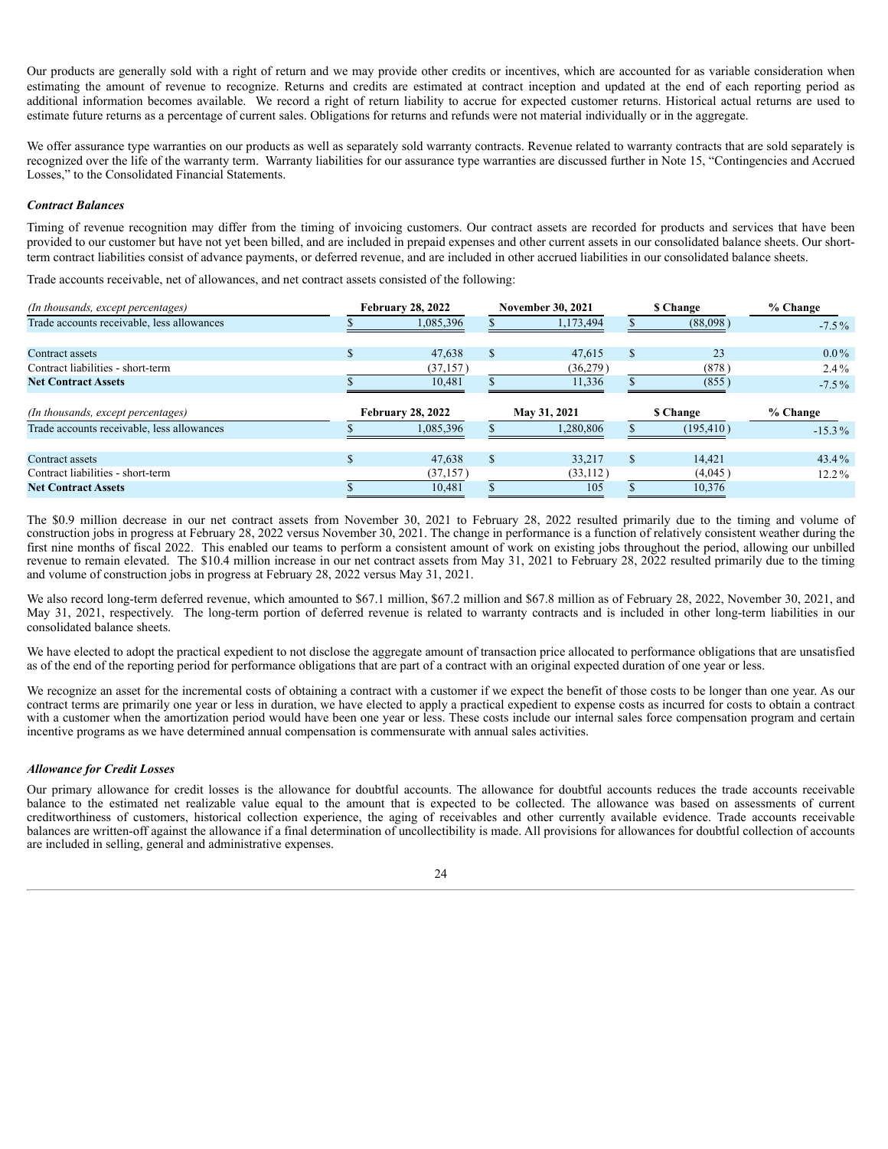Our products are generally sold with a right of return and we may provide other credits or incentives, which are accounted for as variable consideration when estimating the amount of revenue to recognize. Returns and credits are estimated at contract inception and updated at the end of each reporting period as additional information becomes available. We record a right of return liability to accrue for expected customer returns. Historical actual returns are used to estimate future returns as a percentage of current sales. Obligations for returns and refunds were not material individually or in the aggregate.

We offer assurance type warranties on our products as well as separately sold warranty contracts. Revenue related to warranty contracts that are sold separately is recognized over the life of the warranty term. Warranty liabilities for our assurance type warranties are discussed further in Note 15, "Contingencies and Accrued Losses," to the Consolidated Financial Statements.

#### *Contract Balances*

Timing of revenue recognition may differ from the timing of invoicing customers. Our contract assets are recorded for products and services that have been provided to our customer but have not yet been billed, and are included in prepaid expenses and other current assets in our consolidated balance sheets. Our shortterm contract liabilities consist of advance payments, or deferred revenue, and are included in other accrued liabilities in our consolidated balance sheets.

Trade accounts receivable, net of allowances, and net contract assets consisted of the following:

| (In thousands, except percentages)         | <b>February 28, 2022</b> | <b>November 30, 2021</b> |              |               | <b>S</b> Change | % Change  |  |
|--------------------------------------------|--------------------------|--------------------------|--------------|---------------|-----------------|-----------|--|
| Trade accounts receivable, less allowances | 1,085,396                |                          | 1,173,494    |               | (88,098)        | $-7.5\%$  |  |
| Contract assets                            | 47,638                   | \$                       | 47,615       | <sup>\$</sup> | 23              | $0.0\%$   |  |
| Contract liabilities - short-term          | (37, 157)                |                          | (36,279)     |               | (878)           | $2.4\%$   |  |
| <b>Net Contract Assets</b>                 | 10,481                   |                          | 11,336       |               | (855)           | $-7.5\%$  |  |
| (In thousands, except percentages)         | <b>February 28, 2022</b> |                          | May 31, 2021 |               | <b>S</b> Change | % Change  |  |
| Trade accounts receivable, less allowances | .085,396                 |                          | 1.280.806    |               | (195, 410)      | $-15.3\%$ |  |
| Contract assets                            | 47,638                   | \$                       | 33.217       | $\mathbf{S}$  | 14,421          | 43.4%     |  |
| Contract liabilities - short-term          | (37, 157)                |                          | (33, 112)    |               | (4,045)         | $12.2\%$  |  |
| <b>Net Contract Assets</b>                 | 10,481                   |                          | 105          |               | 10,376          |           |  |

The \$0.9 million decrease in our net contract assets from November 30, 2021 to February 28, 2022 resulted primarily due to the timing and volume of construction jobs in progress at February 28, 2022 versus November 30, 2021. The change in performance is a function of relatively consistent weather during the first nine months of fiscal 2022. This enabled our teams to perform a consistent amount of work on existing jobs throughout the period, allowing our unbilled revenue to remain elevated. The \$10.4 million increase in our net contract assets from May 31, 2021 to February 28, 2022 resulted primarily due to the timing and volume of construction jobs in progress at February 28, 2022 versus May 31, 2021.

We also record long-term deferred revenue, which amounted to \$67.1 million, \$67.2 million and \$67.8 million as of February 28, 2022, November 30, 2021, and May 31, 2021, respectively. The long-term portion of deferred revenue is related to warranty contracts and is included in other long-term liabilities in our consolidated balance sheets.

We have elected to adopt the practical expedient to not disclose the aggregate amount of transaction price allocated to performance obligations that are unsatisfied as of the end of the reporting period for performance obligations that are part of a contract with an original expected duration of one year or less.

We recognize an asset for the incremental costs of obtaining a contract with a customer if we expect the benefit of those costs to be longer than one year. As our contract terms are primarily one year or less in duration, we have elected to apply a practical expedient to expense costs as incurred for costs to obtain a contract with a customer when the amortization period would have been one year or less. These costs include our internal sales force compensation program and certain incentive programs as we have determined annual compensation is commensurate with annual sales activities.

#### *Allowance for Credit Losses*

Our primary allowance for credit losses is the allowance for doubtful accounts. The allowance for doubtful accounts reduces the trade accounts receivable balance to the estimated net realizable value equal to the amount that is expected to be collected. The allowance was based on assessments of current creditworthiness of customers, historical collection experience, the aging of receivables and other currently available evidence. Trade accounts receivable balances are written-off against the allowance if a final determination of uncollectibility is made. All provisions for allowances for doubtful collection of accounts are included in selling, general and administrative expenses.

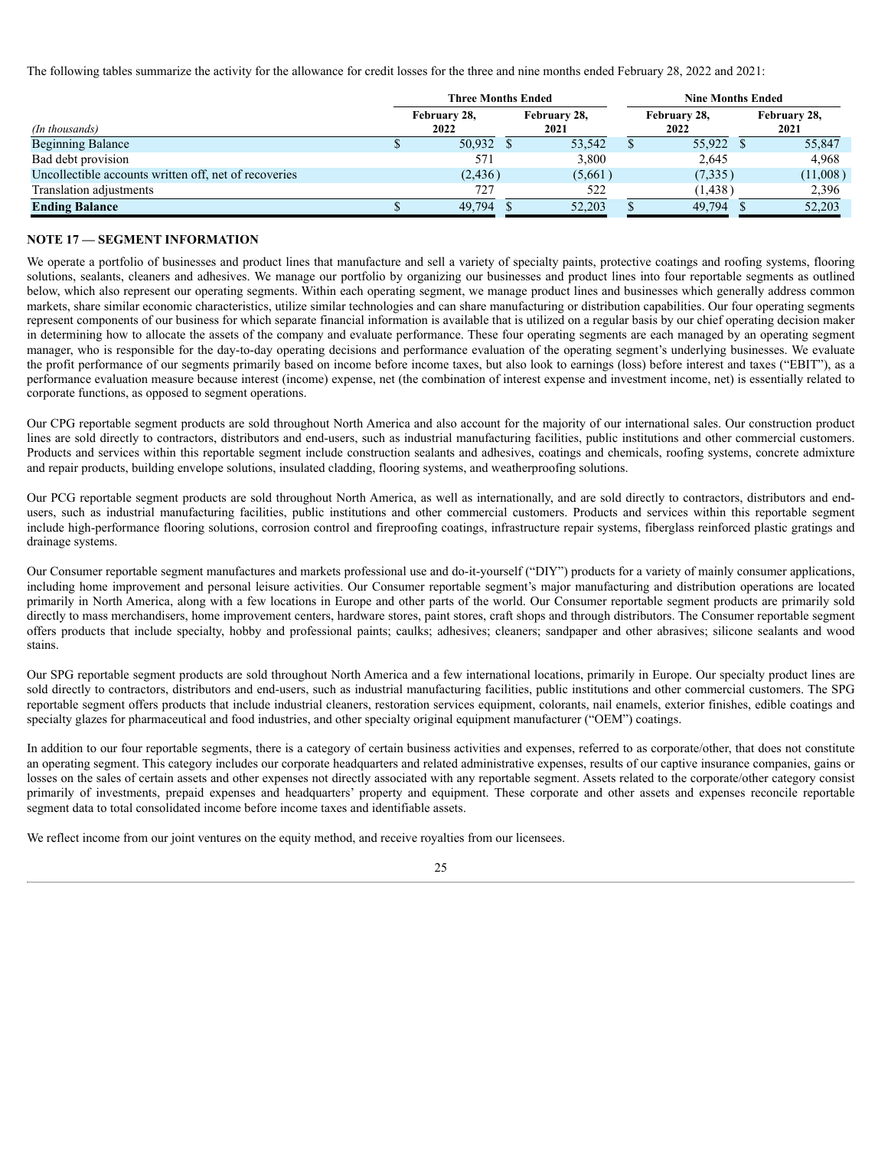The following tables summarize the activity for the allowance for credit losses for the three and nine months ended February 28, 2022 and 2021:

|                                                       | <b>Three Months Ended</b>    |  |         | <b>Nine Months Ended</b> |              |  |              |
|-------------------------------------------------------|------------------------------|--|---------|--------------------------|--------------|--|--------------|
|                                                       | February 28,<br>February 28, |  |         |                          | February 28, |  | February 28, |
| (In thousands)                                        | 2022                         |  | 2021    |                          | 2022         |  | 2021         |
| <b>Beginning Balance</b>                              | 50,932 \$                    |  | 53,542  |                          | 55,922       |  | 55,847       |
| Bad debt provision                                    | 571                          |  | 3,800   |                          | 2.645        |  | 4,968        |
| Uncollectible accounts written off, net of recoveries | (2, 436)                     |  | (5,661) |                          | (7,335)      |  | (11,008)     |
| Translation adjustments                               | 727                          |  | 522     |                          | (1,438)      |  | 2,396        |
| <b>Ending Balance</b>                                 | 49.794                       |  | 52.203  |                          | 49,794       |  | 52,203       |

## **NOTE 17 — SEGMENT INFORMATION**

We operate a portfolio of businesses and product lines that manufacture and sell a variety of specialty paints, protective coatings and roofing systems, flooring solutions, sealants, cleaners and adhesives. We manage our portfolio by organizing our businesses and product lines into four reportable segments as outlined below, which also represent our operating segments. Within each operating segment, we manage product lines and businesses which generally address common markets, share similar economic characteristics, utilize similar technologies and can share manufacturing or distribution capabilities. Our four operating segments represent components of our business for which separate financial information is available that is utilized on a regular basis by our chief operating decision maker in determining how to allocate the assets of the company and evaluate performance. These four operating segments are each managed by an operating segment manager, who is responsible for the day-to-day operating decisions and performance evaluation of the operating segment's underlying businesses. We evaluate the profit performance of our segments primarily based on income before income taxes, but also look to earnings (loss) before interest and taxes ("EBIT"), as a performance evaluation measure because interest (income) expense, net (the combination of interest expense and investment income, net) is essentially related to corporate functions, as opposed to segment operations.

Our CPG reportable segment products are sold throughout North America and also account for the majority of our international sales. Our construction product lines are sold directly to contractors, distributors and end-users, such as industrial manufacturing facilities, public institutions and other commercial customers. Products and services within this reportable segment include construction sealants and adhesives, coatings and chemicals, roofing systems, concrete admixture and repair products, building envelope solutions, insulated cladding, flooring systems, and weatherproofing solutions.

Our PCG reportable segment products are sold throughout North America, as well as internationally, and are sold directly to contractors, distributors and endusers, such as industrial manufacturing facilities, public institutions and other commercial customers. Products and services within this reportable segment include high-performance flooring solutions, corrosion control and fireproofing coatings, infrastructure repair systems, fiberglass reinforced plastic gratings and drainage systems.

Our Consumer reportable segment manufactures and markets professional use and do-it-yourself ("DIY") products for a variety of mainly consumer applications, including home improvement and personal leisure activities. Our Consumer reportable segment's major manufacturing and distribution operations are located primarily in North America, along with a few locations in Europe and other parts of the world. Our Consumer reportable segment products are primarily sold directly to mass merchandisers, home improvement centers, hardware stores, paint stores, craft shops and through distributors. The Consumer reportable segment offers products that include specialty, hobby and professional paints; caulks; adhesives; cleaners; sandpaper and other abrasives; silicone sealants and wood stains.

Our SPG reportable segment products are sold throughout North America and a few international locations, primarily in Europe. Our specialty product lines are sold directly to contractors, distributors and end-users, such as industrial manufacturing facilities, public institutions and other commercial customers. The SPG reportable segment offers products that include industrial cleaners, restoration services equipment, colorants, nail enamels, exterior finishes, edible coatings and specialty glazes for pharmaceutical and food industries, and other specialty original equipment manufacturer ("OEM") coatings.

In addition to our four reportable segments, there is a category of certain business activities and expenses, referred to as corporate/other, that does not constitute an operating segment. This category includes our corporate headquarters and related administrative expenses, results of our captive insurance companies, gains or losses on the sales of certain assets and other expenses not directly associated with any reportable segment. Assets related to the corporate/other category consist primarily of investments, prepaid expenses and headquarters' property and equipment. These corporate and other assets and expenses reconcile reportable segment data to total consolidated income before income taxes and identifiable assets.

We reflect income from our joint ventures on the equity method, and receive royalties from our licensees.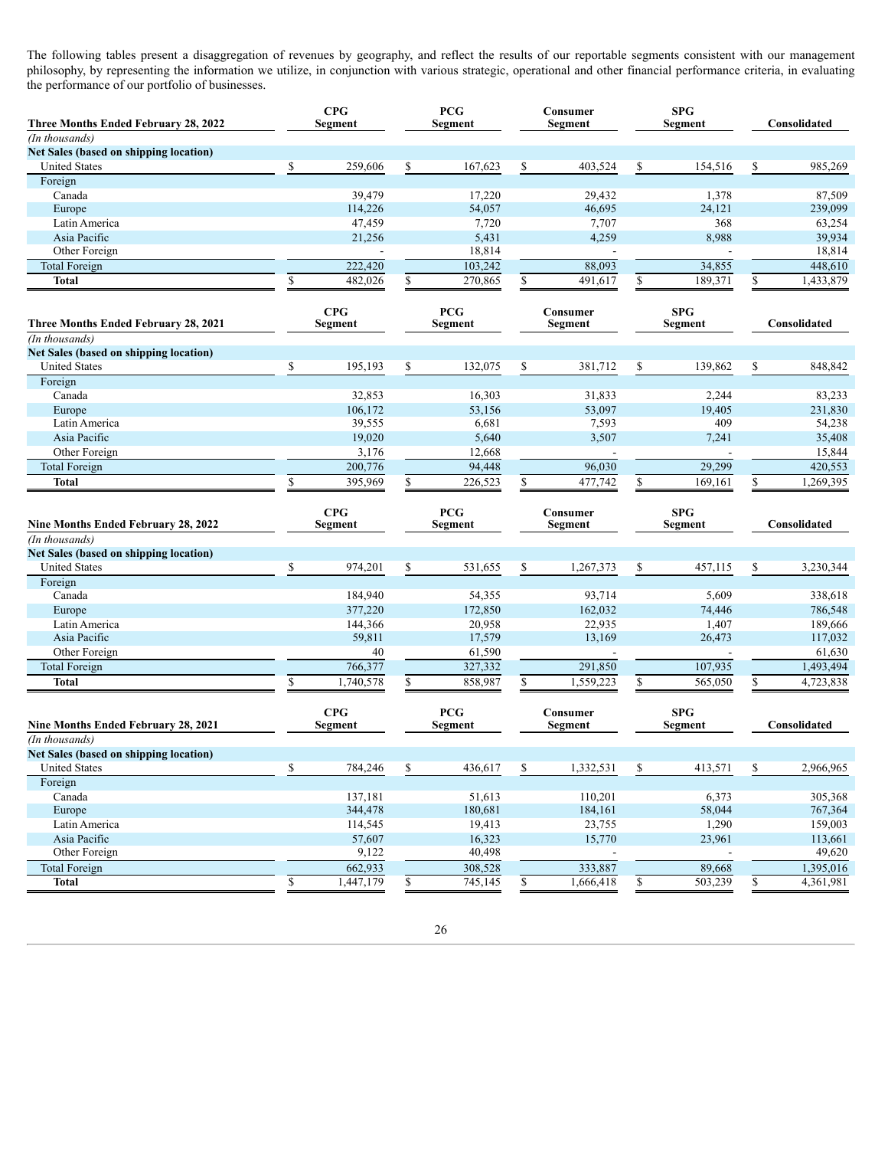The following tables present a disaggregation of revenues by geography, and reflect the results of our reportable segments consistent with our management philosophy, by representing the information we utilize, in conjunction with various strategic, operational and other financial performance criteria, in evaluating the performance of our portfolio of businesses.

|                                            | CPG<br><b>PCG</b>    |                       | Consumer              | <b>SPG</b> |                     |                              |                 |
|--------------------------------------------|----------------------|-----------------------|-----------------------|------------|---------------------|------------------------------|-----------------|
| Three Months Ended February 28, 2022       |                      | Segment               | Segment               |            | Segment             | Segment                      | Consolidated    |
| (In thousands)                             |                      |                       |                       |            |                     |                              |                 |
| Net Sales (based on shipping location)     |                      |                       |                       |            |                     |                              |                 |
| <b>United States</b>                       | \$                   | 259,606               | \$<br>167,623         | \$         | 403,524             | \$<br>154,516                | \$<br>985,269   |
| Foreign                                    |                      |                       |                       |            |                     |                              |                 |
| Canada                                     |                      | 39,479                | 17,220                |            | 29,432              | 1,378                        | 87,509          |
| Europe                                     |                      | 114,226               | 54,057                |            | 46,695              | 24,121                       | 239,099         |
| Latin America                              |                      | 47,459                | 7,720                 |            | 7,707               | 368                          | 63,254          |
| Asia Pacific                               |                      | 21,256                | 5,431                 |            | 4,259               | 8,988                        | 39,934          |
| Other Foreign                              |                      |                       | 18,814                |            |                     |                              | 18,814          |
| Total Foreign                              |                      | 222,420               | 103,242               |            | 88,093              | 34,855                       | 448,610         |
| <b>Total</b>                               | \$                   | 482,026               | \$<br>270,865         | \$         | 491,617             | \$<br>189,371                | \$<br>1,433,879 |
| Three Months Ended February 28, 2021       |                      | <b>CPG</b><br>Segment | <b>PCG</b><br>Segment |            | Consumer<br>Segment | <b>SPG</b><br>Segment        | Consolidated    |
| (In thousands)                             |                      |                       |                       |            |                     |                              |                 |
| Net Sales (based on shipping location)     |                      |                       |                       |            |                     |                              |                 |
| <b>United States</b>                       | \$                   | 195,193               | \$<br>132,075         | \$         | 381,712             | \$<br>139,862                | \$<br>848,842   |
| Foreign                                    |                      |                       |                       |            |                     |                              |                 |
| Canada                                     |                      | 32,853                | 16,303                |            | 31,833              | 2,244                        | 83,233          |
| Europe                                     |                      | 106,172               | 53,156                |            | 53,097              | 19,405                       | 231,830         |
| Latin America                              |                      | 39,555                | 6,681                 |            | 7,593               | 409                          | 54,238          |
| Asia Pacific                               |                      | 19,020                | 5,640                 |            | 3,507               | 7,241                        | 35,408          |
| Other Foreign                              |                      | 3,176                 | 12,668                |            |                     |                              | 15,844          |
| <b>Total Foreign</b>                       |                      | 200,776               | 94,448                |            | 96,030              | 29,299                       | 420,553         |
| <b>Total</b>                               | \$                   | 395,969               | \$<br>226,523         | \$         | 477,742             | \$<br>169,161                | \$<br>1,269,395 |
|                                            |                      |                       |                       |            |                     |                              |                 |
|                                            |                      | CPG                   | <b>PCG</b>            |            | Consumer            | <b>SPG</b>                   |                 |
| <b>Nine Months Ended February 28, 2022</b> |                      | Segment               | Segment               |            | <b>Segment</b>      | Segment                      | Consolidated    |
| (In thousands)                             |                      |                       |                       |            |                     |                              |                 |
| Net Sales (based on shipping location)     |                      |                       |                       |            |                     |                              |                 |
| <b>United States</b>                       | \$                   | 974,201               | \$<br>531,655         | \$         | 1,267,373           | \$<br>457,115                | \$<br>3,230,344 |
| Foreign                                    |                      |                       |                       |            |                     |                              |                 |
| Canada                                     |                      | 184,940               | 54,355                |            | 93,714              | 5,609                        | 338,618         |
| Europe                                     |                      | 377,220               | 172,850               |            | 162,032             | 74,446                       | 786,548         |
| Latin America                              |                      | 144,366               | 20,958                |            | 22,935              | 1,407                        | 189,666         |
| Asia Pacific                               |                      | 59,811                | 17,579                |            | 13,169              | 26,473                       | 117,032         |
| Other Foreign                              |                      | 40                    | 61,590                |            |                     |                              | 61,630          |
| <b>Total Foreign</b>                       |                      | 766,377               | 327,332               |            | 291,850             | 107,935                      | 1,493,494       |
| <b>Total</b>                               | \$                   | 1,740,578             | \$<br>858,987         | \$         | 1,559,223           | \$<br>565,050                | \$<br>4,723,838 |
| <b>Nine Months Ended February 28, 2021</b> |                      | <b>CPG</b><br>Segment | <b>PCG</b><br>Segment |            | Consumer<br>Segment | <b>SPG</b><br><b>Segment</b> | Consolidated    |
| (In thousands)                             |                      |                       |                       |            |                     |                              |                 |
| Net Sales (based on shipping location)     |                      |                       |                       |            |                     |                              |                 |
| <b>United States</b>                       | $\sqrt{\frac{1}{2}}$ | 784,246               | \$<br>436,617         | \$         | 1,332,531           | \$<br>413,571                | \$<br>2,966,965 |
| Foreign                                    |                      |                       |                       |            |                     |                              |                 |
| Canada                                     |                      | 137,181               | 51,613                |            | 110,201             | 6,373                        | 305,368         |
| Europe                                     |                      | 344,478               | 180,681               |            | 184,161             | 58,044                       | 767,364         |
| Latin America                              |                      | 114,545               | 19,413                |            | 23,755              | 1,290                        | 159,003         |
| Asia Pacific                               |                      | 57,607                | 16,323                |            | 15,770              | 23,961                       | 113,661         |
| Other Foreign                              |                      | 9,122                 | 40,498                |            |                     |                              | 49,620          |
| <b>Total Foreign</b>                       |                      | 662,933               | 308,528               |            | 333,887             | 89,668                       | 1,395,016       |
| <b>Total</b>                               | $\mathbb{S}$         | 1,447,179             | \$<br>745,145         | \$         | 1,666,418           | \$<br>503,239                | \$<br>4,361,981 |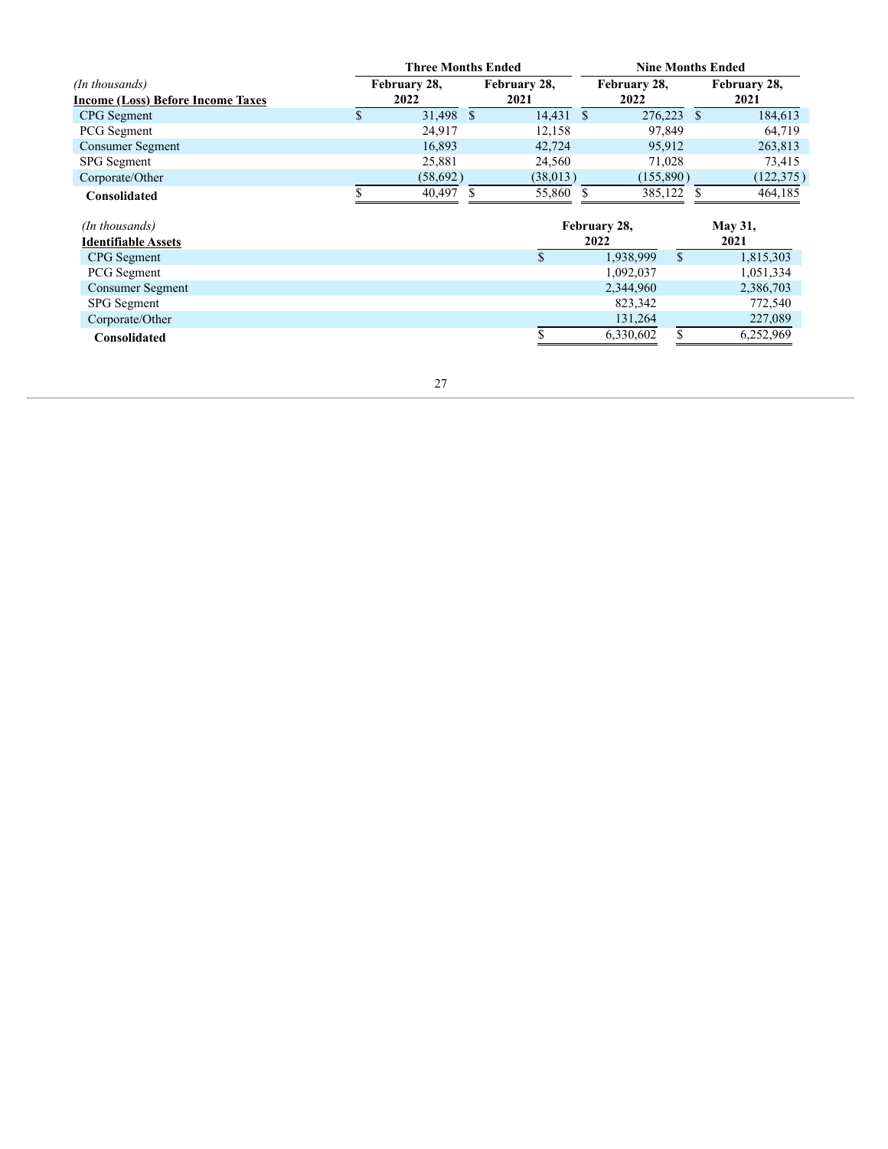|                                                            | <b>Three Months Ended</b> |                      |              |                      |               | <b>Nine Months Ended</b> |  |  |
|------------------------------------------------------------|---------------------------|----------------------|--------------|----------------------|---------------|--------------------------|--|--|
| (In thousands)<br><b>Income (Loss) Before Income Taxes</b> | February 28,<br>2022      | February 28,<br>2021 |              | February 28,<br>2022 |               | February 28,<br>2021     |  |  |
|                                                            |                           |                      |              |                      |               |                          |  |  |
| <b>CPG</b> Segment                                         | \$<br>31,498 \$           | 14,431               | <sup>S</sup> | 276,223 \$           |               | 184,613                  |  |  |
| <b>PCG</b> Segment                                         | 24,917                    | 12,158               |              | 97,849               |               | 64,719                   |  |  |
| Consumer Segment                                           | 16,893                    | 42,724               |              | 95,912               |               | 263,813                  |  |  |
| SPG Segment                                                | 25,881                    | 24,560               |              | 71,028               |               | 73,415                   |  |  |
| Corporate/Other                                            | (58, 692)                 | (38, 013)            |              | (155, 890)           |               | (122, 375)               |  |  |
| Consolidated                                               | 40,497                    | 55,860               | -S           | 385,122              | -S            | 464,185                  |  |  |
| (In thousands)                                             |                           |                      |              | February 28,         |               | <b>May 31,</b>           |  |  |
| <b>Identifiable Assets</b>                                 |                           |                      | 2022         |                      |               | 2021                     |  |  |
| <b>CPG</b> Segment                                         |                           | \$                   |              | 1,938,999            | $\mathcal{S}$ | 1,815,303                |  |  |
| PCG Segment                                                |                           |                      |              | 1,092,037            |               | 1,051,334                |  |  |
| <b>Consumer Segment</b>                                    |                           |                      |              | 2,344,960            |               | 2,386,703                |  |  |
| <b>SPG</b> Segment                                         |                           |                      |              | 823,342              |               | 772,540                  |  |  |
| Corporate/Other                                            |                           |                      |              | 131,264              |               | 227,089                  |  |  |
| Consolidated                                               |                           |                      |              | 6,330,602            |               | 6,252,969                |  |  |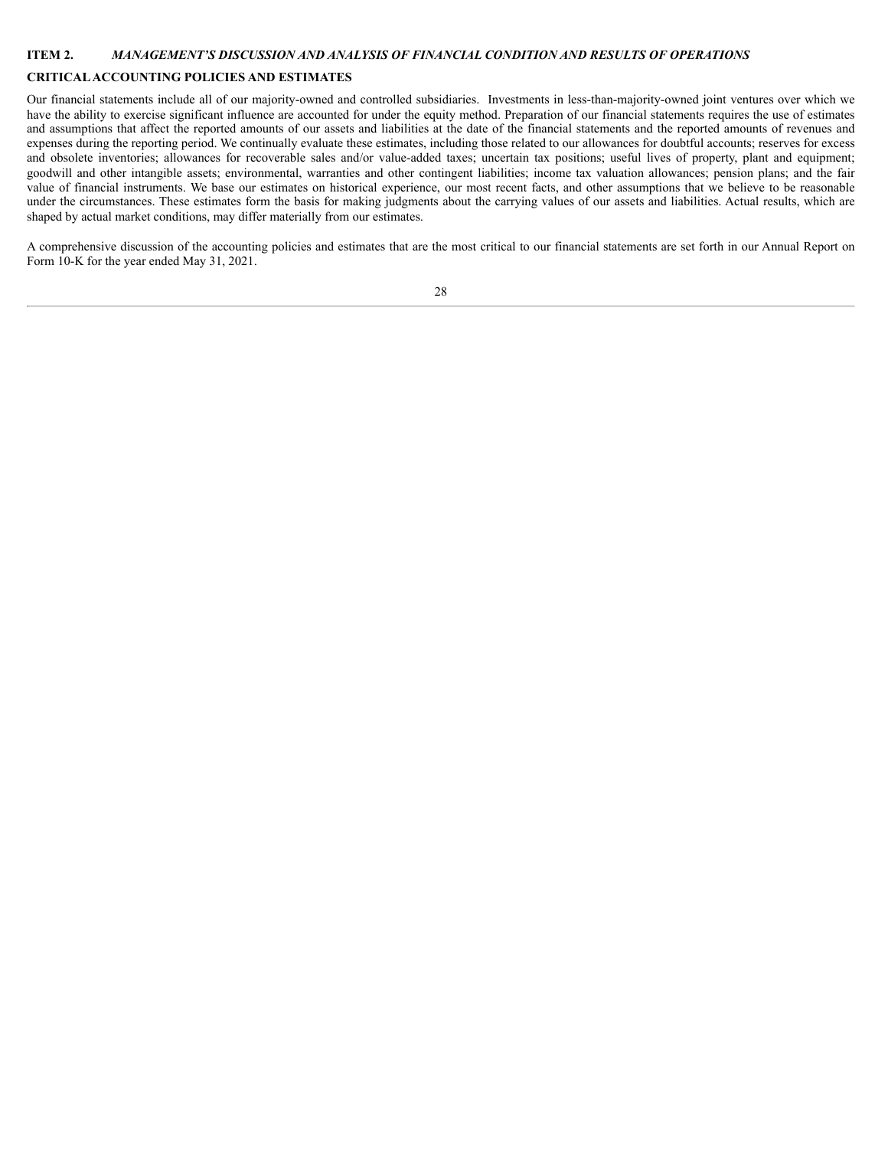## <span id="page-27-0"></span>**ITEM 2.** *MANAGEMENT'S DISCUSSION AND ANALYSIS OF FINANCIAL CONDITION AND RESULTS OF OPERATIONS*

#### **CRITICALACCOUNTING POLICIES AND ESTIMATES**

Our financial statements include all of our majority-owned and controlled subsidiaries. Investments in less-than-majority-owned joint ventures over which we have the ability to exercise significant influence are accounted for under the equity method. Preparation of our financial statements requires the use of estimates and assumptions that affect the reported amounts of our assets and liabilities at the date of the financial statements and the reported amounts of revenues and expenses during the reporting period. We continually evaluate these estimates, including those related to our allowances for doubtful accounts; reserves for excess and obsolete inventories; allowances for recoverable sales and/or value-added taxes; uncertain tax positions; useful lives of property, plant and equipment; goodwill and other intangible assets; environmental, warranties and other contingent liabilities; income tax valuation allowances; pension plans; and the fair value of financial instruments. We base our estimates on historical experience, our most recent facts, and other assumptions that we believe to be reasonable under the circumstances. These estimates form the basis for making judgments about the carrying values of our assets and liabilities. Actual results, which are shaped by actual market conditions, may differ materially from our estimates.

A comprehensive discussion of the accounting policies and estimates that are the most critical to our financial statements are set forth in our Annual Report on Form 10-K for the year ended May 31, 2021.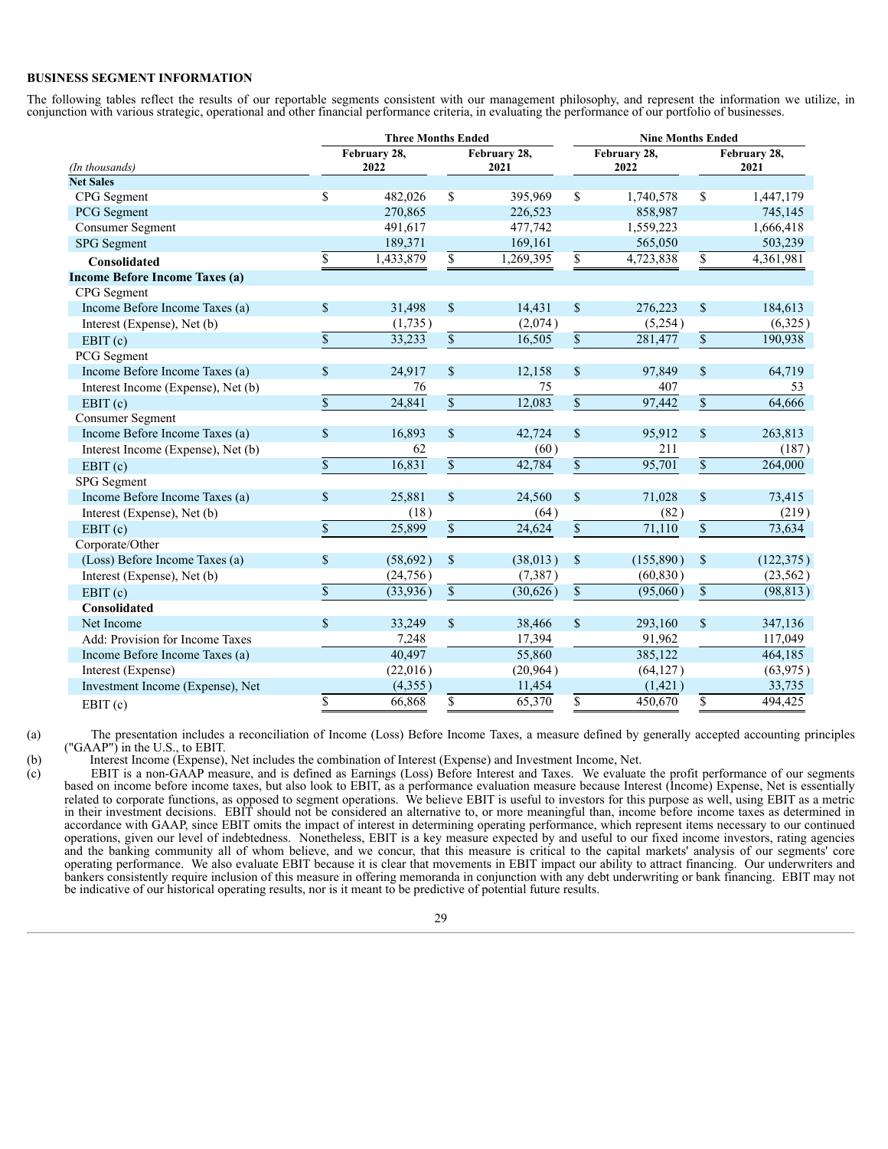## **BUSINESS SEGMENT INFORMATION**

The following tables reflect the results of our reportable segments consistent with our management philosophy, and represent the information we utilize, in conjunction with various strategic, operational and other financial performance criteria, in evaluating the performance of our portfolio of businesses.

|                                       | <b>Three Months Ended</b> |                      |                           |                      | <b>Nine Months Ended</b> |                      |                         |            |  |  |  |
|---------------------------------------|---------------------------|----------------------|---------------------------|----------------------|--------------------------|----------------------|-------------------------|------------|--|--|--|
| (In thousands)                        |                           | February 28,<br>2022 |                           | February 28,<br>2021 |                          | February 28,<br>2022 | February 28,<br>2021    |            |  |  |  |
| <b>Net Sales</b>                      |                           |                      |                           |                      |                          |                      |                         |            |  |  |  |
| CPG Segment                           | \$                        | 482,026              | S.                        | 395,969              | \$                       | 1,740,578            | \$                      | 1,447,179  |  |  |  |
| PCG Segment                           |                           | 270,865              |                           | 226,523              |                          | 858,987              |                         | 745,145    |  |  |  |
| Consumer Segment                      |                           | 491,617              |                           | 477,742              |                          | 1,559,223            |                         | 1,666,418  |  |  |  |
| <b>SPG</b> Segment                    |                           | 189,371              |                           | 169,161              |                          | 565,050              |                         | 503,239    |  |  |  |
| Consolidated                          | \$                        | 1,433,879            | \$                        | 1,269,395            | $\mathbb{S}$             | 4,723,838            | \$                      | 4,361,981  |  |  |  |
| <b>Income Before Income Taxes (a)</b> |                           |                      |                           |                      |                          |                      |                         |            |  |  |  |
| CPG Segment                           |                           |                      |                           |                      |                          |                      |                         |            |  |  |  |
| Income Before Income Taxes (a)        | $\mathbf S$               | 31,498               | $\boldsymbol{\mathsf{S}}$ | 14,431               | $\mathbb{S}$             | 276,223              | \$                      | 184,613    |  |  |  |
| Interest (Expense), Net (b)           |                           | (1,735)              |                           | (2,074)              |                          | (5,254)              |                         | (6,325)    |  |  |  |
| EBIT(c)                               | $\overline{\mathbb{S}}$   | 33,233               | $\overline{\$}$           | 16,505               | $\overline{\mathbb{S}}$  | 281,477              | $\overline{\mathbb{S}}$ | 190,938    |  |  |  |
| PCG Segment                           |                           |                      |                           |                      |                          |                      |                         |            |  |  |  |
| Income Before Income Taxes (a)        | $\mathbf S$               | 24,917               | $\mathbf S$               | 12,158               | $\mathbf S$              | 97.849               | \$                      | 64,719     |  |  |  |
| Interest Income (Expense), Net (b)    |                           | 76                   |                           | 75                   |                          | 407                  |                         | 53         |  |  |  |
| EBIT(c)                               | $\overline{\$}$           | 24,841               | $\overline{\$}$           | 12,083               | $\overline{\$}$          | 97,442               | $\overline{\mathbb{S}}$ | 64,666     |  |  |  |
| <b>Consumer Segment</b>               |                           |                      |                           |                      |                          |                      |                         |            |  |  |  |
| Income Before Income Taxes (a)        | $\mathbf S$               | 16,893               | \$                        | 42,724               | \$                       | 95,912               | \$                      | 263,813    |  |  |  |
| Interest Income (Expense), Net (b)    |                           | 62                   |                           | (60)                 |                          | 211                  |                         | (187)      |  |  |  |
| EBIT(c)                               | $\overline{\$}$           | 16,831               | $\overline{\$}$           | 42,784               | $\overline{\$}$          | 95,701               | $\overline{\mathbb{S}}$ | 264,000    |  |  |  |
| <b>SPG</b> Segment                    |                           |                      |                           |                      |                          |                      |                         |            |  |  |  |
| Income Before Income Taxes (a)        | \$                        | 25,881               | $\mathbb{S}$              | 24,560               | $\mathbb{S}$             | 71,028               | \$                      | 73,415     |  |  |  |
| Interest (Expense), Net (b)           |                           | (18)                 |                           | (64)                 |                          | (82)                 |                         | (219)      |  |  |  |
| EBIT(c)                               | $\overline{\$}$           | 25,899               | $\overline{\$}$           | 24,624               | $\overline{\$}$          | 71,110               | $\overline{\$}$         | 73,634     |  |  |  |
| Corporate/Other                       |                           |                      |                           |                      |                          |                      |                         |            |  |  |  |
| (Loss) Before Income Taxes (a)        | $\mathbb{S}$              | (58,692)             | $\mathbf{s}$              | (38, 013)            | $\mathbb{S}$             | (155, 890)           | $\mathbb{S}$            | (122, 375) |  |  |  |
| Interest (Expense), Net (b)           |                           | (24, 756)            |                           | (7,387)              |                          | (60, 830)            |                         | (23, 562)  |  |  |  |
| EBIT(c)                               | $\overline{\$}$           | (33,936)             | $\overline{\$}$           | (30,626)             | $\overline{\$}$          | (95,060)             | $\overline{\$}$         | (98, 813)  |  |  |  |
| <b>Consolidated</b>                   |                           |                      |                           |                      |                          |                      |                         |            |  |  |  |
| Net Income                            | \$                        | 33,249               | \$                        | 38,466               | \$                       | 293,160              | \$                      | 347,136    |  |  |  |
| Add: Provision for Income Taxes       |                           | 7,248                |                           | 17,394               |                          | 91,962               |                         | 117,049    |  |  |  |
| Income Before Income Taxes (a)        |                           | 40,497               |                           | 55,860               |                          | 385,122              |                         | 464,185    |  |  |  |
| Interest (Expense)                    |                           | (22,016)             |                           | (20,964)             |                          | (64, 127)            |                         | (63,975)   |  |  |  |
| Investment Income (Expense), Net      |                           | (4,355)              |                           | 11,454               |                          | (1,421)              |                         | 33,735     |  |  |  |
| EBIT(c)                               | \$                        | 66,868               | \$                        | 65,370               | \$                       | 450,670              | \$                      | 494,425    |  |  |  |

(a) The presentation includes a reconciliation of Income (Loss) Before Income Taxes, a measure defined by generally accepted accounting principles ("GAAP") in the U.S., to EBIT.

(b) Interest Income (Expense), Net includes the combination of Interest (Expense) and Investment Income, Net.

(c) EBIT is a non-GAAP measure, and is defined as Earnings (Loss) Before Interest and Taxes. We evaluate the profit performance of our segments based on income before income taxes, but also look to EBIT, as a performance evaluation measure because Interest (Income) Expense, Net is essentially related to corporate functions, as opposed to segment operations. We believe EBIT is useful to investors for this purpose as well, using EBIT as a metric in their investment decisions. EBIT should not be considered an alternative to, or more meaningful than, income before income taxes as determined in accordance with GAAP, since EBIT omits the impact of interest in determining operating performance, which represent items necessary to our continued operations, given our level of indebtedness. Nonetheless, EBIT is a key measure expected by and useful to our fixed income investors, rating agencies and the banking community all of whom believe, and we concur, that this measure is critical to the capital markets' analysis of our segments' core operating performance. We also evaluate EBIT because it is clear that movements in EBIT impact our ability to attract financing. Our underwriters and bankers consistently require inclusion of this measure in offering memoranda in conjunction with any debt underwriting or bank financing. EBIT may not be indicative of our historical operating results, nor is it meant to be predictive of potential future results.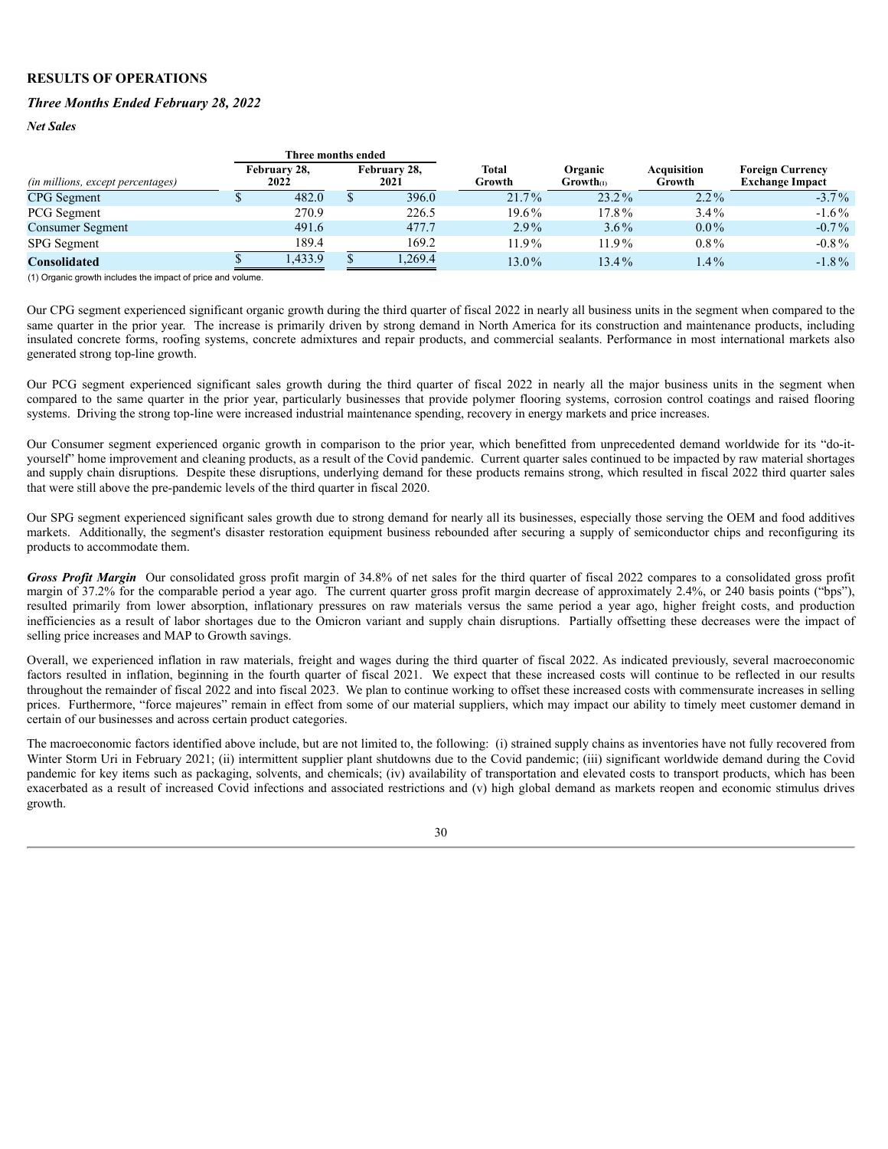## **RESULTS OF OPERATIONS**

## *Three Months Ended February 28, 2022*

*Net Sales*

|                                   | Three months ended   |                      |                 |                      |                       |                                                   |
|-----------------------------------|----------------------|----------------------|-----------------|----------------------|-----------------------|---------------------------------------------------|
| (in millions, except percentages) | February 28,<br>2022 | February 28.<br>2021 | Total<br>Growth | Organic<br>Growth(1) | Acquisition<br>Growth | <b>Foreign Currency</b><br><b>Exchange Impact</b> |
| <b>CPG</b> Segment                | 482.0                | 396.0                | $21.7\%$        | $23.2\%$             | $2.2\%$               | $-3.7\%$                                          |
| <b>PCG</b> Segment                | 270.9                | 226.5                | $19.6\%$        | $17.8\%$             | $3.4\%$               | $-1.6\%$                                          |
| Consumer Segment                  | 491.6                | 477.7                | $2.9\%$         | $3.6\%$              | $0.0\%$               | $-0.7\%$                                          |
| <b>SPG</b> Segment                | 189.4                | 169.2                | $11.9\%$        | $11.9\%$             | $0.8\%$               | $-0.8\%$                                          |
| <b>Consolidated</b>               | 1.433.9              | 1,269.4              | 13.0%           | $13.4\%$             | $.4\%$                | $-1.8\%$                                          |

(1) Organic growth includes the impact of price and volume.

Our CPG segment experienced significant organic growth during the third quarter of fiscal 2022 in nearly all business units in the segment when compared to the same quarter in the prior year. The increase is primarily driven by strong demand in North America for its construction and maintenance products, including insulated concrete forms, roofing systems, concrete admixtures and repair products, and commercial sealants. Performance in most international markets also generated strong top-line growth.

Our PCG segment experienced significant sales growth during the third quarter of fiscal 2022 in nearly all the major business units in the segment when compared to the same quarter in the prior year, particularly businesses that provide polymer flooring systems, corrosion control coatings and raised flooring systems. Driving the strong top-line were increased industrial maintenance spending, recovery in energy markets and price increases.

Our Consumer segment experienced organic growth in comparison to the prior year, which benefitted from unprecedented demand worldwide for its "do-ityourself" home improvement and cleaning products, as a result of the Covid pandemic. Current quarter sales continued to be impacted by raw material shortages and supply chain disruptions. Despite these disruptions, underlying demand for these products remains strong, which resulted in fiscal 2022 third quarter sales that were still above the pre-pandemic levels of the third quarter in fiscal 2020.

Our SPG segment experienced significant sales growth due to strong demand for nearly all its businesses, especially those serving the OEM and food additives markets. Additionally, the segment's disaster restoration equipment business rebounded after securing a supply of semiconductor chips and reconfiguring its products to accommodate them.

*Gross Profit Margin* Our consolidated gross profit margin of 34.8% of net sales for the third quarter of fiscal 2022 compares to a consolidated gross profit margin of 37.2% for the comparable period a year ago. The current quarter gross profit margin decrease of approximately 2.4%, or 240 basis points ("bps"), resulted primarily from lower absorption, inflationary pressures on raw materials versus the same period a year ago, higher freight costs, and production inefficiencies as a result of labor shortages due to the Omicron variant and supply chain disruptions. Partially offsetting these decreases were the impact of selling price increases and MAP to Growth savings.

Overall, we experienced inflation in raw materials, freight and wages during the third quarter of fiscal 2022. As indicated previously, several macroeconomic factors resulted in inflation, beginning in the fourth quarter of fiscal 2021. We expect that these increased costs will continue to be reflected in our results throughout the remainder of fiscal 2022 and into fiscal 2023. We plan to continue working to offset these increased costs with commensurate increases in selling prices. Furthermore, "force majeures" remain in effect from some of our material suppliers, which may impact our ability to timely meet customer demand in certain of our businesses and across certain product categories.

The macroeconomic factors identified above include, but are not limited to, the following: (i) strained supply chains as inventories have not fully recovered from Winter Storm Uri in February 2021; (ii) intermittent supplier plant shutdowns due to the Covid pandemic; (iii) significant worldwide demand during the Covid pandemic for key items such as packaging, solvents, and chemicals; (iv) availability of transportation and elevated costs to transport products, which has been exacerbated as a result of increased Covid infections and associated restrictions and (v) high global demand as markets reopen and economic stimulus drives growth.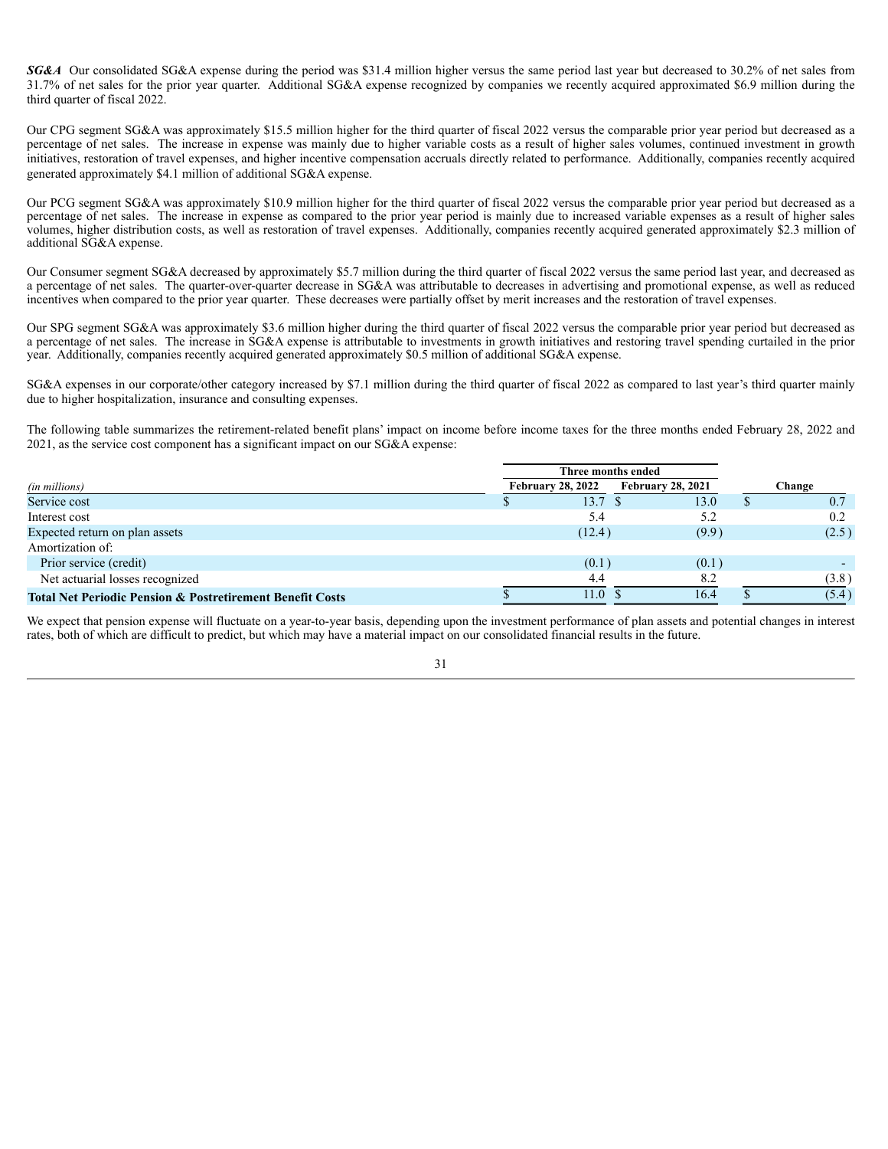*SG&A* Our consolidated SG&A expense during the period was \$31.4 million higher versus the same period last year but decreased to 30.2% of net sales from 31.7% of net sales for the prior year quarter. Additional SG&A expense recognized by companies we recently acquired approximated \$6.9 million during the third quarter of fiscal 2022.

Our CPG segment SG&A was approximately \$15.5 million higher for the third quarter of fiscal 2022 versus the comparable prior year period but decreased as a percentage of net sales. The increase in expense was mainly due to higher variable costs as a result of higher sales volumes, continued investment in growth initiatives, restoration of travel expenses, and higher incentive compensation accruals directly related to performance. Additionally, companies recently acquired generated approximately \$4.1 million of additional SG&A expense.

Our PCG segment SG&A was approximately \$10.9 million higher for the third quarter of fiscal 2022 versus the comparable prior year period but decreased as a percentage of net sales. The increase in expense as compared to the prior year period is mainly due to increased variable expenses as a result of higher sales volumes, higher distribution costs, as well as restoration of travel expenses. Additionally, companies recently acquired generated approximately \$2.3 million of additional SG&A expense.

Our Consumer segment SG&A decreased by approximately \$5.7 million during the third quarter of fiscal 2022 versus the same period last year, and decreased as a percentage of net sales. The quarter-over-quarter decrease in SG&A was attributable to decreases in advertising and promotional expense, as well as reduced incentives when compared to the prior year quarter. These decreases were partially offset by merit increases and the restoration of travel expenses.

Our SPG segment SG&A was approximately \$3.6 million higher during the third quarter of fiscal 2022 versus the comparable prior year period but decreased as a percentage of net sales. The increase in SG&A expense is attributable to investments in growth initiatives and restoring travel spending curtailed in the prior year. Additionally, companies recently acquired generated approximately \$0.5 million of additional SG&A expense.

SG&A expenses in our corporate/other category increased by \$7.1 million during the third quarter of fiscal 2022 as compared to last year's third quarter mainly due to higher hospitalization, insurance and consulting expenses.

The following table summarizes the retirement-related benefit plans' impact on income before income taxes for the three months ended February 28, 2022 and 2021, as the service cost component has a significant impact on our SG&A expense:

| (in millions)                                                        | <b>February 28, 2022</b> |        | <b>February 28, 2021</b> | Change |
|----------------------------------------------------------------------|--------------------------|--------|--------------------------|--------|
| Service cost                                                         |                          | 13.7 S | 13.0                     | 0.7    |
| Interest cost                                                        |                          | 5.4    | 5.2                      | 0.2    |
| Expected return on plan assets                                       |                          | (12.4) | (9.9)                    | (2.5)  |
| Amortization of:                                                     |                          |        |                          |        |
| Prior service (credit)                                               |                          | (0.1)  | (0.1)                    |        |
| Net actuarial losses recognized                                      |                          | 4.4    | 8.2                      | (3.8)  |
| <b>Total Net Periodic Pension &amp; Postretirement Benefit Costs</b> |                          | 11.0   | 16.4                     | (5.4)  |

We expect that pension expense will fluctuate on a year-to-year basis, depending upon the investment performance of plan assets and potential changes in interest rates, both of which are difficult to predict, but which may have a material impact on our consolidated financial results in the future.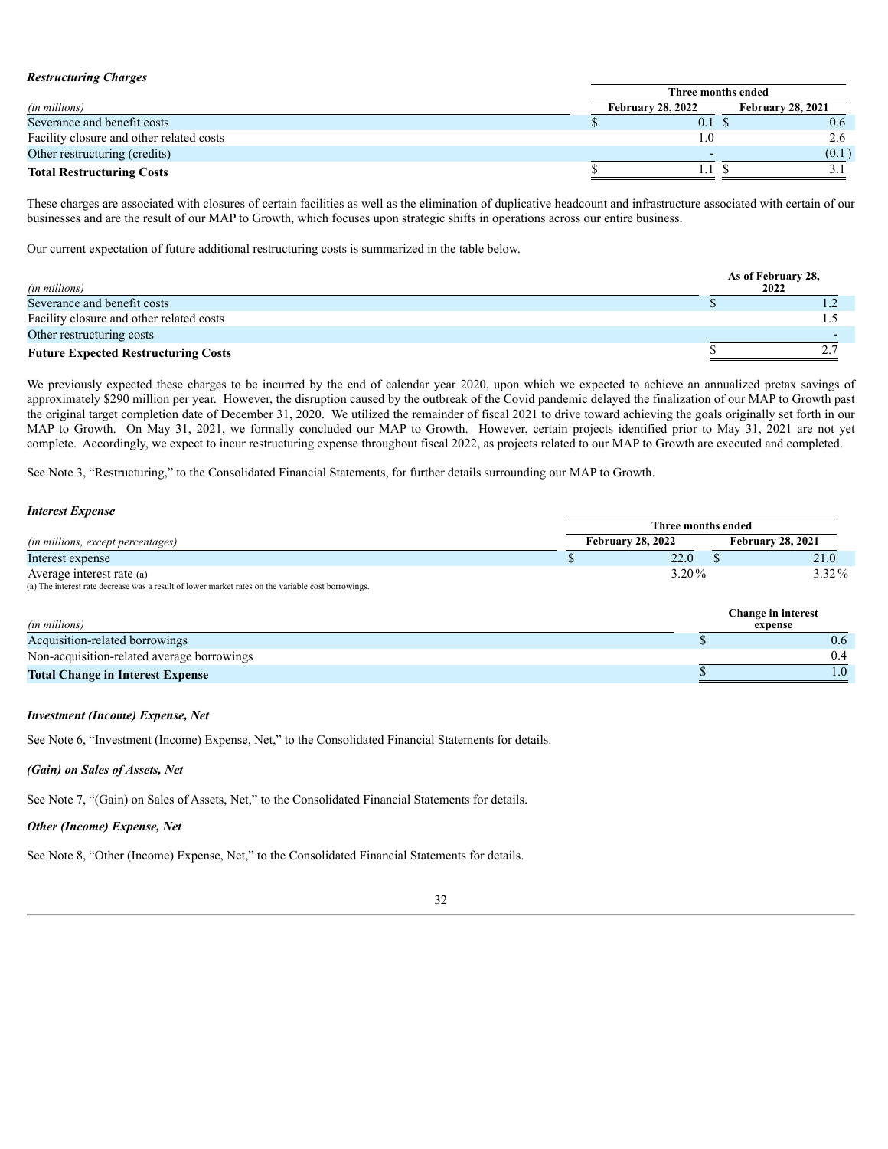## *Restructuring Charges*

|                                          |  | Three months ended       |                          |  |  |  |
|------------------------------------------|--|--------------------------|--------------------------|--|--|--|
| (in millions)                            |  | <b>February 28, 2022</b> | <b>February 28, 2021</b> |  |  |  |
| Severance and benefit costs              |  | 0.1                      | 0.6                      |  |  |  |
| Facility closure and other related costs |  |                          | 2.6                      |  |  |  |
| Other restructuring (credits)            |  |                          | (0.1)                    |  |  |  |
| <b>Total Restructuring Costs</b>         |  |                          |                          |  |  |  |

These charges are associated with closures of certain facilities as well as the elimination of duplicative headcount and infrastructure associated with certain of our businesses and are the result of our MAP to Growth, which focuses upon strategic shifts in operations across our entire business.

Our current expectation of future additional restructuring costs is summarized in the table below.

| (in millions)                              | As of February 28,<br>2022 |
|--------------------------------------------|----------------------------|
| Severance and benefit costs                |                            |
| Facility closure and other related costs   |                            |
| Other restructuring costs                  |                            |
| <b>Future Expected Restructuring Costs</b> | ۷,                         |

We previously expected these charges to be incurred by the end of calendar year 2020, upon which we expected to achieve an annualized pretax savings of approximately \$290 million per year. However, the disruption caused by the outbreak of the Covid pandemic delayed the finalization of our MAP to Growth past the original target completion date of December 31, 2020. We utilized the remainder of fiscal 2021 to drive toward achieving the goals originally set forth in our MAP to Growth. On May 31, 2021, we formally concluded our MAP to Growth. However, certain projects identified prior to May 31, 2021 are not yet complete. Accordingly, we expect to incur restructuring expense throughout fiscal 2022, as projects related to our MAP to Growth are executed and completed.

See Note 3, "Restructuring," to the Consolidated Financial Statements, for further details surrounding our MAP to Growth.

#### *Interest Expense*

|                                                                                                    | Three months ended |                          |  |                           |
|----------------------------------------------------------------------------------------------------|--------------------|--------------------------|--|---------------------------|
| <i>(in millions, except percentages)</i>                                                           |                    | <b>February 28, 2022</b> |  | <b>February 28, 2021</b>  |
| Interest expense                                                                                   |                    | 22.0                     |  | 21.0                      |
| Average interest rate (a)                                                                          |                    | $3.20\%$                 |  | $3.32\%$                  |
| (a) The interest rate decrease was a result of lower market rates on the variable cost borrowings. |                    |                          |  |                           |
|                                                                                                    |                    |                          |  |                           |
|                                                                                                    |                    |                          |  | <b>Change in interest</b> |
| (in millions)                                                                                      |                    |                          |  | expense                   |
| Acquisition-related borrowings                                                                     |                    |                          |  | 0.6                       |
| Non-acquisition-related average borrowings                                                         |                    |                          |  | 0.4                       |
| <b>Total Change in Interest Expense</b>                                                            |                    |                          |  | $1.0\,$                   |

#### *Investment (Income) Expense, Net*

See Note 6, "Investment (Income) Expense, Net," to the Consolidated Financial Statements for details.

#### *(Gain) on Sales of Assets, Net*

See Note 7, "(Gain) on Sales of Assets, Net," to the Consolidated Financial Statements for details.

#### *Other (Income) Expense, Net*

See Note 8, "Other (Income) Expense, Net," to the Consolidated Financial Statements for details.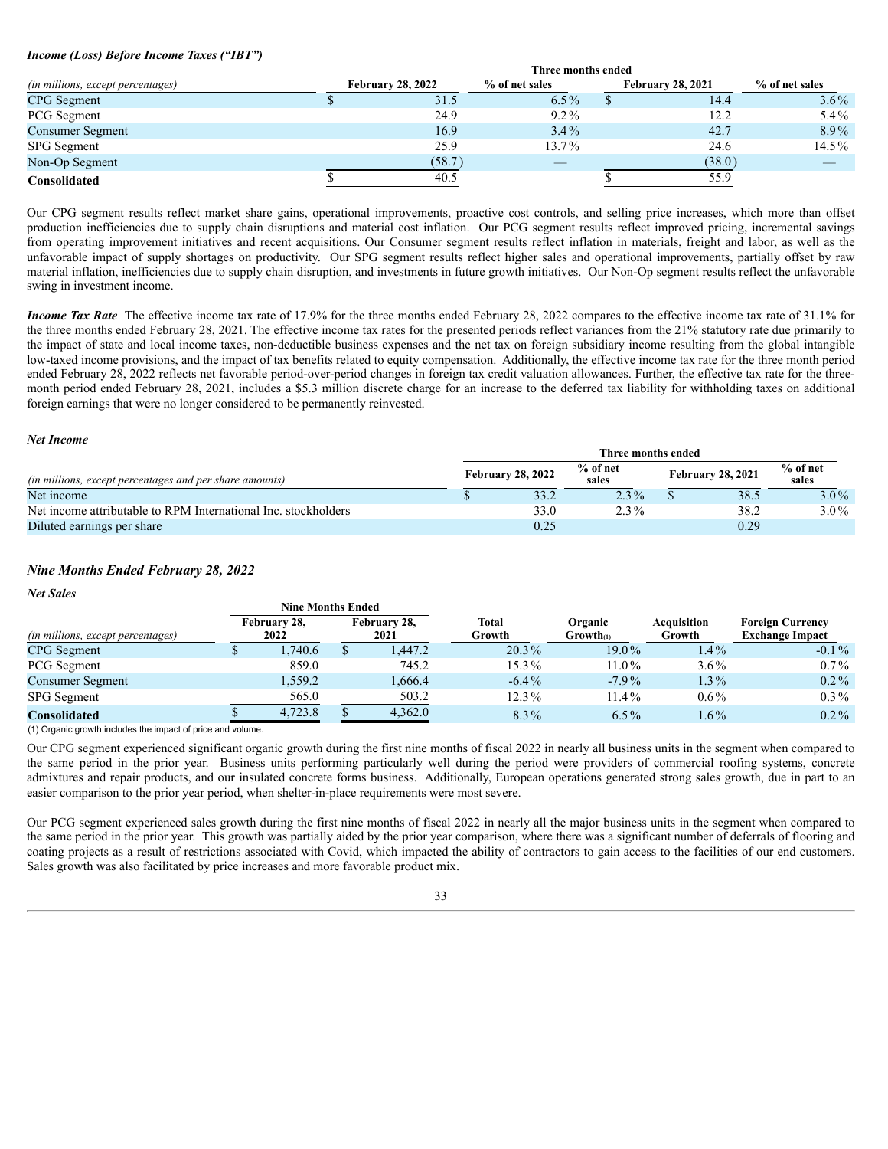#### *Income (Loss) Before Income Taxes ("IBT")*

|                                          | Three months ended       |                |                          |        |                |  |  |  |
|------------------------------------------|--------------------------|----------------|--------------------------|--------|----------------|--|--|--|
| <i>(in millions, except percentages)</i> | <b>February 28, 2022</b> | % of net sales | <b>February 28, 2021</b> |        | % of net sales |  |  |  |
| <b>CPG</b> Segment                       | 31.5                     | $6.5\%$        |                          | 14.4   | $3.6\%$        |  |  |  |
| <b>PCG</b> Segment                       | 24.9                     | $9.2\%$        |                          | 12.2   | $5.4\%$        |  |  |  |
| <b>Consumer Segment</b>                  | 16.9                     | $3.4\%$        |                          | 42.7   | $8.9\%$        |  |  |  |
| <b>SPG</b> Segment                       | 25.9                     | $13.7\%$       |                          | 24.6   | $14.5\%$       |  |  |  |
| Non-Op Segment                           | (58.7)                   |                |                          | (38.0) |                |  |  |  |
| Consolidated                             | 40.5                     |                |                          | 55.9   |                |  |  |  |

Our CPG segment results reflect market share gains, operational improvements, proactive cost controls, and selling price increases, which more than offset production inefficiencies due to supply chain disruptions and material cost inflation. Our PCG segment results reflect improved pricing, incremental savings from operating improvement initiatives and recent acquisitions. Our Consumer segment results reflect inflation in materials, freight and labor, as well as the unfavorable impact of supply shortages on productivity. Our SPG segment results reflect higher sales and operational improvements, partially offset by raw material inflation, inefficiencies due to supply chain disruption, and investments in future growth initiatives. Our Non-Op segment results reflect the unfavorable swing in investment income.

*Income Tax Rate* The effective income tax rate of 17.9% for the three months ended February 28, 2022 compares to the effective income tax rate of 31.1% for the three months ended February 28, 2021. The effective income tax rates for the presented periods reflect variances from the 21% statutory rate due primarily to the impact of state and local income taxes, non-deductible business expenses and the net tax on foreign subsidiary income resulting from the global intangible low-taxed income provisions, and the impact of tax benefits related to equity compensation. Additionally, the effective income tax rate for the three month period ended February 28, 2022 reflects net favorable period-over-period changes in foreign tax credit valuation allowances. Further, the effective tax rate for the threemonth period ended February 28, 2021, includes a \$5.3 million discrete charge for an increase to the deferred tax liability for withholding taxes on additional foreign earnings that were no longer considered to be permanently reinvested.

#### *Net Income*

|                                                                | Three months ended |                          |                     |  |                          |                     |  |  |
|----------------------------------------------------------------|--------------------|--------------------------|---------------------|--|--------------------------|---------------------|--|--|
| (in millions, except percentages and per share amounts)        |                    | <b>February 28, 2022</b> | $%$ of net<br>sales |  | <b>February 28, 2021</b> | $%$ of net<br>sales |  |  |
| Net income                                                     |                    |                          | $2.3\%$             |  | 38.5                     | $3.0\%$             |  |  |
| Net income attributable to RPM International Inc. stockholders |                    | 33.0                     | $2.3\%$             |  | 38.2                     | $3.0\%$             |  |  |
| Diluted earnings per share                                     |                    | 0.25                     |                     |  | 0.29                     |                     |  |  |

## *Nine Months Ended February 28, 2022*

*Net Sales*

|                                   | <b>Nine Months Ended</b> |         |                      |         |                 |                                        |                       |                                                   |
|-----------------------------------|--------------------------|---------|----------------------|---------|-----------------|----------------------------------------|-----------------------|---------------------------------------------------|
| (in millions, except percentages) | February 28,<br>2022     |         | February 28,<br>2021 |         | Total<br>Growth | Organic<br><b>Growth</b> <sub>th</sub> | Acquisition<br>Growth | <b>Foreign Currency</b><br><b>Exchange Impact</b> |
| <b>CPG</b> Segment                |                          | 1.740.6 |                      | .447.2  | $20.3\%$        | 19.0%                                  | $1.4\%$               | $-0.1\%$                                          |
| <b>PCG</b> Segment                |                          | 859.0   |                      | 745.2   | 15.3%           | $11.0\%$                               | $3.6\%$               | $0.7\%$                                           |
| Consumer Segment                  |                          | 1,559.2 |                      | 1,666.4 | $-6.4\%$        | $-7.9\%$                               | $1.3\%$               | $0.2\%$                                           |
| <b>SPG</b> Segment                |                          | 565.0   |                      | 503.2   | $12.3\%$        | $11.4\%$                               | $0.6\%$               | $0.3\%$                                           |
| <b>Consolidated</b>               |                          | 4.723.8 |                      | 4.362.0 | $8.3\%$         | $6.5\%$                                | $1.6\%$               | $0.2\%$                                           |

(1) Organic growth includes the impact of price and volume.

Our CPG segment experienced significant organic growth during the first nine months of fiscal 2022 in nearly all business units in the segment when compared to the same period in the prior year. Business units performing particularly well during the period were providers of commercial roofing systems, concrete admixtures and repair products, and our insulated concrete forms business. Additionally, European operations generated strong sales growth, due in part to an easier comparison to the prior year period, when shelter-in-place requirements were most severe.

Our PCG segment experienced sales growth during the first nine months of fiscal 2022 in nearly all the major business units in the segment when compared to the same period in the prior year. This growth was partially aided by the prior year comparison, where there was a significant number of deferrals of flooring and coating projects as a result of restrictions associated with Covid, which impacted the ability of contractors to gain access to the facilities of our end customers. Sales growth was also facilitated by price increases and more favorable product mix.

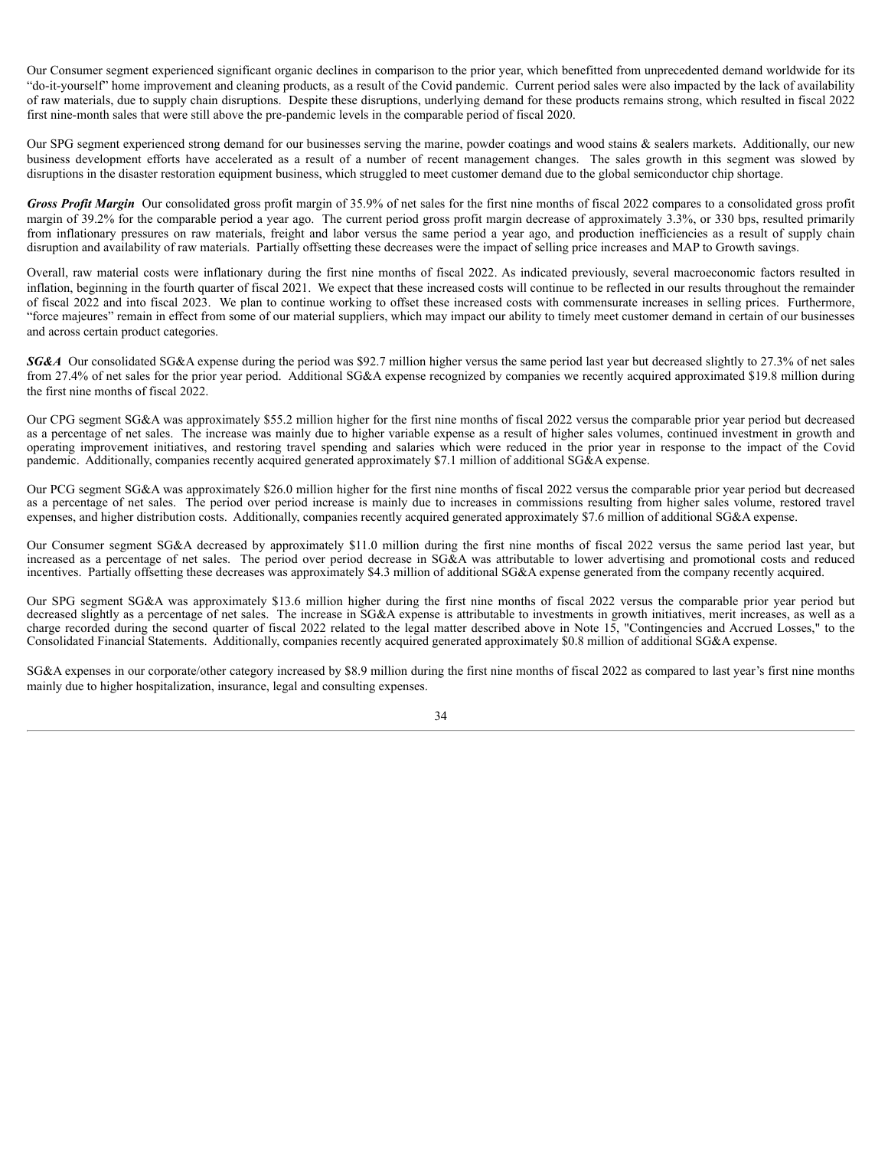Our Consumer segment experienced significant organic declines in comparison to the prior year, which benefitted from unprecedented demand worldwide for its "do-it-yourself" home improvement and cleaning products, as a result of the Covid pandemic. Current period sales were also impacted by the lack of availability of raw materials, due to supply chain disruptions. Despite these disruptions, underlying demand for these products remains strong, which resulted in fiscal 2022 first nine-month sales that were still above the pre-pandemic levels in the comparable period of fiscal 2020.

Our SPG segment experienced strong demand for our businesses serving the marine, powder coatings and wood stains & sealers markets. Additionally, our new business development efforts have accelerated as a result of a number of recent management changes. The sales growth in this segment was slowed by disruptions in the disaster restoration equipment business, which struggled to meet customer demand due to the global semiconductor chip shortage.

*Gross Profit Margin* Our consolidated gross profit margin of 35.9% of net sales for the first nine months of fiscal 2022 compares to a consolidated gross profit margin of 39.2% for the comparable period a year ago. The current period gross profit margin decrease of approximately 3.3%, or 330 bps, resulted primarily from inflationary pressures on raw materials, freight and labor versus the same period a year ago, and production inefficiencies as a result of supply chain disruption and availability of raw materials. Partially offsetting these decreases were the impact of selling price increases and MAP to Growth savings.

Overall, raw material costs were inflationary during the first nine months of fiscal 2022. As indicated previously, several macroeconomic factors resulted in inflation, beginning in the fourth quarter of fiscal 2021. We expect that these increased costs will continue to be reflected in our results throughout the remainder of fiscal 2022 and into fiscal 2023. We plan to continue working to offset these increased costs with commensurate increases in selling prices. Furthermore, "force majeures" remain in effect from some of our material suppliers, which may impact our ability to timely meet customer demand in certain of our businesses and across certain product categories.

*SG&A* Our consolidated SG&A expense during the period was \$92.7 million higher versus the same period last year but decreased slightly to 27.3% of net sales from 27.4% of net sales for the prior year period. Additional SG&A expense recognized by companies we recently acquired approximated \$19.8 million during the first nine months of fiscal 2022.

Our CPG segment SG&A was approximately \$55.2 million higher for the first nine months of fiscal 2022 versus the comparable prior year period but decreased as a percentage of net sales. The increase was mainly due to higher variable expense as a result of higher sales volumes, continued investment in growth and operating improvement initiatives, and restoring travel spending and salaries which were reduced in the prior year in response to the impact of the Covid pandemic. Additionally, companies recently acquired generated approximately \$7.1 million of additional SG&A expense.

Our PCG segment SG&A was approximately \$26.0 million higher for the first nine months of fiscal 2022 versus the comparable prior year period but decreased as a percentage of net sales. The period over period increase is mainly due to increases in commissions resulting from higher sales volume, restored travel expenses, and higher distribution costs. Additionally, companies recently acquired generated approximately \$7.6 million of additional SG&A expense.

Our Consumer segment SG&A decreased by approximately \$11.0 million during the first nine months of fiscal 2022 versus the same period last year, but increased as a percentage of net sales. The period over period decrease in SG&A was attributable to lower advertising and promotional costs and reduced incentives. Partially offsetting these decreases was approximately \$4.3 million of additional SG&A expense generated from the company recently acquired.

Our SPG segment SG&A was approximately \$13.6 million higher during the first nine months of fiscal 2022 versus the comparable prior year period but decreased slightly as a percentage of net sales. The increase in SG&A expense is attributable to investments in growth initiatives, merit increases, as well as a charge recorded during the second quarter of fiscal 2022 related to the legal matter described above in Note  $15$ , "Contingencies and Accrued Losses," to the Consolidated Financial Statements. Additionally, companies recently acquired generated approximately \$0.8 million of additional SG&A expense.

SG&A expenses in our corporate/other category increased by \$8.9 million during the first nine months of fiscal 2022 as compared to last year's first nine months mainly due to higher hospitalization, insurance, legal and consulting expenses.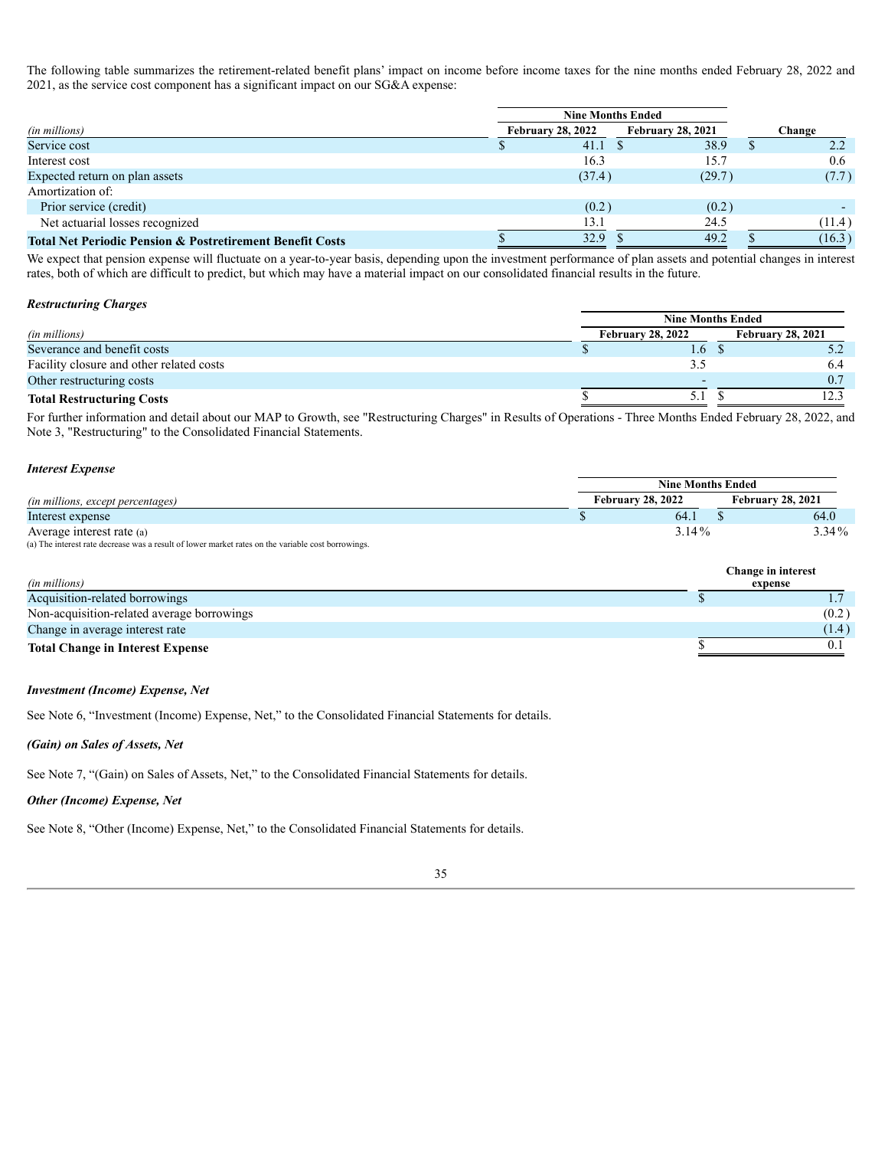The following table summarizes the retirement-related benefit plans' impact on income before income taxes for the nine months ended February 28, 2022 and 2021, as the service cost component has a significant impact on our SG&A expense:

| (in millions)                                                        | <b>February 28, 2022</b> | <b>Nine Months Ended</b><br><b>February 28, 2021</b> | Change |        |
|----------------------------------------------------------------------|--------------------------|------------------------------------------------------|--------|--------|
| Service cost                                                         |                          | 41.1 S                                               | 38.9   | 2.2    |
| Interest cost                                                        |                          | 16.3                                                 | 15.7   | 0.6    |
| Expected return on plan assets                                       |                          | (37.4)                                               | (29.7) | (7.7)  |
| Amortization of:                                                     |                          |                                                      |        |        |
| Prior service (credit)                                               |                          | (0.2)                                                | (0.2)  |        |
| Net actuarial losses recognized                                      |                          | 13.1                                                 | 24.5   | (11.4) |
| <b>Total Net Periodic Pension &amp; Postretirement Benefit Costs</b> |                          | 32.9                                                 | 49.2   | (16.3) |

We expect that pension expense will fluctuate on a year-to-year basis, depending upon the investment performance of plan assets and potential changes in interest rates, both of which are difficult to predict, but which may have a material impact on our consolidated financial results in the future.

#### *Restructuring Charges*

|                                          |  | <b>Nine Months Ended</b> |                          |  |  |  |  |  |
|------------------------------------------|--|--------------------------|--------------------------|--|--|--|--|--|
| (in millions)                            |  | <b>February 28, 2022</b> | <b>February 28, 2021</b> |  |  |  |  |  |
| Severance and benefit costs              |  |                          |                          |  |  |  |  |  |
| Facility closure and other related costs |  |                          | 6.4                      |  |  |  |  |  |
| Other restructuring costs                |  |                          | 0.7                      |  |  |  |  |  |
| <b>Total Restructuring Costs</b>         |  |                          | $\sim$                   |  |  |  |  |  |

For further information and detail about our MAP to Growth, see "Restructuring Charges" in Results of Operations - Three Months Ended February 28, 2022, and Note 3, "Restructuring" to the Consolidated Financial Statements.

| <b>Interest Expense</b>                                                                            |                          |                          |          |  |
|----------------------------------------------------------------------------------------------------|--------------------------|--------------------------|----------|--|
|                                                                                                    | <b>Nine Months Ended</b> |                          |          |  |
| <i>(in millions, except percentages)</i>                                                           | <b>February 28, 2022</b> | <b>February 28, 2021</b> |          |  |
| Interest expense                                                                                   | 64.1                     |                          | 64.0     |  |
| Average interest rate (a)                                                                          | $3.14\%$                 |                          | $3.34\%$ |  |
| (a) The interest rate decrease was a result of lower market rates on the variable cost borrowings. |                          |                          |          |  |

|                                            | <b>Change in interest</b> |
|--------------------------------------------|---------------------------|
| (in millions)                              | expense                   |
| Acquisition-related borrowings             |                           |
| Non-acquisition-related average borrowings | (0.2)                     |
| Change in average interest rate            | (1.4)                     |
| <b>Total Change in Interest Expense</b>    |                           |

#### *Investment (Income) Expense, Net*

See Note 6, "Investment (Income) Expense, Net," to the Consolidated Financial Statements for details.

#### *(Gain) on Sales of Assets, Net*

See Note 7, "(Gain) on Sales of Assets, Net," to the Consolidated Financial Statements for details.

#### *Other (Income) Expense, Net*

See Note 8, "Other (Income) Expense, Net," to the Consolidated Financial Statements for details.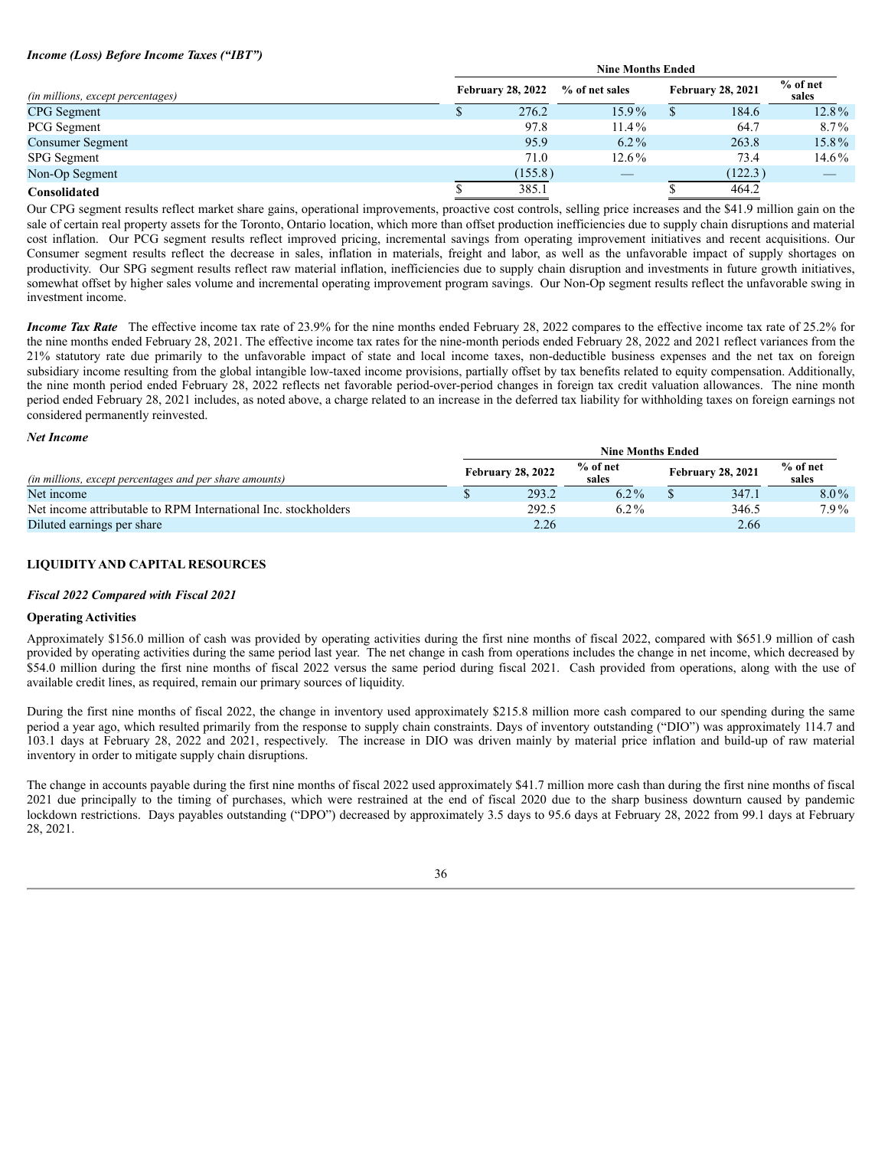#### *Income (Loss) Before Income Taxes ("IBT")*

|                                   | <b>Nine Months Ended</b> |         |                |                          |         |                     |  |
|-----------------------------------|--------------------------|---------|----------------|--------------------------|---------|---------------------|--|
| (in millions, except percentages) | <b>February 28, 2022</b> |         | % of net sales | <b>February 28, 2021</b> |         | $%$ of net<br>sales |  |
| <b>CPG</b> Segment                |                          | 276.2   | $15.9\%$       | S                        | 184.6   | $12.8\%$            |  |
| <b>PCG</b> Segment                |                          | 97.8    | $11.4\%$       |                          | 64.7    | $8.7\%$             |  |
| <b>Consumer Segment</b>           |                          | 95.9    | $6.2\%$        |                          | 263.8   | 15.8%               |  |
| <b>SPG</b> Segment                |                          | 71.0    | $12.6\%$       |                          | 73.4    | $14.6\%$            |  |
| Non-Op Segment                    |                          | (155.8) |                |                          | (122.3) |                     |  |
| Consolidated                      |                          | 385.1   |                |                          | 464.2   |                     |  |

Our CPG segment results reflect market share gains, operational improvements, proactive cost controls, selling price increases and the \$41.9 million gain on the sale of certain real property assets for the Toronto, Ontario location, which more than offset production inefficiencies due to supply chain disruptions and material cost inflation. Our PCG segment results reflect improved pricing, incremental savings from operating improvement initiatives and recent acquisitions. Our Consumer segment results reflect the decrease in sales, inflation in materials, freight and labor, as well as the unfavorable impact of supply shortages on productivity. Our SPG segment results reflect raw material inflation, inefficiencies due to supply chain disruption and investments in future growth initiatives, somewhat offset by higher sales volume and incremental operating improvement program savings. Our Non-Op segment results reflect the unfavorable swing in investment income.

*Income Tax Rate* The effective income tax rate of 23.9% for the nine months ended February 28, 2022 compares to the effective income tax rate of 25.2% for the nine months ended February 28, 2021. The effective income tax rates for the nine-month periods ended February 28, 2022 and 2021 reflect variances from the 21% statutory rate due primarily to the unfavorable impact of state and local income taxes, non-deductible business expenses and the net tax on foreign subsidiary income resulting from the global intangible low-taxed income provisions, partially offset by tax benefits related to equity compensation. Additionally, the nine month period ended February 28, 2022 reflects net favorable period-over-period changes in foreign tax credit valuation allowances. The nine month period ended February 28, 2021 includes, as noted above, a charge related to an increase in the deferred tax liability for withholding taxes on foreign earnings not considered permanently reinvested.

#### *Net Income*

| .                                                              | <b>Nine Months Ended</b> |                          |                     |  |                          |                     |
|----------------------------------------------------------------|--------------------------|--------------------------|---------------------|--|--------------------------|---------------------|
| (in millions, except percentages and per share amounts)        |                          | <b>February 28, 2022</b> | $%$ of net<br>sales |  | <b>February 28, 2021</b> | $%$ of net<br>sales |
| Net income                                                     |                          | 293.2                    | $6.2\%$             |  | 347. <sub>1</sub>        | $8.0\%$             |
| Net income attributable to RPM International Inc. stockholders |                          | 292.5                    | $6.2\%$             |  | 346.5                    | $7.9\%$             |
| Diluted earnings per share                                     |                          | 2.26                     |                     |  | 2.66                     |                     |

#### **LIQUIDITY AND CAPITAL RESOURCES**

#### *Fiscal 2022 Compared with Fiscal 2021*

#### **Operating Activities**

Approximately \$156.0 million of cash was provided by operating activities during the first nine months of fiscal 2022, compared with \$651.9 million of cash provided by operating activities during the same period last year. The net change in cash from operations includes the change in net income, which decreased by \$54.0 million during the first nine months of fiscal 2022 versus the same period during fiscal 2021. Cash provided from operations, along with the use of available credit lines, as required, remain our primary sources of liquidity.

During the first nine months of fiscal 2022, the change in inventory used approximately \$215.8 million more cash compared to our spending during the same period a year ago, which resulted primarily from the response to supply chain constraints. Days of inventory outstanding ("DIO") was approximately 114.7 and 103.1 days at February 28, 2022 and 2021, respectively. The increase in DIO was driven mainly by material price inflation and build-up of raw material inventory in order to mitigate supply chain disruptions.

The change in accounts payable during the first nine months of fiscal 2022 used approximately \$41.7 million more cash than during the first nine months of fiscal 2021 due principally to the timing of purchases, which were restrained at the end of fiscal 2020 due to the sharp business downturn caused by pandemic lockdown restrictions. Days payables outstanding ("DPO") decreased by approximately 3.5 days to 95.6 days at February 28, 2022 from 99.1 days at February 28, 2021.

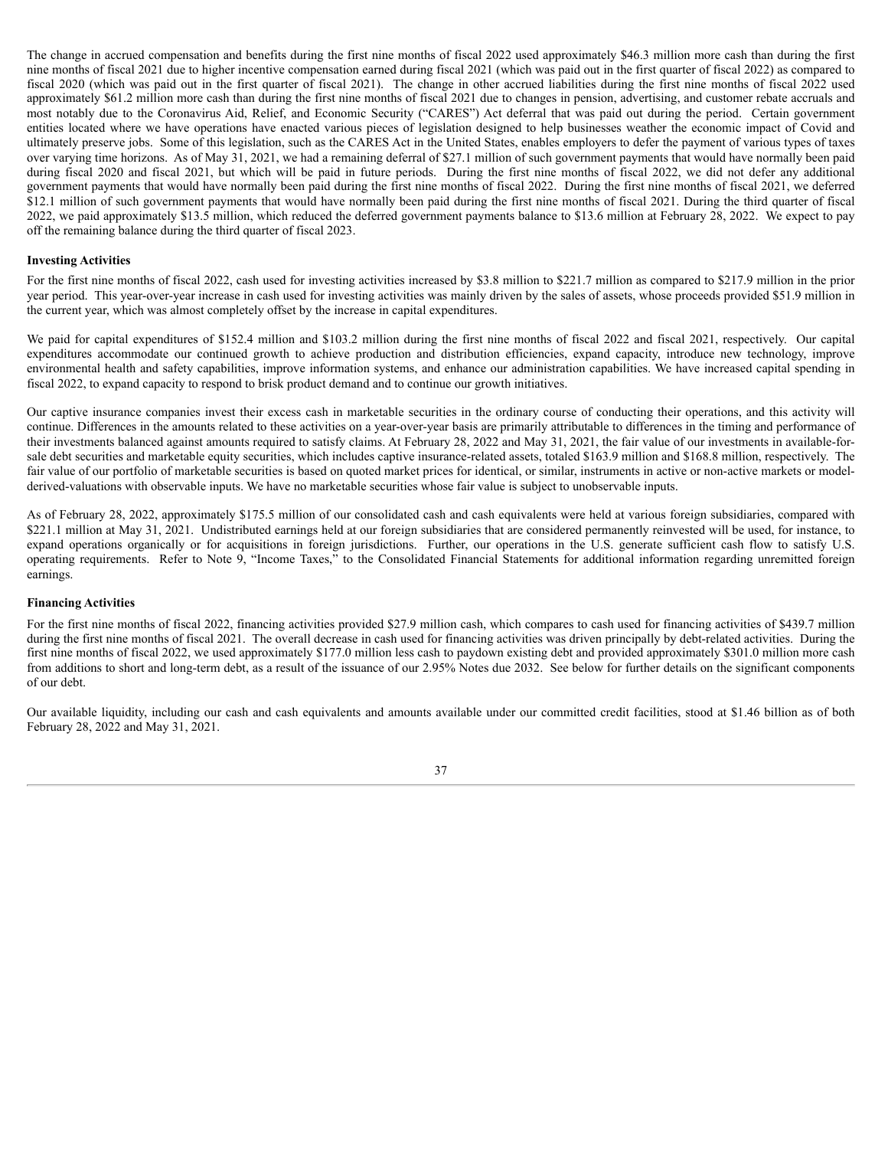The change in accrued compensation and benefits during the first nine months of fiscal 2022 used approximately \$46.3 million more cash than during the first nine months of fiscal 2021 due to higher incentive compensation earned during fiscal 2021 (which was paid out in the first quarter of fiscal 2022) as compared to fiscal 2020 (which was paid out in the first quarter of fiscal 2021). The change in other accrued liabilities during the first nine months of fiscal 2022 used approximately \$61.2 million more cash than during the first nine months of fiscal 2021 due to changes in pension, advertising, and customer rebate accruals and most notably due to the Coronavirus Aid, Relief, and Economic Security ("CARES") Act deferral that was paid out during the period. Certain government entities located where we have operations have enacted various pieces of legislation designed to help businesses weather the economic impact of Covid and ultimately preserve jobs. Some of this legislation, such as the CARES Act in the United States, enables employers to defer the payment of various types of taxes over varying time horizons. As of May 31, 2021, we had a remaining deferral of \$27.1 million of such government payments that would have normally been paid during fiscal 2020 and fiscal 2021, but which will be paid in future periods. During the first nine months of fiscal 2022, we did not defer any additional government payments that would have normally been paid during the first nine months of fiscal 2022. During the first nine months of fiscal 2021, we deferred \$12.1 million of such government payments that would have normally been paid during the first nine months of fiscal 2021. During the third quarter of fiscal 2022, we paid approximately \$13.5 million, which reduced the deferred government payments balance to \$13.6 million at February 28, 2022. We expect to pay off the remaining balance during the third quarter of fiscal 2023.

#### **Investing Activities**

For the first nine months of fiscal 2022, cash used for investing activities increased by \$3.8 million to \$221.7 million as compared to \$217.9 million in the prior year period. This year-over-year increase in cash used for investing activities was mainly driven by the sales of assets, whose proceeds provided \$51.9 million in the current year, which was almost completely offset by the increase in capital expenditures.

We paid for capital expenditures of \$152.4 million and \$103.2 million during the first nine months of fiscal 2022 and fiscal 2021, respectively. Our capital expenditures accommodate our continued growth to achieve production and distribution efficiencies, expand capacity, introduce new technology, improve environmental health and safety capabilities, improve information systems, and enhance our administration capabilities. We have increased capital spending in fiscal 2022, to expand capacity to respond to brisk product demand and to continue our growth initiatives.

Our captive insurance companies invest their excess cash in marketable securities in the ordinary course of conducting their operations, and this activity will continue. Differences in the amounts related to these activities on a year-over-year basis are primarily attributable to differences in the timing and performance of their investments balanced against amounts required to satisfy claims. At February 28, 2022 and May 31, 2021, the fair value of our investments in available-forsale debt securities and marketable equity securities, which includes captive insurance-related assets, totaled \$163.9 million and \$168.8 million, respectively. The fair value of our portfolio of marketable securities is based on quoted market prices for identical, or similar, instruments in active or non-active markets or modelderived-valuations with observable inputs. We have no marketable securities whose fair value is subject to unobservable inputs.

As of February 28, 2022, approximately \$175.5 million of our consolidated cash and cash equivalents were held at various foreign subsidiaries, compared with \$221.1 million at May 31, 2021. Undistributed earnings held at our foreign subsidiaries that are considered permanently reinvested will be used, for instance, to expand operations organically or for acquisitions in foreign jurisdictions. Further, our operations in the U.S. generate sufficient cash flow to satisfy U.S. operating requirements. Refer to Note 9, "Income Taxes," to the Consolidated Financial Statements for additional information regarding unremitted foreign earnings.

#### **Financing Activities**

For the first nine months of fiscal 2022, financing activities provided \$27.9 million cash, which compares to cash used for financing activities of \$439.7 million during the first nine months of fiscal 2021. The overall decrease in cash used for financing activities was driven principally by debt-related activities. During the first nine months of fiscal 2022, we used approximately \$177.0 million less cash to paydown existing debt and provided approximately \$301.0 million more cash from additions to short and long-term debt, as a result of the issuance of our 2.95% Notes due 2032. See below for further details on the significant components of our debt.

Our available liquidity, including our cash and cash equivalents and amounts available under our committed credit facilities, stood at \$1.46 billion as of both February 28, 2022 and May 31, 2021.

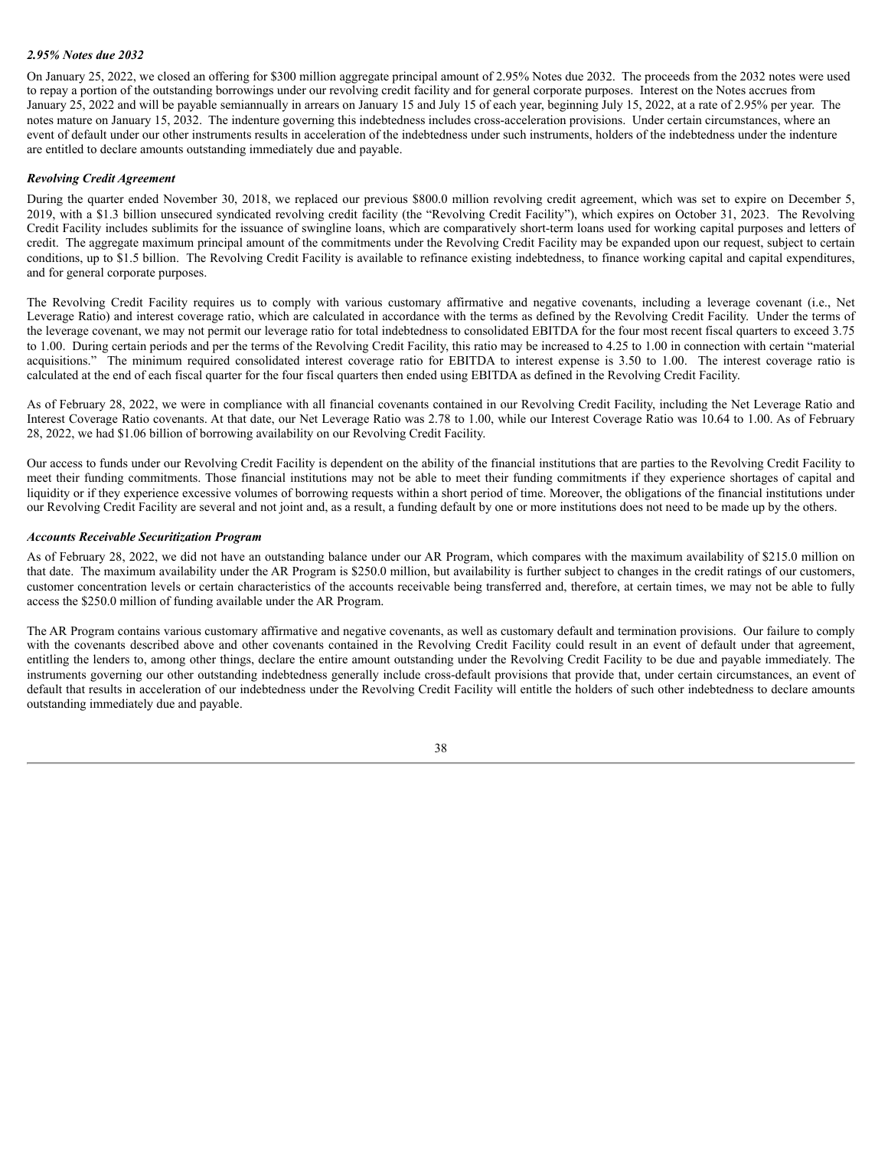#### *2.95% Notes due 2032*

On January 25, 2022, we closed an offering for \$300 million aggregate principal amount of 2.95% Notes due 2032. The proceeds from the 2032 notes were used to repay a portion of the outstanding borrowings under our revolving credit facility and for general corporate purposes. Interest on the Notes accrues from January 25, 2022 and will be payable semiannually in arrears on January 15 and July 15 of each year, beginning July 15, 2022, at a rate of 2.95% per year. The notes mature on January 15, 2032. The indenture governing this indebtedness includes cross-acceleration provisions. Under certain circumstances, where an event of default under our other instruments results in acceleration of the indebtedness under such instruments, holders of the indebtedness under the indenture are entitled to declare amounts outstanding immediately due and payable.

#### *Revolving Credit Agreement*

During the quarter ended November 30, 2018, we replaced our previous \$800.0 million revolving credit agreement, which was set to expire on December 5, 2019, with a \$1.3 billion unsecured syndicated revolving credit facility (the "Revolving Credit Facility"), which expires on October 31, 2023. The Revolving Credit Facility includes sublimits for the issuance of swingline loans, which are comparatively short-term loans used for working capital purposes and letters of credit. The aggregate maximum principal amount of the commitments under the Revolving Credit Facility may be expanded upon our request, subject to certain conditions, up to \$1.5 billion. The Revolving Credit Facility is available to refinance existing indebtedness, to finance working capital and capital expenditures, and for general corporate purposes.

The Revolving Credit Facility requires us to comply with various customary affirmative and negative covenants, including a leverage covenant (i.e., Net Leverage Ratio) and interest coverage ratio, which are calculated in accordance with the terms as defined by the Revolving Credit Facility. Under the terms of the leverage covenant, we may not permit our leverage ratio for total indebtedness to consolidated EBITDA for the four most recent fiscal quarters to exceed 3.75 to 1.00. During certain periods and per the terms of the Revolving Credit Facility, this ratio may be increased to 4.25 to 1.00 in connection with certain "material acquisitions." The minimum required consolidated interest coverage ratio for EBITDA to interest expense is 3.50 to 1.00. The interest coverage ratio is calculated at the end of each fiscal quarter for the four fiscal quarters then ended using EBITDA as defined in the Revolving Credit Facility.

As of February 28, 2022, we were in compliance with all financial covenants contained in our Revolving Credit Facility, including the Net Leverage Ratio and Interest Coverage Ratio covenants. At that date, our Net Leverage Ratio was 2.78 to 1.00, while our Interest Coverage Ratio was 10.64 to 1.00. As of February 28, 2022, we had \$1.06 billion of borrowing availability on our Revolving Credit Facility.

Our access to funds under our Revolving Credit Facility is dependent on the ability of the financial institutions that are parties to the Revolving Credit Facility to meet their funding commitments. Those financial institutions may not be able to meet their funding commitments if they experience shortages of capital and liquidity or if they experience excessive volumes of borrowing requests within a short period of time. Moreover, the obligations of the financial institutions under our Revolving Credit Facility are several and not joint and, as a result, a funding default by one or more institutions does not need to be made up by the others.

#### *Accounts Receivable Securitization Program*

As of February 28, 2022, we did not have an outstanding balance under our AR Program, which compares with the maximum availability of \$215.0 million on that date. The maximum availability under the AR Program is \$250.0 million, but availability is further subject to changes in the credit ratings of our customers, customer concentration levels or certain characteristics of the accounts receivable being transferred and, therefore, at certain times, we may not be able to fully access the \$250.0 million of funding available under the AR Program.

The AR Program contains various customary affirmative and negative covenants, as well as customary default and termination provisions. Our failure to comply with the covenants described above and other covenants contained in the Revolving Credit Facility could result in an event of default under that agreement, entitling the lenders to, among other things, declare the entire amount outstanding under the Revolving Credit Facility to be due and payable immediately. The instruments governing our other outstanding indebtedness generally include cross-default provisions that provide that, under certain circumstances, an event of default that results in acceleration of our indebtedness under the Revolving Credit Facility will entitle the holders of such other indebtedness to declare amounts outstanding immediately due and payable.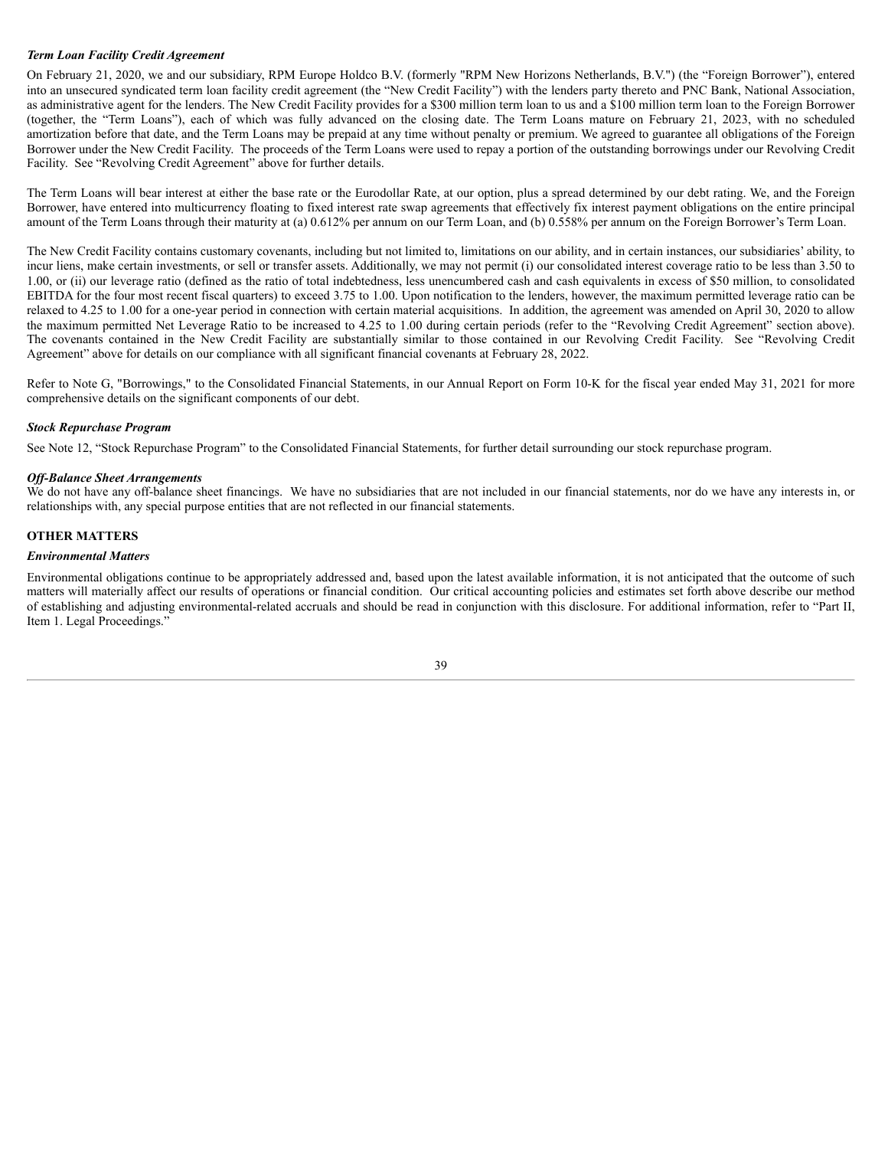#### *Term Loan Facility Credit Agreement*

On February 21, 2020, we and our subsidiary, RPM Europe Holdco B.V. (formerly "RPM New Horizons Netherlands, B.V.") (the "Foreign Borrower"), entered into an unsecured syndicated term loan facility credit agreement (the "New Credit Facility") with the lenders party thereto and PNC Bank, National Association, as administrative agent for the lenders. The New Credit Facility provides for a \$300 million term loan to us and a \$100 million term loan to the Foreign Borrower (together, the "Term Loans"), each of which was fully advanced on the closing date. The Term Loans mature on February 21, 2023, with no scheduled amortization before that date, and the Term Loans may be prepaid at any time without penalty or premium. We agreed to guarantee all obligations of the Foreign Borrower under the New Credit Facility. The proceeds of the Term Loans were used to repay a portion of the outstanding borrowings under our Revolving Credit Facility. See "Revolving Credit Agreement" above for further details.

The Term Loans will bear interest at either the base rate or the Eurodollar Rate, at our option, plus a spread determined by our debt rating. We, and the Foreign Borrower, have entered into multicurrency floating to fixed interest rate swap agreements that effectively fix interest payment obligations on the entire principal amount of the Term Loans through their maturity at (a) 0.612% per annum on our Term Loan, and (b) 0.558% per annum on the Foreign Borrower's Term Loan.

The New Credit Facility contains customary covenants, including but not limited to, limitations on our ability, and in certain instances, our subsidiaries' ability, to incur liens, make certain investments, or sell or transfer assets. Additionally, we may not permit (i) our consolidated interest coverage ratio to be less than 3.50 to 1.00, or (ii) our leverage ratio (defined as the ratio of total indebtedness, less unencumbered cash and cash equivalents in excess of \$50 million, to consolidated EBITDA for the four most recent fiscal quarters) to exceed 3.75 to 1.00. Upon notification to the lenders, however, the maximum permitted leverage ratio can be relaxed to 4.25 to 1.00 for a one-year period in connection with certain material acquisitions. In addition, the agreement was amended on April 30, 2020 to allow the maximum permitted Net Leverage Ratio to be increased to 4.25 to 1.00 during certain periods (refer to the "Revolving Credit Agreement" section above). The covenants contained in the New Credit Facility are substantially similar to those contained in our Revolving Credit Facility. See "Revolving Credit Agreement" above for details on our compliance with all significant financial covenants at February 28, 2022.

Refer to Note G, "Borrowings," to the Consolidated Financial Statements, in our Annual Report on Form 10-K for the fiscal year ended May 31, 2021 for more comprehensive details on the significant components of our debt.

#### *Stock Repurchase Program*

See Note 12, "Stock Repurchase Program" to the Consolidated Financial Statements, for further detail surrounding our stock repurchase program.

#### *Of -Balance Sheet Arrangements*

We do not have any off-balance sheet financings. We have no subsidiaries that are not included in our financial statements, nor do we have any interests in, or relationships with, any special purpose entities that are not reflected in our financial statements.

#### **OTHER MATTERS**

#### *Environmental Matters*

Environmental obligations continue to be appropriately addressed and, based upon the latest available information, it is not anticipated that the outcome of such matters will materially affect our results of operations or financial condition. Our critical accounting policies and estimates set forth above describe our method of establishing and adjusting environmental-related accruals and should be read in conjunction with this disclosure. For additional information, refer to "Part II, Item 1. Legal Proceedings."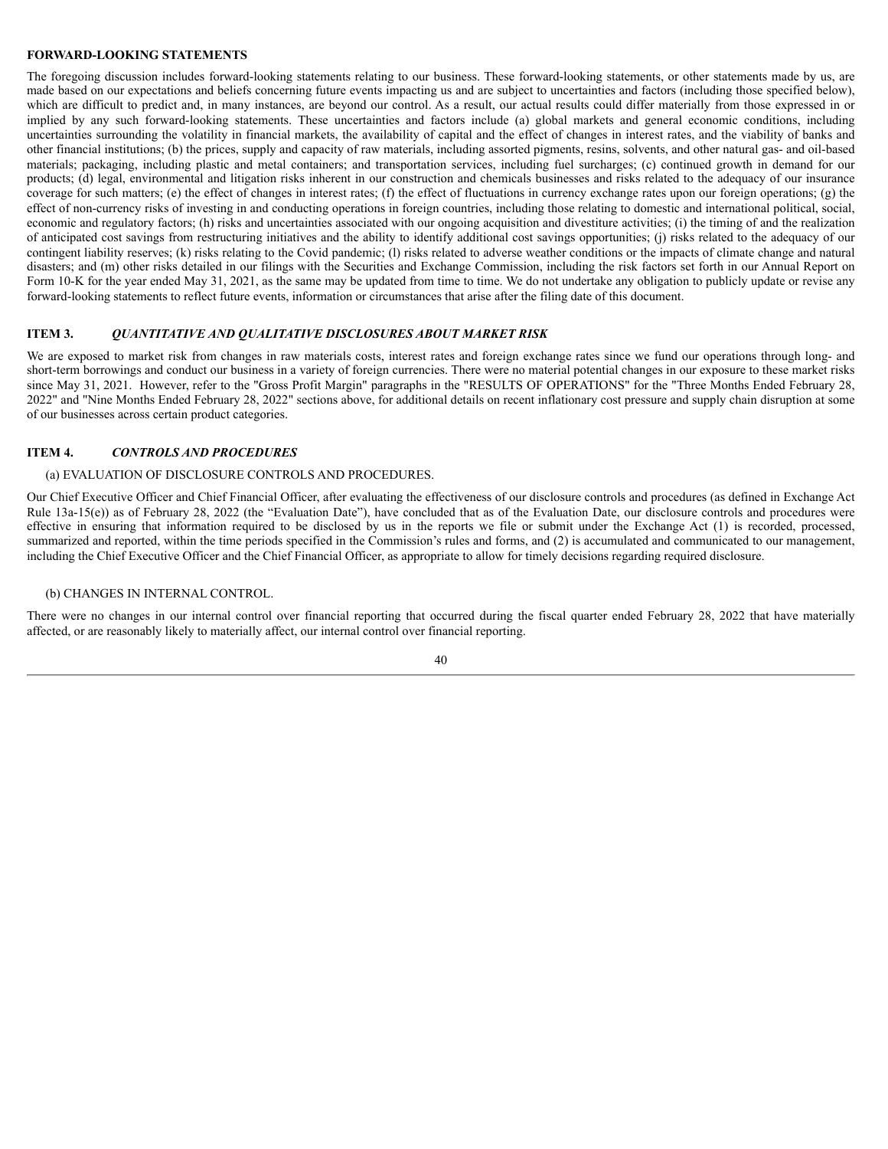#### **FORWARD-LOOKING STATEMENTS**

The foregoing discussion includes forward-looking statements relating to our business. These forward-looking statements, or other statements made by us, are made based on our expectations and beliefs concerning future events impacting us and are subject to uncertainties and factors (including those specified below), which are difficult to predict and, in many instances, are beyond our control. As a result, our actual results could differ materially from those expressed in or implied by any such forward-looking statements. These uncertainties and factors include (a) global markets and general economic conditions, including uncertainties surrounding the volatility in financial markets, the availability of capital and the effect of changes in interest rates, and the viability of banks and other financial institutions; (b) the prices, supply and capacity of raw materials, including assorted pigments, resins, solvents, and other natural gas- and oil-based materials; packaging, including plastic and metal containers; and transportation services, including fuel surcharges; (c) continued growth in demand for our products; (d) legal, environmental and litigation risks inherent in our construction and chemicals businesses and risks related to the adequacy of our insurance coverage for such matters; (e) the effect of changes in interest rates; (f) the effect of fluctuations in currency exchange rates upon our foreign operations; (g) the effect of non-currency risks of investing in and conducting operations in foreign countries, including those relating to domestic and international political, social, economic and regulatory factors; (h) risks and uncertainties associated with our ongoing acquisition and divestiture activities; (i) the timing of and the realization of anticipated cost savings from restructuring initiatives and the ability to identify additional cost savings opportunities; (j) risks related to the adequacy of our contingent liability reserves; (k) risks relating to the Covid pandemic; (l) risks related to adverse weather conditions or the impacts of climate change and natural disasters; and (m) other risks detailed in our filings with the Securities and Exchange Commission, including the risk factors set forth in our Annual Report on Form 10-K for the year ended May 31, 2021, as the same may be updated from time to time. We do not undertake any obligation to publicly update or revise any forward-looking statements to reflect future events, information or circumstances that arise after the filing date of this document.

## <span id="page-39-0"></span>**ITEM 3.** *QUANTITATIVE AND QUALITATIVE DISCLOSURES ABOUT MARKET RISK*

We are exposed to market risk from changes in raw materials costs, interest rates and foreign exchange rates since we fund our operations through long- and short-term borrowings and conduct our business in a variety of foreign currencies. There were no material potential changes in our exposure to these market risks since May 31, 2021. However, refer to the "Gross Profit Margin" paragraphs in the "RESULTS OF OPERATIONS" for the "Three Months Ended February 28, 2022" and "Nine Months Ended February 28, 2022" sections above, for additional details on recent inflationary cost pressure and supply chain disruption at some of our businesses across certain product categories.

#### <span id="page-39-1"></span>**ITEM 4.** *CONTROLS AND PROCEDURES*

#### (a) EVALUATION OF DISCLOSURE CONTROLS AND PROCEDURES.

Our Chief Executive Officer and Chief Financial Officer, after evaluating the effectiveness of our disclosure controls and procedures (as defined in Exchange Act Rule  $13a-15(e)$  as of February 28, 2022 (the "Evaluation Date"), have concluded that as of the Evaluation Date, our disclosure controls and procedures were effective in ensuring that information required to be disclosed by us in the reports we file or submit under the Exchange Act (1) is recorded, processed, summarized and reported, within the time periods specified in the Commission's rules and forms, and (2) is accumulated and communicated to our management, including the Chief Executive Officer and the Chief Financial Officer, as appropriate to allow for timely decisions regarding required disclosure.

#### (b) CHANGES IN INTERNAL CONTROL.

There were no changes in our internal control over financial reporting that occurred during the fiscal quarter ended February 28, 2022 that have materially affected, or are reasonably likely to materially affect, our internal control over financial reporting.

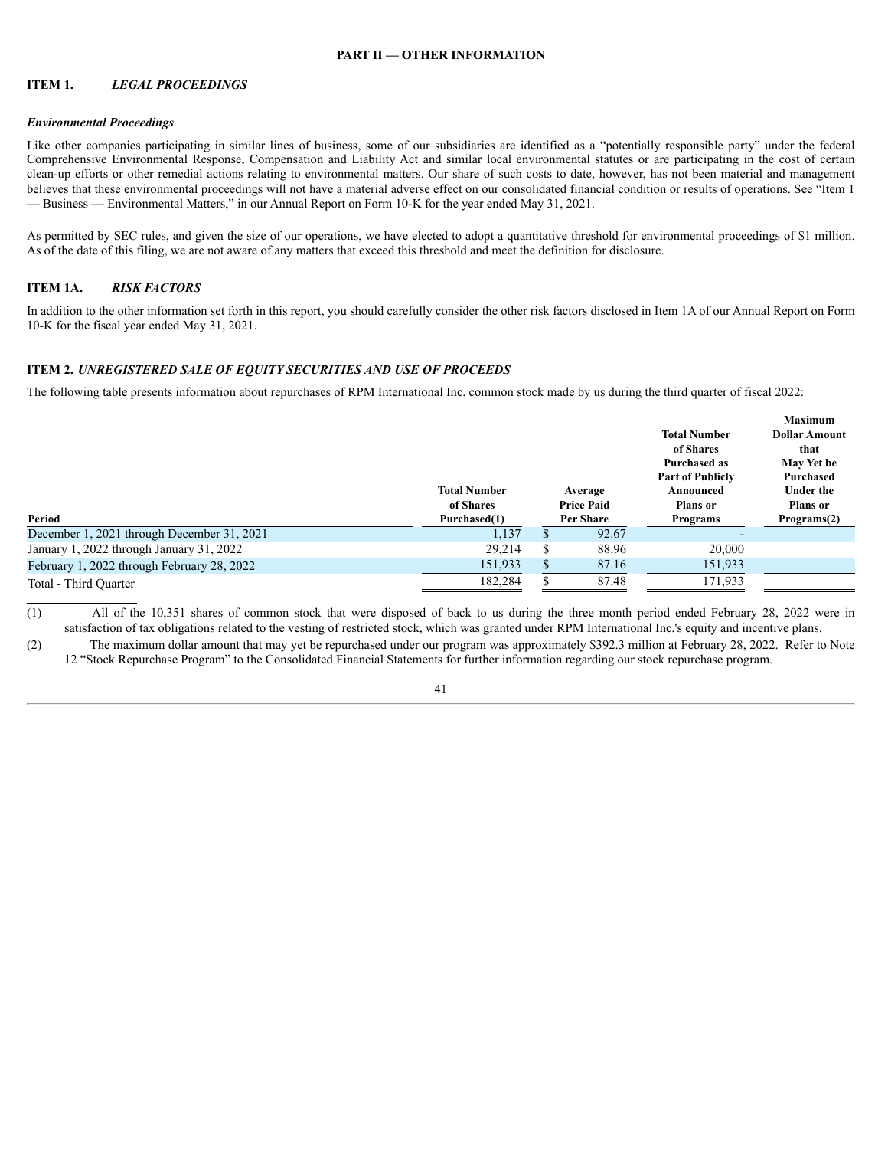## **PART II — OTHER INFORMATION**

#### <span id="page-40-1"></span><span id="page-40-0"></span>**ITEM 1.** *LEGAL PROCEEDINGS*

#### *Environmental Proceedings*

Like other companies participating in similar lines of business, some of our subsidiaries are identified as a "potentially responsible party" under the federal Comprehensive Environmental Response, Compensation and Liability Act and similar local environmental statutes or are participating in the cost of certain clean-up efforts or other remedial actions relating to environmental matters. Our share of such costs to date, however, has not been material and management believes that these environmental proceedings will not have a material adverse effect on our consolidated financial condition or results of operations. See "Item 1 — Business — Environmental Matters," in our Annual Report on Form 10-K for the year ended May 31, 2021.

As permitted by SEC rules, and given the size of our operations, we have elected to adopt a quantitative threshold for environmental proceedings of \$1 million. As of the date of this filing, we are not aware of any matters that exceed this threshold and meet the definition for disclosure.

## <span id="page-40-2"></span>**ITEM 1A.** *RISK FACTORS*

In addition to the other information set forth in this report, you should carefully consider the other risk factors disclosed in Item 1A of our Annual Report on Form 10-K for the fiscal year ended May 31, 2021.

#### <span id="page-40-3"></span>**ITEM 2.** *UNREGISTERED SALE OF EQUITY SECURITIES AND USE OF PROCEEDS*

The following table presents information about repurchases of RPM International Inc. common stock made by us during the third quarter of fiscal 2022:

|                                            | <b>Total Number</b><br>of Shares |           | Average<br><b>Price Paid</b> | <b>Total Number</b><br>of Shares<br><b>Purchased as</b><br><b>Part of Publicly</b><br>Announced<br><b>Plans or</b> | <b>Maximum</b><br><b>Dollar Amount</b><br>that<br>May Yet be<br>Purchased<br>Under the<br><b>Plans or</b> |
|--------------------------------------------|----------------------------------|-----------|------------------------------|--------------------------------------------------------------------------------------------------------------------|-----------------------------------------------------------------------------------------------------------|
| Period                                     | Purchased(1)                     | Per Share |                              | Programs                                                                                                           | Programs(2)                                                                                               |
| December 1, 2021 through December 31, 2021 | 1,137                            |           | 92.67                        |                                                                                                                    |                                                                                                           |
| January 1, 2022 through January 31, 2022   | 29,214                           | S         | 88.96                        | 20,000                                                                                                             |                                                                                                           |
| February 1, 2022 through February 28, 2022 | 151,933                          |           | 87.16                        | 151,933                                                                                                            |                                                                                                           |
| Total - Third Ouarter                      | 182,284                          |           | 87.48                        | 171,933                                                                                                            |                                                                                                           |

(1) All of the 10,351 shares of common stock that were disposed of back to us during the three month period ended February 28, 2022 were in satisfaction of tax obligations related to the vesting of restricted stock, which was granted under RPM International Inc.'s equity and incentive plans.

(2) The maximum dollar amount that may yet be repurchased under our program was approximately \$392.3 million at February 28, 2022. Refer to Note 12 "Stock Repurchase Program" to the Consolidated Financial Statements for further information regarding our stock repurchase program.

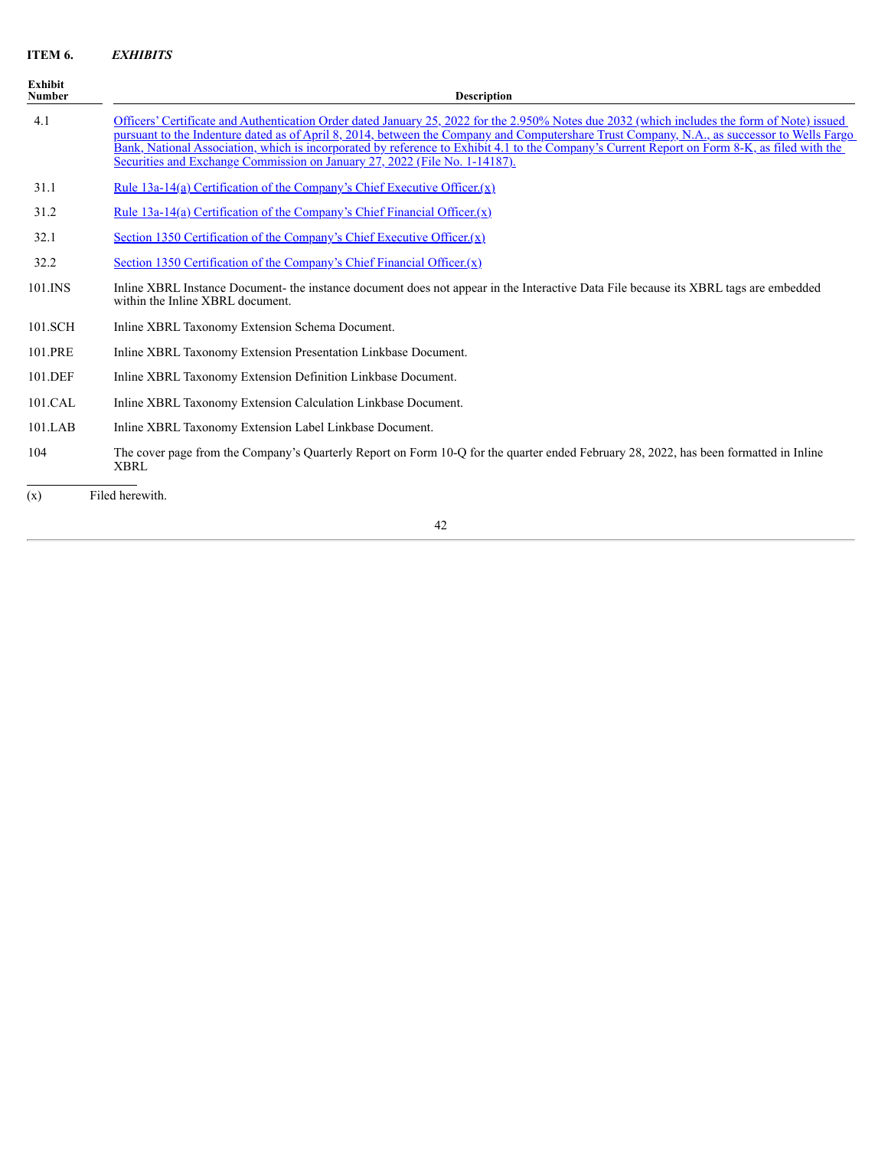<span id="page-41-0"></span>

| ITEM 6.                         | <b>EXHIBITS</b>                                                                                                                                                                                                                                                                                                                                                                                                                                                                                                           |
|---------------------------------|---------------------------------------------------------------------------------------------------------------------------------------------------------------------------------------------------------------------------------------------------------------------------------------------------------------------------------------------------------------------------------------------------------------------------------------------------------------------------------------------------------------------------|
| <b>Exhibit</b><br><b>Number</b> | <b>Description</b>                                                                                                                                                                                                                                                                                                                                                                                                                                                                                                        |
| 4.1                             | Officers' Certificate and Authentication Order dated January 25, 2022 for the 2.950% Notes due 2032 (which includes the form of Note) issued<br>pursuant to the Indenture dated as of April 8, 2014, between the Company and Computershare Trust Company, N.A., as successor to Wells Fargo<br>Bank, National Association, which is incorporated by reference to Exhibit 4.1 to the Company's Current Report on Form 8-K, as filed with the<br>Securities and Exchange Commission on January 27, 2022 (File No. 1-14187). |
| 31.1                            | Rule 13a-14(a) Certification of the Company's Chief Executive Officer.(x)                                                                                                                                                                                                                                                                                                                                                                                                                                                 |
| 31.2                            | <u>Rule 13a-14(a) Certification of the Company's Chief Financial Officer.<math>(x)</math></u>                                                                                                                                                                                                                                                                                                                                                                                                                             |
| 32.1                            | Section 1350 Certification of the Company's Chief Executive Officer. $(x)$                                                                                                                                                                                                                                                                                                                                                                                                                                                |
| 32.2                            | Section 1350 Certification of the Company's Chief Financial Officer. $(x)$                                                                                                                                                                                                                                                                                                                                                                                                                                                |
| $101$ . INS                     | Inline XBRL Instance Document- the instance document does not appear in the Interactive Data File because its XBRL tags are embedded<br>within the Inline XBRL document.                                                                                                                                                                                                                                                                                                                                                  |
| 101.SCH                         | Inline XBRL Taxonomy Extension Schema Document.                                                                                                                                                                                                                                                                                                                                                                                                                                                                           |
| 101.PRE                         | Inline XBRL Taxonomy Extension Presentation Linkbase Document.                                                                                                                                                                                                                                                                                                                                                                                                                                                            |
| 101.DEF                         | Inline XBRL Taxonomy Extension Definition Linkbase Document.                                                                                                                                                                                                                                                                                                                                                                                                                                                              |
| 101.CAL                         | Inline XBRL Taxonomy Extension Calculation Linkbase Document.                                                                                                                                                                                                                                                                                                                                                                                                                                                             |
| 101.LAB                         | Inline XBRL Taxonomy Extension Label Linkbase Document.                                                                                                                                                                                                                                                                                                                                                                                                                                                                   |
| 104                             | The cover page from the Company's Quarterly Report on Form 10-O for the quarter ended February 28, 2022, has been formatted in Inline<br><b>XBRL</b>                                                                                                                                                                                                                                                                                                                                                                      |
| (x)                             | Filed herewith.                                                                                                                                                                                                                                                                                                                                                                                                                                                                                                           |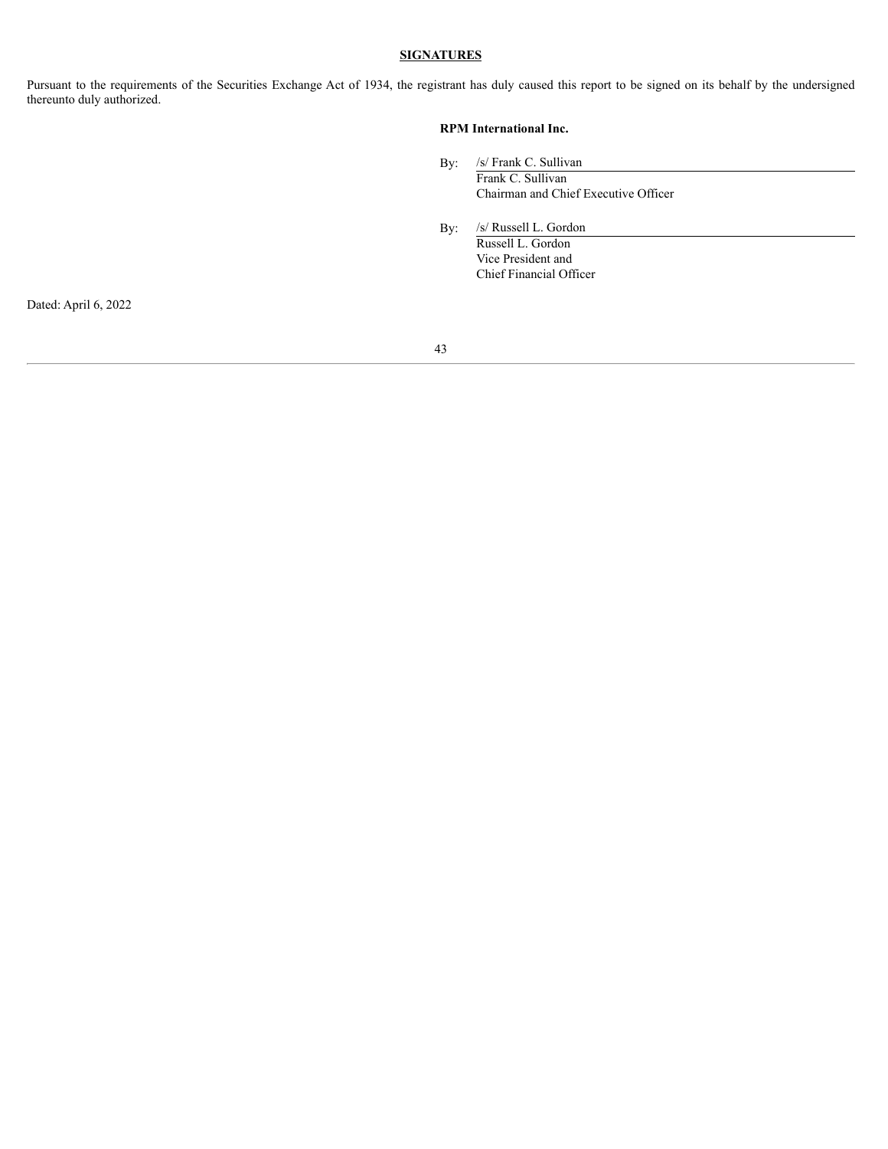## **SIGNATURES**

<span id="page-42-0"></span>Pursuant to the requirements of the Securities Exchange Act of 1934, the registrant has duly caused this report to be signed on its behalf by the undersigned thereunto duly authorized.

## **RPM International Inc.**

| By: | /s/ Frank C. Sullivan                |
|-----|--------------------------------------|
|     | Frank C. Sullivan                    |
|     | Chairman and Chief Executive Officer |

By: /s/ Russell L. Gordon Russell L. Gordon Vice President and Chief Financial Officer

Dated: April 6, 2022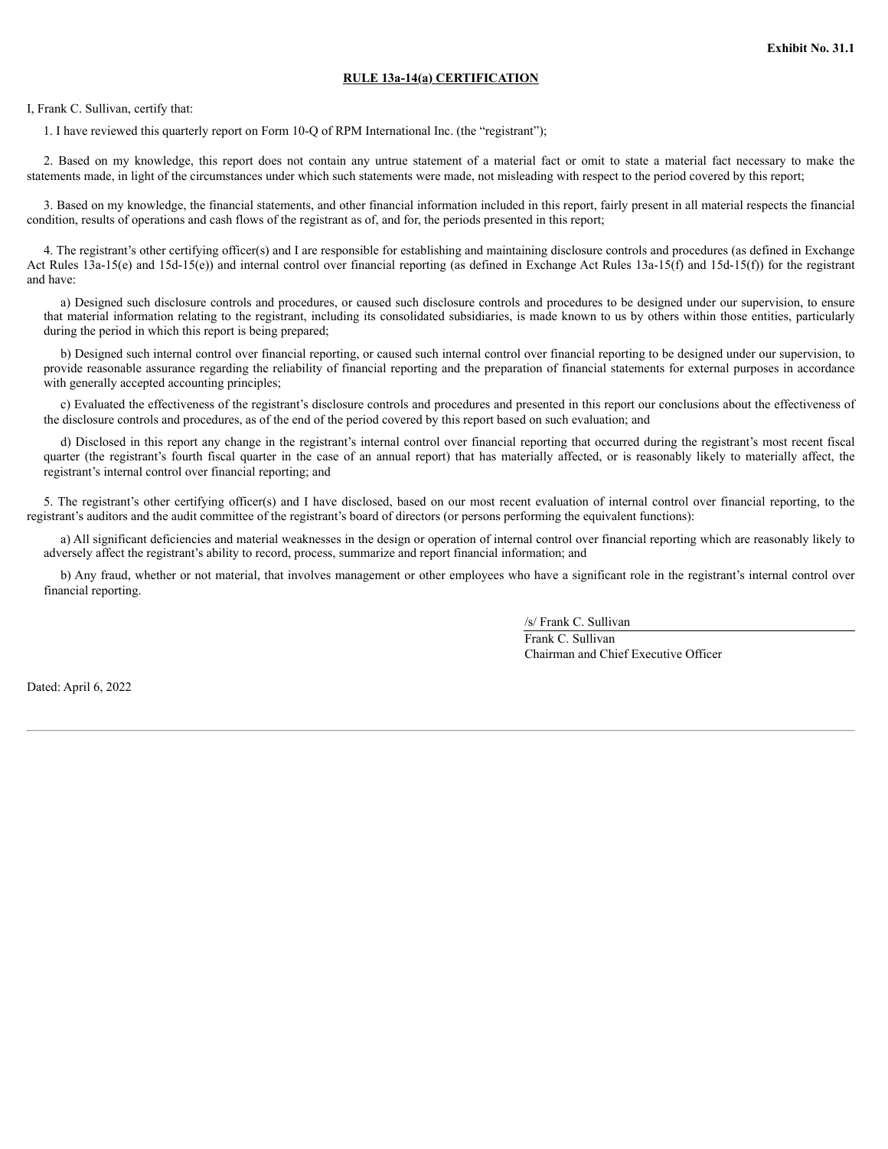## **RULE 13a-14(a) CERTIFICATION**

<span id="page-43-0"></span>I, Frank C. Sullivan, certify that:

1. I have reviewed this quarterly report on Form 10-Q of RPM International Inc. (the "registrant");

2. Based on my knowledge, this report does not contain any untrue statement of a material fact or omit to state a material fact necessary to make the statements made, in light of the circumstances under which such statements were made, not misleading with respect to the period covered by this report;

3. Based on my knowledge, the financial statements, and other financial information included in this report, fairly present in all material respects the financial condition, results of operations and cash flows of the registrant as of, and for, the periods presented in this report;

4. The registrant's other certifying officer(s) and I are responsible for establishing and maintaining disclosure controls and procedures (as defined in Exchange Act Rules  $13a-15(e)$  and  $15d-15(e)$ ) and internal control over financial reporting (as defined in Exchange Act Rules  $13a-15(f)$ ) and  $15d-15(f)$ ) for the registrant and have:

a) Designed such disclosure controls and procedures, or caused such disclosure controls and procedures to be designed under our supervision, to ensure that material information relating to the registrant, including its consolidated subsidiaries, is made known to us by others within those entities, particularly during the period in which this report is being prepared;

b) Designed such internal control over financial reporting, or caused such internal control over financial reporting to be designed under our supervision, to provide reasonable assurance regarding the reliability of financial reporting and the preparation of financial statements for external purposes in accordance with generally accepted accounting principles;

c) Evaluated the effectiveness of the registrant's disclosure controls and procedures and presented in this report our conclusions about the effectiveness of the disclosure controls and procedures, as of the end of the period covered by this report based on such evaluation; and

d) Disclosed in this report any change in the registrant's internal control over financial reporting that occurred during the registrant's most recent fiscal quarter (the registrant's fourth fiscal quarter in the case of an annual report) that has materially affected, or is reasonably likely to materially affect, the registrant's internal control over financial reporting; and

5. The registrant's other certifying officer(s) and I have disclosed, based on our most recent evaluation of internal control over financial reporting, to the registrant's auditors and the audit committee of the registrant's board of directors (or persons performing the equivalent functions):

a) All significant deficiencies and material weaknesses in the design or operation of internal control over financial reporting which are reasonably likely to adversely affect the registrant's ability to record, process, summarize and report financial information; and

b) Any fraud, whether or not material, that involves management or other employees who have a significant role in the registrant's internal control over financial reporting.

> /s/ Frank C. Sullivan Frank C. Sullivan Chairman and Chief Executive Officer

Dated: April 6, 2022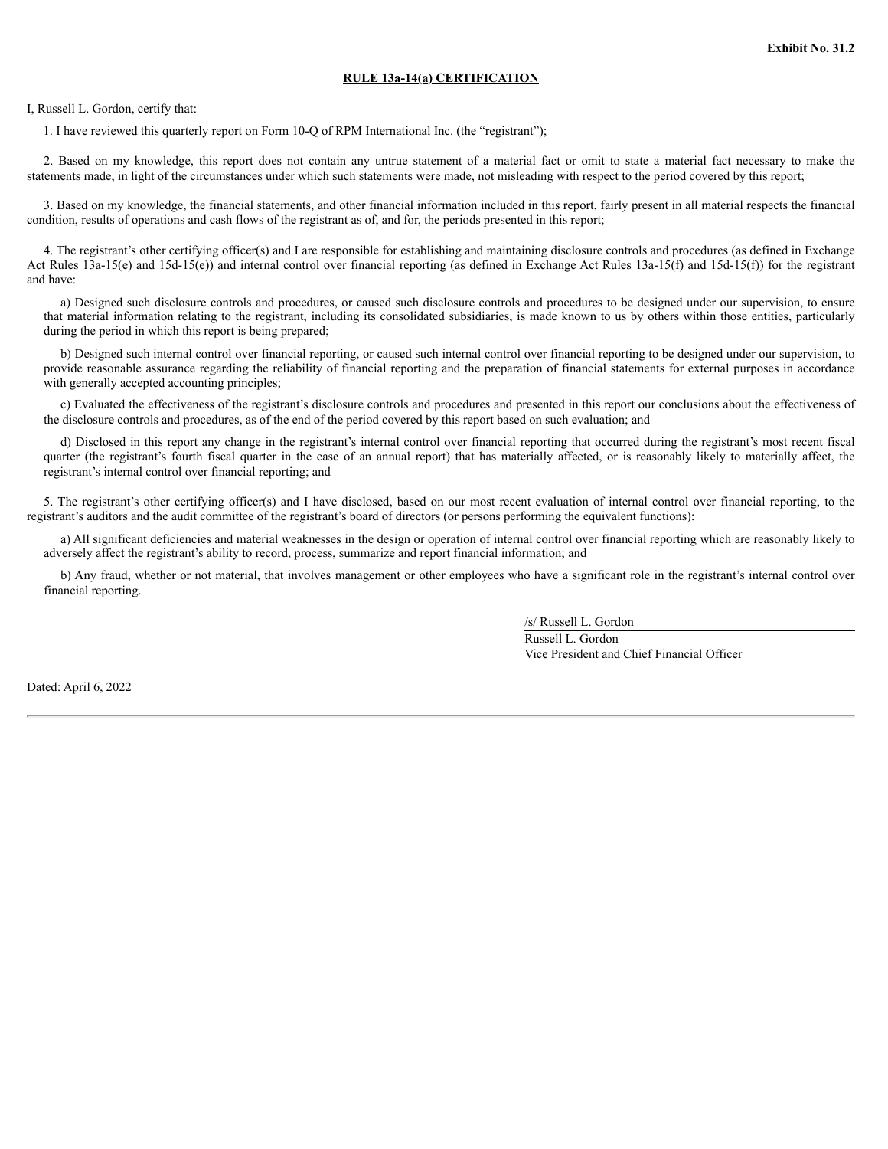## **RULE 13a-14(a) CERTIFICATION**

<span id="page-44-0"></span>I, Russell L. Gordon, certify that:

1. I have reviewed this quarterly report on Form 10-Q of RPM International Inc. (the "registrant");

2. Based on my knowledge, this report does not contain any untrue statement of a material fact or omit to state a material fact necessary to make the statements made, in light of the circumstances under which such statements were made, not misleading with respect to the period covered by this report;

3. Based on my knowledge, the financial statements, and other financial information included in this report, fairly present in all material respects the financial condition, results of operations and cash flows of the registrant as of, and for, the periods presented in this report;

4. The registrant's other certifying officer(s) and I are responsible for establishing and maintaining disclosure controls and procedures (as defined in Exchange Act Rules  $13a-15(e)$  and  $15d-15(e)$  and internal control over financial reporting (as defined in Exchange Act Rules  $13a-15(f)$ ) and  $15d-15(f)$ ) for the registrant and have:

a) Designed such disclosure controls and procedures, or caused such disclosure controls and procedures to be designed under our supervision, to ensure that material information relating to the registrant, including its consolidated subsidiaries, is made known to us by others within those entities, particularly during the period in which this report is being prepared;

b) Designed such internal control over financial reporting, or caused such internal control over financial reporting to be designed under our supervision, to provide reasonable assurance regarding the reliability of financial reporting and the preparation of financial statements for external purposes in accordance with generally accepted accounting principles;

c) Evaluated the effectiveness of the registrant's disclosure controls and procedures and presented in this report our conclusions about the effectiveness of the disclosure controls and procedures, as of the end of the period covered by this report based on such evaluation; and

d) Disclosed in this report any change in the registrant's internal control over financial reporting that occurred during the registrant's most recent fiscal quarter (the registrant's fourth fiscal quarter in the case of an annual report) that has materially affected, or is reasonably likely to materially affect, the registrant's internal control over financial reporting; and

5. The registrant's other certifying officer(s) and I have disclosed, based on our most recent evaluation of internal control over financial reporting, to the registrant's auditors and the audit committee of the registrant's board of directors (or persons performing the equivalent functions):

a) All significant deficiencies and material weaknesses in the design or operation of internal control over financial reporting which are reasonably likely to adversely affect the registrant's ability to record, process, summarize and report financial information; and

b) Any fraud, whether or not material, that involves management or other employees who have a significant role in the registrant's internal control over financial reporting.

> /s/ Russell L. Gordon Russell L. Gordon Vice President and Chief Financial Officer

Dated: April 6, 2022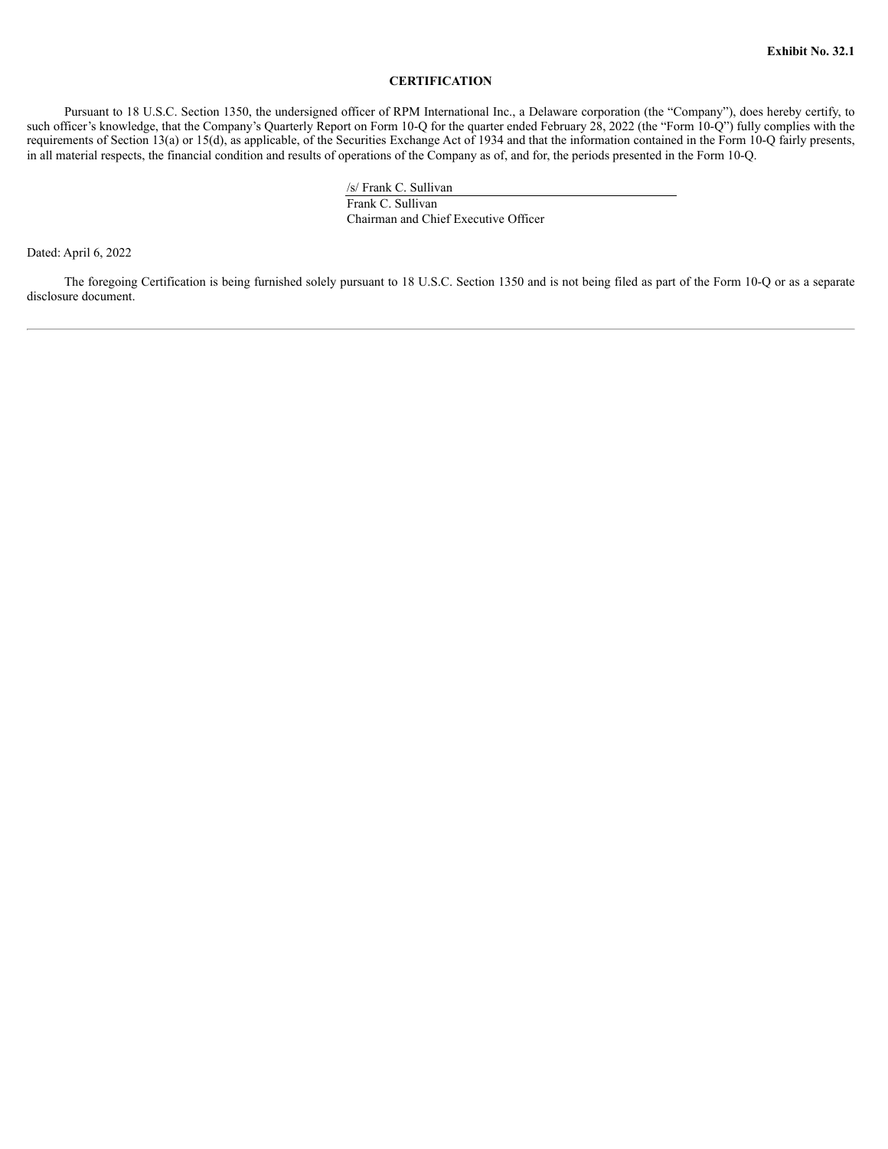#### **CERTIFICATION**

<span id="page-45-0"></span>Pursuant to 18 U.S.C. Section 1350, the undersigned officer of RPM International Inc., a Delaware corporation (the "Company"), does hereby certify, to such officer's knowledge, that the Company's Quarterly Report on Form 10-Q for the quarter ended February 28, 2022 (the "Form 10-Q") fully complies with the requirements of Section 13(a) or 15(d), as applicable, of the Securities Exchange Act of 1934 and that the information contained in the Form 10-Q fairly presents, in all material respects, the financial condition and results of operations of the Company as of, and for, the periods presented in the Form 10-Q.

/s/ Frank C. Sullivan

Frank C. Sullivan Chairman and Chief Executive Officer

Dated: April 6, 2022

The foregoing Certification is being furnished solely pursuant to 18 U.S.C. Section 1350 and is not being filed as part of the Form 10-Q or as a separate disclosure document.